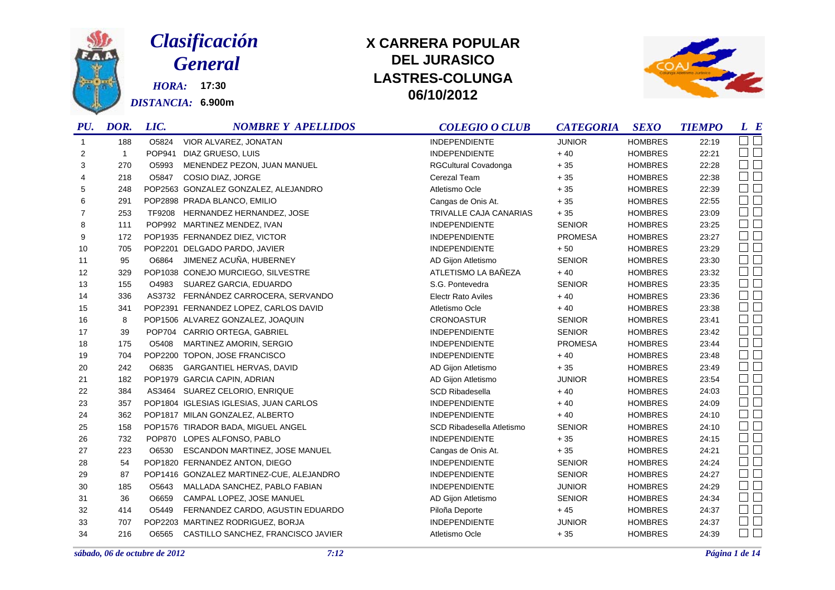

# *Clasificación General*

*HORA:* **17:30** *DISTANCIA:* **6.900m**

## **DEL JURASICOLASTRES-COLUNGA 06/10/2012 X CARRERA POPULAR**



| PU.          | DOR.         | LIC.   | <b>NOMBRE Y APELLIDOS</b>                | <b>COLEGIO O CLUB</b>     | <b>CATEGORIA</b> | <b>SEXO</b>    | <b>TIEMPO</b> | $L$ $B$                |
|--------------|--------------|--------|------------------------------------------|---------------------------|------------------|----------------|---------------|------------------------|
| $\mathbf{1}$ | 188          | O5824  | VIOR ALVAREZ, JONATAN                    | <b>INDEPENDIENTE</b>      | <b>JUNIOR</b>    | <b>HOMBRES</b> | 22:19         | $\Box$ $\Box$          |
| 2            | $\mathbf{1}$ | POP941 | DIAZ GRUESO, LUIS                        | INDEPENDIENTE             | $+40$            | <b>HOMBRES</b> | 22:21         | $\Box$ $\Box$          |
| 3            | 270          | O5993  | MENENDEZ PEZON, JUAN MANUEL              | RGCultural Covadonga      | $+35$            | <b>HOMBRES</b> | 22:28         | $\Box$ $\Box$          |
| 4            | 218          | O5847  | COSIO DIAZ, JORGE                        | Cerezal Team              | $+35$            | <b>HOMBRES</b> | 22:38         | $\square$<br>$\square$ |
| 5            | 248          |        | POP2563 GONZALEZ GONZALEZ, ALEJANDRO     | Atletismo Ocle            | $+35$            | <b>HOMBRES</b> | 22:39         | $\Box$ $\Box$          |
| 6            | 291          |        | POP2898 PRADA BLANCO, EMILIO             | Cangas de Onis At.        | $+35$            | <b>HOMBRES</b> | 22:55         | $\square$<br>$\square$ |
| 7            | 253          | TF9208 | HERNANDEZ HERNANDEZ, JOSE                | TRIVALLE CAJA CANARIAS    | $+35$            | <b>HOMBRES</b> | 23:09         | $\square$ $\square$    |
| 8            | 111          |        | POP992 MARTINEZ MENDEZ, IVAN             | <b>INDEPENDIENTE</b>      | <b>SENIOR</b>    | <b>HOMBRES</b> | 23:25         | $\Box$ $\Box$          |
| 9            | 172          |        | POP1935 FERNANDEZ DIEZ, VICTOR           | <b>INDEPENDIENTE</b>      | <b>PROMESA</b>   | <b>HOMBRES</b> | 23:27         | $\square$ $\square$    |
| 10           | 705          |        | POP2201 DELGADO PARDO, JAVIER            | <b>INDEPENDIENTE</b>      | $+50$            | <b>HOMBRES</b> | 23:29         | $\Box$ $\Box$          |
| 11           | 95           | O6864  | JIMENEZ ACUÑA, HUBERNEY                  | AD Gijon Atletismo        | <b>SENIOR</b>    | <b>HOMBRES</b> | 23:30         | $\square$<br>$\square$ |
| 12           | 329          |        | POP1038 CONEJO MURCIEGO, SILVESTRE       | ATLETISMO LA BAÑEZA       | $+40$            | <b>HOMBRES</b> | 23:32         | $\square$<br>$\square$ |
| 13           | 155          | O4983  | SUAREZ GARCIA, EDUARDO                   | S.G. Pontevedra           | <b>SENIOR</b>    | <b>HOMBRES</b> | 23:35         | $\square$<br>$\square$ |
| 14           | 336          | AS3732 | FERNÁNDEZ CARROCERA, SERVANDO            | <b>Electr Rato Aviles</b> | $+40$            | <b>HOMBRES</b> | 23:36         | $\Box$ $\Box$          |
| 15           | 341          |        | POP2391 FERNANDEZ LOPEZ, CARLOS DAVID    | Atletismo Ocle            | $+40$            | <b>HOMBRES</b> | 23:38         | $\Box$ $\Box$          |
| 16           | 8            |        | POP1506 ALVAREZ GONZALEZ, JOAQUIN        | <b>CRONOASTUR</b>         | <b>SENIOR</b>    | <b>HOMBRES</b> | 23:41         | $\Box$                 |
| 17           | 39           |        | POP704 CARRIO ORTEGA, GABRIEL            | <b>INDEPENDIENTE</b>      | <b>SENIOR</b>    | <b>HOMBRES</b> | 23:42         | $\square$ $\square$    |
| 18           | 175          | O5408  | MARTINEZ AMORIN, SERGIO                  | <b>INDEPENDIENTE</b>      | <b>PROMESA</b>   | <b>HOMBRES</b> | 23:44         | $\square$ $\square$    |
| 19           | 704          |        | POP2200 TOPON, JOSE FRANCISCO            | <b>INDEPENDIENTE</b>      | $+40$            | <b>HOMBRES</b> | 23:48         | $\Box$ $\Box$          |
| 20           | 242          | O6835  | GARGANTIEL HERVAS, DAVID                 | AD Gijon Atletismo        | $+35$            | <b>HOMBRES</b> | 23:49         | $\square$ $\square$    |
| 21           | 182          |        | POP1979 GARCIA CAPIN, ADRIAN             | AD Gijon Atletismo        | <b>JUNIOR</b>    | <b>HOMBRES</b> | 23:54         | $\square$<br>$\square$ |
| 22           | 384          |        | AS3464 SUAREZ CELORIO, ENRIQUE           | SCD Ribadesella           | $+40$            | <b>HOMBRES</b> | 24:03         | $\square$<br>$\square$ |
| 23           | 357          |        | POP1804 IGLESIAS IGLESIAS, JUAN CARLOS   | <b>INDEPENDIENTE</b>      | $+40$            | <b>HOMBRES</b> | 24:09         | $\square$              |
| 24           | 362          |        | POP1817 MILAN GONZALEZ, ALBERTO          | <b>INDEPENDIENTE</b>      | $+40$            | <b>HOMBRES</b> | 24:10         | $\Box$ $\Box$          |
| 25           | 158          |        | POP1576 TIRADOR BADA, MIGUEL ANGEL       | SCD Ribadesella Atletismo | <b>SENIOR</b>    | <b>HOMBRES</b> | 24:10         | $\square$ $\square$    |
| 26           | 732          |        | POP870 LOPES ALFONSO, PABLO              | <b>INDEPENDIENTE</b>      | $+35$            | <b>HOMBRES</b> | 24:15         | $\square$ $\square$    |
| 27           | 223          | O6530  | ESCANDON MARTINEZ, JOSE MANUEL           | Cangas de Onis At.        | $+35$            | <b>HOMBRES</b> | 24:21         | $\Box$                 |
| 28           | 54           |        | POP1820 FERNANDEZ ANTON, DIEGO           | <b>INDEPENDIENTE</b>      | <b>SENIOR</b>    | <b>HOMBRES</b> | 24:24         | $\square$<br>$\square$ |
| 29           | 87           |        | POP1416 GONZALEZ MARTINEZ-CUE, ALEJANDRO | <b>INDEPENDIENTE</b>      | <b>SENIOR</b>    | <b>HOMBRES</b> | 24:27         | $\square$ $\square$    |
| 30           | 185          | O5643  | MALLADA SANCHEZ, PABLO FABIAN            | <b>INDEPENDIENTE</b>      | <b>JUNIOR</b>    | <b>HOMBRES</b> | 24:29         | $\Box$                 |
| 31           | 36           | O6659  | CAMPAL LOPEZ, JOSE MANUEL                | AD Gijon Atletismo        | <b>SENIOR</b>    | <b>HOMBRES</b> | 24:34         | $\Box$ $\Box$          |
| 32           | 414          | O5449  | FERNANDEZ CARDO, AGUSTIN EDUARDO         | Piloña Deporte            | $+45$            | <b>HOMBRES</b> | 24:37         | $\square$ $\square$    |
| 33           | 707          |        | POP2203 MARTINEZ RODRIGUEZ, BORJA        | <b>INDEPENDIENTE</b>      | <b>JUNIOR</b>    | <b>HOMBRES</b> | 24:37         | $\Box$ $\Box$          |
| 34           | 216          | O6565  | CASTILLO SANCHEZ, FRANCISCO JAVIER       | Atletismo Ocle            | $+35$            | <b>HOMBRES</b> | 24:39         | $\square$ $\square$    |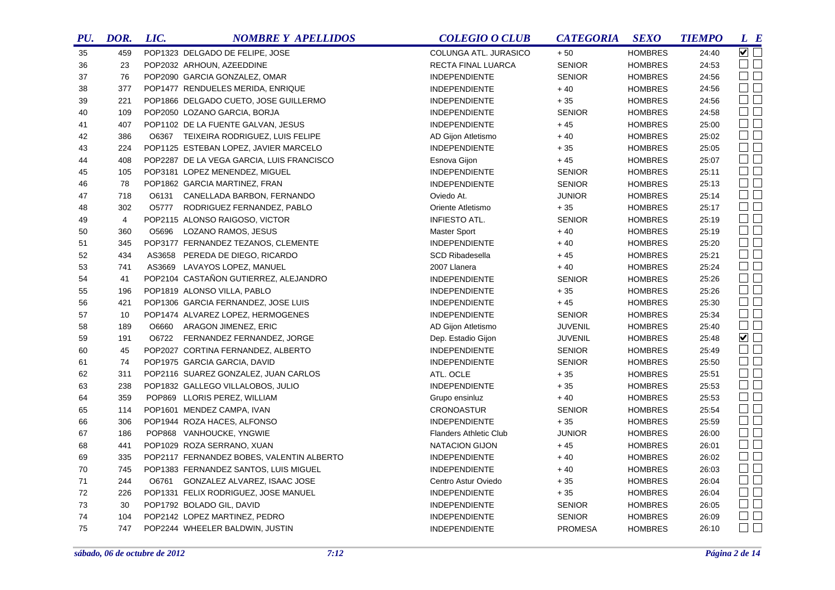| PU. | DOR.           | LIC. | <b>NOMBRE Y APELLIDOS</b>                 | <b>COLEGIO O CLUB</b>         | <b>CATEGORIA</b> | <b>SEXO</b>    | <b>TIEMPO</b> | L E                    |
|-----|----------------|------|-------------------------------------------|-------------------------------|------------------|----------------|---------------|------------------------|
| 35  | 459            |      | POP1323 DELGADO DE FELIPE, JOSE           | COLUNGA ATL. JURASICO         | $+50$            | <b>HOMBRES</b> | 24:40         | $\sqrt{1}$             |
| 36  | 23             |      | POP2032 ARHOUN, AZEEDDINE                 | RECTA FINAL LUARCA            | <b>SENIOR</b>    | <b>HOMBRES</b> | 24:53         | $\square$              |
| 37  | 76             |      | POP2090 GARCIA GONZALEZ, OMAR             | <b>INDEPENDIENTE</b>          | <b>SENIOR</b>    | <b>HOMBRES</b> | 24:56         | $\Box$ $\Box$          |
| 38  | 377            |      | POP1477 RENDUELES MERIDA, ENRIQUE         | <b>INDEPENDIENTE</b>          | $+40$            | <b>HOMBRES</b> | 24:56         | $\square$ $\square$    |
| 39  | 221            |      | POP1866 DELGADO CUETO, JOSE GUILLERMO     | <b>INDEPENDIENTE</b>          | $+35$            | <b>HOMBRES</b> | 24:56         | $\square$              |
| 40  | 109            |      | POP2050 LOZANO GARCIA, BORJA              | <b>INDEPENDIENTE</b>          | <b>SENIOR</b>    | <b>HOMBRES</b> | 24:58         | $\square$ $\square$    |
| 41  | 407            |      | POP1102 DE LA FUENTE GALVAN, JESUS        | <b>INDEPENDIENTE</b>          | $+45$            | <b>HOMBRES</b> | 25:00         | $\square$ $\square$    |
| 42  | 386            |      | O6367 TEIXEIRA RODRIGUEZ, LUIS FELIPE     | AD Gijon Atletismo            | $+40$            | <b>HOMBRES</b> | 25:02         | $\square$              |
| 43  | 224            |      | POP1125 ESTEBAN LOPEZ, JAVIER MARCELO     | <b>INDEPENDIENTE</b>          | $+35$            | <b>HOMBRES</b> | 25:05         | $\square$              |
| 44  | 408            |      | POP2287 DE LA VEGA GARCIA, LUIS FRANCISCO | Esnova Gijon                  | $+45$            | <b>HOMBRES</b> | 25:07         | $\square$ $\square$    |
| 45  | 105            |      | POP3181 LOPEZ MENENDEZ, MIGUEL            | <b>INDEPENDIENTE</b>          | <b>SENIOR</b>    | <b>HOMBRES</b> | 25:11         | $\square$ $\square$    |
| 46  | 78             |      | POP1862 GARCIA MARTINEZ, FRAN             | <b>INDEPENDIENTE</b>          | <b>SENIOR</b>    | <b>HOMBRES</b> | 25:13         | $\square$              |
| 47  | 718            |      | 06131 CANELLADA BARBON, FERNANDO          | Oviedo At.                    | <b>JUNIOR</b>    | <b>HOMBRES</b> | 25:14         | $\square$ $\square$    |
| 48  | 302            |      | O5777 RODRIGUEZ FERNANDEZ, PABLO          | Oriente Atletismo             | $+35$            | <b>HOMBRES</b> | 25:17         | $\square$ $\square$    |
| 49  | $\overline{4}$ |      | POP2115 ALONSO RAIGOSO, VICTOR            | INFIESTO ATL.                 | <b>SENIOR</b>    | <b>HOMBRES</b> | 25:19         | $\Box$ $\Box$          |
| 50  | 360            |      | O5696 LOZANO RAMOS, JESUS                 | <b>Master Sport</b>           | $+40$            | <b>HOMBRES</b> | 25:19         | $\Box$                 |
| 51  | 345            |      | POP3177 FERNANDEZ TEZANOS, CLEMENTE       | <b>INDEPENDIENTE</b>          | $+40$            | <b>HOMBRES</b> | 25:20         | $\Box$                 |
| 52  | 434            |      | AS3658 PEREDA DE DIEGO, RICARDO           | <b>SCD Ribadesella</b>        | $+45$            | <b>HOMBRES</b> | 25:21         | $\square$              |
| 53  | 741            |      | AS3669 LAVAYOS LOPEZ, MANUEL              | 2007 Llanera                  | $+40$            | <b>HOMBRES</b> | 25:24         | $\Box$ $\Box$          |
| 54  | 41             |      | POP2104 CASTAÑON GUTIERREZ, ALEJANDRO     | <b>INDEPENDIENTE</b>          | <b>SENIOR</b>    | <b>HOMBRES</b> | 25:26         | $\Box$                 |
| 55  | 196            |      | POP1819 ALONSO VILLA, PABLO               | <b>INDEPENDIENTE</b>          | $+35$            | <b>HOMBRES</b> | 25:26         | $\Box$                 |
| 56  | 421            |      | POP1306 GARCIA FERNANDEZ, JOSE LUIS       | <b>INDEPENDIENTE</b>          | $+45$            | <b>HOMBRES</b> | 25:30         | $\Box$                 |
| 57  | 10             |      | POP1474 ALVAREZ LOPEZ, HERMOGENES         | <b>INDEPENDIENTE</b>          | <b>SENIOR</b>    | <b>HOMBRES</b> | 25:34         | $\square$              |
| 58  | 189            |      | O6660 ARAGON JIMENEZ, ERIC                | AD Gijon Atletismo            | <b>JUVENIL</b>   | <b>HOMBRES</b> | 25:40         | $\Box$                 |
| 59  | 191            |      | O6722 FERNANDEZ FERNANDEZ, JORGE          | Dep. Estadio Gijon            | <b>JUVENIL</b>   | <b>HOMBRES</b> | 25:48         | $\blacksquare$         |
| 60  | 45             |      | POP2027 CORTINA FERNANDEZ, ALBERTO        | <b>INDEPENDIENTE</b>          | <b>SENIOR</b>    | <b>HOMBRES</b> | 25:49         | $\square$              |
| 61  | 74             |      | POP1975 GARCIA GARCIA, DAVID              | <b>INDEPENDIENTE</b>          | <b>SENIOR</b>    | <b>HOMBRES</b> | 25:50         | $\Box$                 |
| 62  | 311            |      | POP2116 SUAREZ GONZALEZ, JUAN CARLOS      | ATL. OCLE                     | $+35$            | <b>HOMBRES</b> | 25:51         | $\Box$ $\Box$          |
| 63  | 238            |      | POP1832 GALLEGO VILLALOBOS, JULIO         | <b>INDEPENDIENTE</b>          | $+35$            | <b>HOMBRES</b> | 25:53         | $\square$<br>$\square$ |
| 64  | 359            |      | POP869 LLORIS PEREZ, WILLIAM              | Grupo ensinluz                | $+40$            | <b>HOMBRES</b> | 25:53         | $\Box$                 |
| 65  | 114            |      | POP1601 MENDEZ CAMPA, IVAN                | <b>CRONOASTUR</b>             | <b>SENIOR</b>    | <b>HOMBRES</b> | 25:54         | $\Box$                 |
| 66  | 306            |      | POP1944 ROZA HACES, ALFONSO               | <b>INDEPENDIENTE</b>          | $+35$            | <b>HOMBRES</b> | 25:59         | $\Box$ $\Box$          |
| 67  | 186            |      | POP868 VANHOUCKE, YNGWIE                  | <b>Flanders Athletic Club</b> | <b>JUNIOR</b>    | <b>HOMBRES</b> | 26:00         | $\Box$                 |
| 68  | 441            |      | POP1029 ROZA SERRANO, XUAN                | <b>NATACION GIJON</b>         | $+45$            | <b>HOMBRES</b> | 26:01         | $\Box$                 |
| 69  | 335            |      | POP2117 FERNANDEZ BOBES, VALENTIN ALBERTO | <b>INDEPENDIENTE</b>          | $+40$            | <b>HOMBRES</b> | 26:02         | $\Box$                 |
| 70  | 745            |      | POP1383 FERNANDEZ SANTOS, LUIS MIGUEL     | <b>INDEPENDIENTE</b>          | $+40$            | <b>HOMBRES</b> | 26:03         | $\Box$                 |
| 71  | 244            |      | O6761 GONZALEZ ALVAREZ, ISAAC JOSE        | Centro Astur Oviedo           | $+35$            | <b>HOMBRES</b> | 26:04         | $\Box$ $\Box$          |
| 72  | 226            |      | POP1331 FELIX RODRIGUEZ, JOSE MANUEL      | <b>INDEPENDIENTE</b>          | $+35$            | <b>HOMBRES</b> | 26:04         | $\Box$ $\Box$          |
| 73  | 30             |      | POP1792 BOLADO GIL, DAVID                 | <b>INDEPENDIENTE</b>          | <b>SENIOR</b>    | <b>HOMBRES</b> | 26:05         | $\Box$                 |
| 74  | 104            |      | POP2142 LOPEZ MARTINEZ, PEDRO             | <b>INDEPENDIENTE</b>          | <b>SENIOR</b>    | <b>HOMBRES</b> | 26:09         | $\Box$ $\Box$          |
| 75  | 747            |      | POP2244 WHEELER BALDWIN, JUSTIN           | INDEPENDIENTE                 | <b>PROMESA</b>   | <b>HOMBRES</b> | 26:10         | $\Box$ $\Box$          |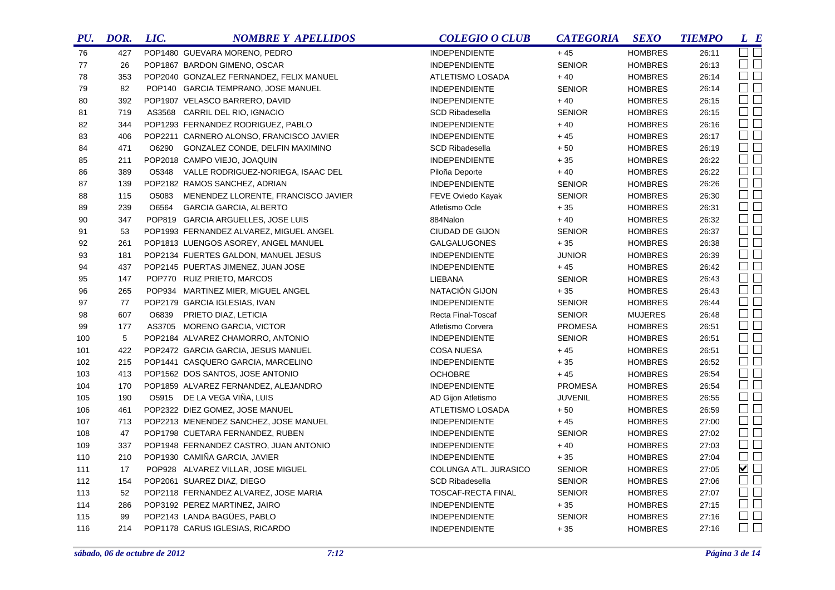| PU. | DOR.  | LIC.  | <b>NOMBRE Y APELLIDOS</b>                 | <b>COLEGIO O CLUB</b>  | <b>CATEGORIA</b> | <b>SEXO</b>    | <b>TIEMPO</b> | L E                 |
|-----|-------|-------|-------------------------------------------|------------------------|------------------|----------------|---------------|---------------------|
| 76  | 427   |       | POP1480 GUEVARA MORENO, PEDRO             | <b>INDEPENDIENTE</b>   | $+45$            | <b>HOMBRES</b> | 26:11         | $\square$ $\square$ |
| 77  | 26    |       | POP1867 BARDON GIMENO, OSCAR              | <b>INDEPENDIENTE</b>   | <b>SENIOR</b>    | <b>HOMBRES</b> | 26:13         | $\Box$ $\Box$       |
| 78  | 353   |       | POP2040 GONZALEZ FERNANDEZ, FELIX MANUEL  | ATLETISMO LOSADA       | $+40$            | <b>HOMBRES</b> | 26:14         | $\Box$ $\Box$       |
| 79  | 82    |       | POP140 GARCIA TEMPRANO, JOSE MANUEL       | <b>INDEPENDIENTE</b>   | <b>SENIOR</b>    | <b>HOMBRES</b> | 26:14         | $\square$ $\square$ |
| 80  | 392   |       | POP1907 VELASCO BARRERO, DAVID            | <b>INDEPENDIENTE</b>   | $+40$            | <b>HOMBRES</b> | 26:15         | $\Box$ $\Box$       |
| 81  | 719   |       | AS3568 CARRIL DEL RIO, IGNACIO            | <b>SCD Ribadesella</b> | <b>SENIOR</b>    | <b>HOMBRES</b> | 26:15         | $\Box$              |
| 82  | 344   |       | POP1293 FERNANDEZ RODRIGUEZ, PABLO        | <b>INDEPENDIENTE</b>   | $+40$            | <b>HOMBRES</b> | 26:16         | $\square$           |
| 83  | 406   |       | POP2211 CARNERO ALONSO, FRANCISCO JAVIER  | <b>INDEPENDIENTE</b>   | $+45$            | <b>HOMBRES</b> | 26:17         | $\square$ $\square$ |
| 84  | 471   |       | O6290 GONZALEZ CONDE, DELFIN MAXIMINO     | SCD Ribadesella        | $+50$            | <b>HOMBRES</b> | 26:19         | $\Box$              |
| 85  | 211   |       | POP2018 CAMPO VIEJO, JOAQUIN              | <b>INDEPENDIENTE</b>   | $+35$            | <b>HOMBRES</b> | 26:22         | $\Box$              |
| 86  | 389   |       | O5348 VALLE RODRIGUEZ-NORIEGA, ISAAC DEL  | Piloña Deporte         | $+40$            | <b>HOMBRES</b> | 26:22         | $\Box$              |
| 87  | 139   |       | POP2182 RAMOS SANCHEZ, ADRIAN             | <b>INDEPENDIENTE</b>   | <b>SENIOR</b>    | <b>HOMBRES</b> | 26:26         | $\square$ $\square$ |
| 88  | 115   |       | O5083 MENENDEZ LLORENTE, FRANCISCO JAVIER | FEVE Oviedo Kayak      | <b>SENIOR</b>    | <b>HOMBRES</b> | 26:30         | $\Box$              |
| 89  | 239   | O6564 | <b>GARCIA GARCIA, ALBERTO</b>             | Atletismo Ocle         | $+35$            | <b>HOMBRES</b> | 26:31         | $\square$ $\square$ |
| 90  | 347   |       | POP819 GARCIA ARGUELLES, JOSE LUIS        | 884Nalon               | $+40$            | <b>HOMBRES</b> | 26:32         | $\Box$              |
| 91  | 53    |       | POP1993 FERNANDEZ ALVAREZ, MIGUEL ANGEL   | CIUDAD DE GIJON        | <b>SENIOR</b>    | <b>HOMBRES</b> | 26:37         | $\Box$ $\Box$       |
| 92  | 261   |       | POP1813 LUENGOS ASOREY, ANGEL MANUEL      | <b>GALGALUGONES</b>    | $+35$            | <b>HOMBRES</b> | 26:38         | $\Box$              |
| 93  | 181   |       | POP2134 FUERTES GALDON, MANUEL JESUS      | <b>INDEPENDIENTE</b>   | <b>JUNIOR</b>    | <b>HOMBRES</b> | 26:39         | $\Box$ $\Box$       |
| 94  | 437   |       | POP2145 PUERTAS JIMENEZ, JUAN JOSE        | <b>INDEPENDIENTE</b>   | $+45$            | <b>HOMBRES</b> | 26:42         | $\Box$              |
| 95  | 147   |       | POP770 RUIZ PRIETO, MARCOS                | LIEBANA                | <b>SENIOR</b>    | <b>HOMBRES</b> | 26:43         | $\square$ $\square$ |
| 96  | 265   |       | POP934 MARTINEZ MIER, MIGUEL ANGEL        | NATACIÓN GIJON         | $+35$            | <b>HOMBRES</b> | 26:43         | $\square$ $\square$ |
| 97  | 77    |       | POP2179 GARCIA IGLESIAS, IVAN             | <b>INDEPENDIENTE</b>   | <b>SENIOR</b>    | <b>HOMBRES</b> | 26:44         | $\square$ $\square$ |
| 98  | 607   |       | O6839 PRIETO DIAZ, LETICIA                | Recta Final-Toscaf     | <b>SENIOR</b>    | <b>MUJERES</b> | 26:48         | $\Box$ $\Box$       |
| 99  | 177   |       | AS3705 MORENO GARCIA, VICTOR              | Atletismo Corvera      | <b>PROMESA</b>   | <b>HOMBRES</b> | 26:51         | $\Box$              |
| 100 | $5\,$ |       | POP2184 ALVAREZ CHAMORRO, ANTONIO         | <b>INDEPENDIENTE</b>   | <b>SENIOR</b>    | <b>HOMBRES</b> | 26:51         | $\Box$              |
| 101 | 422   |       | POP2472 GARCIA GARCIA, JESUS MANUEL       | <b>COSA NUESA</b>      | $+45$            | <b>HOMBRES</b> | 26:51         | $\Box$ $\Box$       |
| 102 | 215   |       | POP1441 CASQUERO GARCIA, MARCELINO        | <b>INDEPENDIENTE</b>   | $+35$            | <b>HOMBRES</b> | 26:52         | $\Box$ $\Box$       |
| 103 | 413   |       | POP1562 DOS SANTOS, JOSE ANTONIO          | <b>OCHOBRE</b>         | $+45$            | <b>HOMBRES</b> | 26:54         | $\Box$ $\Box$       |
| 104 | 170   |       | POP1859 ALVAREZ FERNANDEZ, ALEJANDRO      | INDEPENDIENTE          | <b>PROMESA</b>   | <b>HOMBRES</b> | 26:54         | $\Box$ $\Box$       |
| 105 | 190   |       | 05915 DE LA VEGA VIÑA, LUIS               | AD Gijon Atletismo     | <b>JUVENIL</b>   | <b>HOMBRES</b> | 26:55         | $\Box$              |
| 106 | 461   |       | POP2322 DIEZ GOMEZ, JOSE MANUEL           | ATLETISMO LOSADA       | $+50$            | <b>HOMBRES</b> | 26:59         | $\Box$ $\Box$       |
| 107 | 713   |       | POP2213 MENENDEZ SANCHEZ, JOSE MANUEL     | <b>INDEPENDIENTE</b>   | $+45$            | <b>HOMBRES</b> | 27:00         | $\Box$ $\Box$       |
| 108 | 47    |       | POP1798 CUETARA FERNANDEZ, RUBEN          | <b>INDEPENDIENTE</b>   | <b>SENIOR</b>    | <b>HOMBRES</b> | 27:02         | $\Box$ $\Box$       |
| 109 | 337   |       | POP1948 FERNANDEZ CASTRO, JUAN ANTONIO    | <b>INDEPENDIENTE</b>   | $+40$            | <b>HOMBRES</b> | 27:03         | $\Box$ $\Box$       |
| 110 | 210   |       | POP1930 CAMIÑA GARCIA, JAVIER             | <b>INDEPENDIENTE</b>   | $+35$            | <b>HOMBRES</b> | 27:04         | $\square$           |
| 111 | 17    |       | POP928 ALVAREZ VILLAR, JOSE MIGUEL        | COLUNGA ATL. JURASICO  | <b>SENIOR</b>    | <b>HOMBRES</b> | 27:05         | $\overline{\smile}$ |
| 112 | 154   |       | POP2061 SUAREZ DIAZ, DIEGO                | <b>SCD Ribadesella</b> | <b>SENIOR</b>    | <b>HOMBRES</b> | 27:06         | $\Box$ $\Box$       |
| 113 | 52    |       | POP2118 FERNANDEZ ALVAREZ, JOSE MARIA     | TOSCAF-RECTA FINAL     | <b>SENIOR</b>    | <b>HOMBRES</b> | 27:07         | $\Box$ $\Box$       |
| 114 | 286   |       | POP3192 PEREZ MARTINEZ, JAIRO             | <b>INDEPENDIENTE</b>   | $+35$            | <b>HOMBRES</b> | 27:15         | $\square$ $\square$ |
| 115 | 99    |       | POP2143 LANDA BAGÜES, PABLO               | <b>INDEPENDIENTE</b>   | <b>SENIOR</b>    | <b>HOMBRES</b> | 27:16         | $\square$ $\square$ |
| 116 | 214   |       | POP1178 CARUS IGLESIAS, RICARDO           | <b>INDEPENDIENTE</b>   | $+35$            | <b>HOMBRES</b> | 27:16         | $\Box$ $\Box$       |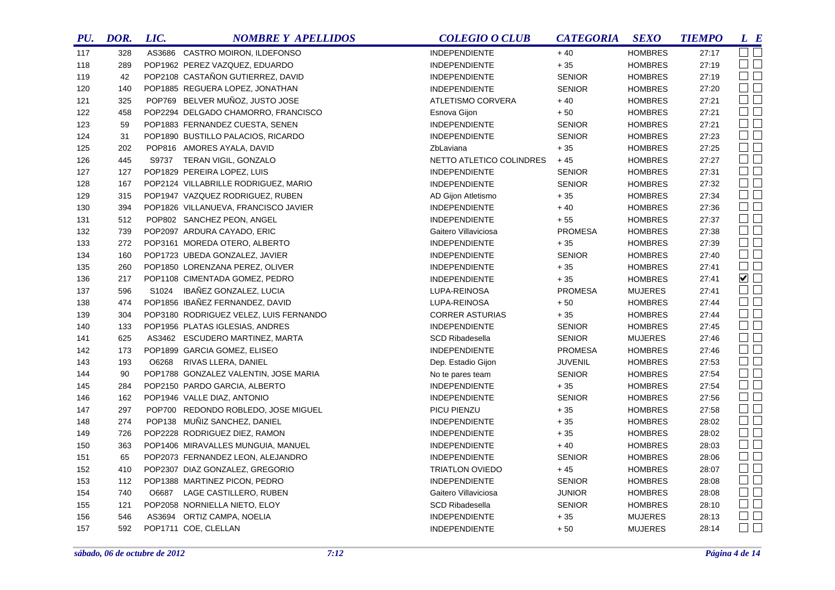| PU. | DOR. | LIC. | <b>NOMBRE Y APELLIDOS</b>              | <b>COLEGIO O CLUB</b>    | <b>CATEGORIA</b> | <b>SEXO</b>    | <b>TIEMPO</b> | L E                         |  |
|-----|------|------|----------------------------------------|--------------------------|------------------|----------------|---------------|-----------------------------|--|
| 117 | 328  |      | AS3686 CASTRO MOIRON, ILDEFONSO        | <b>INDEPENDIENTE</b>     | $+40$            | <b>HOMBRES</b> | 27:17         | $\Box$ $\Box$               |  |
| 118 | 289  |      | POP1962 PEREZ VAZQUEZ, EDUARDO         | <b>INDEPENDIENTE</b>     | $+\,35$          | <b>HOMBRES</b> | 27:19         | $\square$ $\square$         |  |
| 119 | 42   |      | POP2108 CASTAÑON GUTIERREZ, DAVID      | <b>INDEPENDIENTE</b>     | <b>SENIOR</b>    | <b>HOMBRES</b> | 27:19         | $\square$ $\square$         |  |
| 120 | 140  |      | POP1885 REGUERA LOPEZ, JONATHAN        | <b>INDEPENDIENTE</b>     | <b>SENIOR</b>    | <b>HOMBRES</b> | 27:20         | $\Box$ $\Box$               |  |
| 121 | 325  |      | POP769 BELVER MUÑOZ, JUSTO JOSE        | ATLETISMO CORVERA        | $+40$            | <b>HOMBRES</b> | 27:21         | $\Box$                      |  |
| 122 | 458  |      | POP2294 DELGADO CHAMORRO, FRANCISCO    | Esnova Gijon             | $+50$            | <b>HOMBRES</b> | 27:21         | $\Box$                      |  |
| 123 | 59   |      | POP1883 FERNANDEZ CUESTA, SENEN        | <b>INDEPENDIENTE</b>     | <b>SENIOR</b>    | <b>HOMBRES</b> | 27:21         | $\Box$                      |  |
| 124 | 31   |      | POP1890 BUSTILLO PALACIOS, RICARDO     | <b>INDEPENDIENTE</b>     | <b>SENIOR</b>    | <b>HOMBRES</b> | 27:23         | $\square$                   |  |
| 125 | 202  |      | POP816 AMORES AYALA, DAVID             | ZbLaviana                | $+35$            | <b>HOMBRES</b> | 27:25         | $\Box$ $\Box$               |  |
| 126 | 445  |      | S9737 TERAN VIGIL, GONZALO             | NETTO ATLETICO COLINDRES | $+45$            | <b>HOMBRES</b> | 27:27         | $\Box$                      |  |
| 127 | 127  |      | POP1829 PEREIRA LOPEZ, LUIS            | <b>INDEPENDIENTE</b>     | <b>SENIOR</b>    | <b>HOMBRES</b> | 27:31         | $\Box$ $\Box$               |  |
| 128 | 167  |      | POP2124 VILLABRILLE RODRIGUEZ, MARIO   | <b>INDEPENDIENTE</b>     | <b>SENIOR</b>    | <b>HOMBRES</b> | 27:32         | $\Box$                      |  |
| 129 | 315  |      | POP1947 VAZQUEZ RODRIGUEZ, RUBEN       | AD Gijon Atletismo       | $+35$            | <b>HOMBRES</b> | 27:34         | $\square$ $\square$         |  |
| 130 | 394  |      | POP1826 VILLANUEVA, FRANCISCO JAVIER   | <b>INDEPENDIENTE</b>     | $+40$            | <b>HOMBRES</b> | 27:36         | $\Box$                      |  |
| 131 | 512  |      | POP802 SANCHEZ PEON, ANGEL             | <b>INDEPENDIENTE</b>     | $+55$            | <b>HOMBRES</b> | 27:37         | $\square$                   |  |
| 132 | 739  |      | POP2097 ARDURA CAYADO, ERIC            | Gaitero Villaviciosa     | <b>PROMESA</b>   | <b>HOMBRES</b> | 27:38         | $\Box$                      |  |
| 133 | 272  |      | POP3161 MOREDA OTERO, ALBERTO          | <b>INDEPENDIENTE</b>     | $+35$            | <b>HOMBRES</b> | 27:39         | $\Box$                      |  |
| 134 | 160  |      | POP1723 UBEDA GONZALEZ, JAVIER         | <b>INDEPENDIENTE</b>     | <b>SENIOR</b>    | <b>HOMBRES</b> | 27:40         | $\Box$                      |  |
| 135 | 260  |      | POP1850 LORENZANA PEREZ, OLIVER        | <b>INDEPENDIENTE</b>     | $+35$            | <b>HOMBRES</b> | 27:41         | $\Box$                      |  |
| 136 | 217  |      | POP1108 CIMENTADA GOMEZ, PEDRO         | <b>INDEPENDIENTE</b>     | $+35$            | <b>HOMBRES</b> | 27:41         | $\blacktriangledown$ $\Box$ |  |
| 137 | 596  |      | S1024 IBAÑEZ GONZALEZ, LUCIA           | LUPA-REINOSA             | <b>PROMESA</b>   | <b>MUJERES</b> | 27:41         | $\square$ $\square$         |  |
| 138 | 474  |      | POP1856 IBAÑEZ FERNANDEZ, DAVID        | LUPA-REINOSA             | $+50$            | <b>HOMBRES</b> | 27:44         | $\Box$                      |  |
| 139 | 304  |      | POP3180 RODRIGUEZ VELEZ, LUIS FERNANDO | <b>CORRER ASTURIAS</b>   | $+35$            | <b>HOMBRES</b> | 27:44         | $\Box$                      |  |
| 140 | 133  |      | POP1956 PLATAS IGLESIAS, ANDRES        | <b>INDEPENDIENTE</b>     | <b>SENIOR</b>    | <b>HOMBRES</b> | 27:45         | $\square$ $\square$         |  |
| 141 | 625  |      | AS3462 ESCUDERO MARTINEZ, MARTA        | <b>SCD Ribadesella</b>   | <b>SENIOR</b>    | <b>MUJERES</b> | 27:46         | $\Box$                      |  |
| 142 | 173  |      | POP1899 GARCIA GOMEZ, ELISEO           | <b>INDEPENDIENTE</b>     | <b>PROMESA</b>   | <b>HOMBRES</b> | 27:46         | $\square$ $\square$         |  |
| 143 | 193  |      | O6268 RIVAS LLERA, DANIEL              | Dep. Estadio Gijon       | <b>JUVENIL</b>   | <b>HOMBRES</b> | 27:53         | $\Box$ $\Box$               |  |
| 144 | 90   |      | POP1788 GONZALEZ VALENTIN, JOSE MARIA  | No te pares team         | <b>SENIOR</b>    | <b>HOMBRES</b> | 27:54         | $\Box$                      |  |
| 145 | 284  |      | POP2150 PARDO GARCIA, ALBERTO          | <b>INDEPENDIENTE</b>     | $+35$            | <b>HOMBRES</b> | 27:54         | $\Box$ $\Box$               |  |
| 146 | 162  |      | POP1946 VALLE DIAZ, ANTONIO            | <b>INDEPENDIENTE</b>     | <b>SENIOR</b>    | <b>HOMBRES</b> | 27:56         | $\square$ $\square$         |  |
| 147 | 297  |      | POP700 REDONDO ROBLEDO, JOSE MIGUEL    | PICU PIENZU              | $+35$            | <b>HOMBRES</b> | 27:58         | $\Box$ $\Box$               |  |
| 148 | 274  |      | POP138 MUÑIZ SANCHEZ, DANIEL           | <b>INDEPENDIENTE</b>     | $+35$            | <b>HOMBRES</b> | 28:02         | $\square$ $\square$         |  |
| 149 | 726  |      | POP2228 RODRIGUEZ DIEZ, RAMON          | <b>INDEPENDIENTE</b>     | $+35$            | <b>HOMBRES</b> | 28:02         | $\Box$ $\Box$               |  |
| 150 | 363  |      | POP1406 MIRAVALLES MUNGUIA, MANUEL     | <b>INDEPENDIENTE</b>     | $+40$            | <b>HOMBRES</b> | 28:03         | $\Box$ $\Box$               |  |
| 151 | 65   |      | POP2073 FERNANDEZ LEON, ALEJANDRO      | <b>INDEPENDIENTE</b>     | <b>SENIOR</b>    | <b>HOMBRES</b> | 28:06         | $\square$ $\square$         |  |
| 152 | 410  |      | POP2307 DIAZ GONZALEZ, GREGORIO        | <b>TRIATLON OVIEDO</b>   | $+45$            | <b>HOMBRES</b> | 28:07         | $\Box$ $\Box$               |  |
| 153 | 112  |      | POP1388 MARTINEZ PICON, PEDRO          | <b>INDEPENDIENTE</b>     | <b>SENIOR</b>    | <b>HOMBRES</b> | 28:08         | $\square$ $\square$         |  |
| 154 | 740  |      | O6687 LAGE CASTILLERO, RUBEN           | Gaitero Villaviciosa     | <b>JUNIOR</b>    | <b>HOMBRES</b> | 28:08         | $\Box$ $\Box$               |  |
| 155 | 121  |      | POP2058 NORNIELLA NIETO, ELOY          | <b>SCD Ribadesella</b>   | <b>SENIOR</b>    | <b>HOMBRES</b> | 28:10         | $\Box$ $\Box$               |  |
| 156 | 546  |      | AS3694 ORTIZ CAMPA, NOELIA             | <b>INDEPENDIENTE</b>     | $+35$            | <b>MUJERES</b> | 28:13         | $\square$ $\square$         |  |
| 157 | 592  |      | POP1711 COE, CLELLAN                   | <b>INDEPENDIENTE</b>     | $+50$            | <b>MUJERES</b> | 28:14         | $\Box$ $\Box$               |  |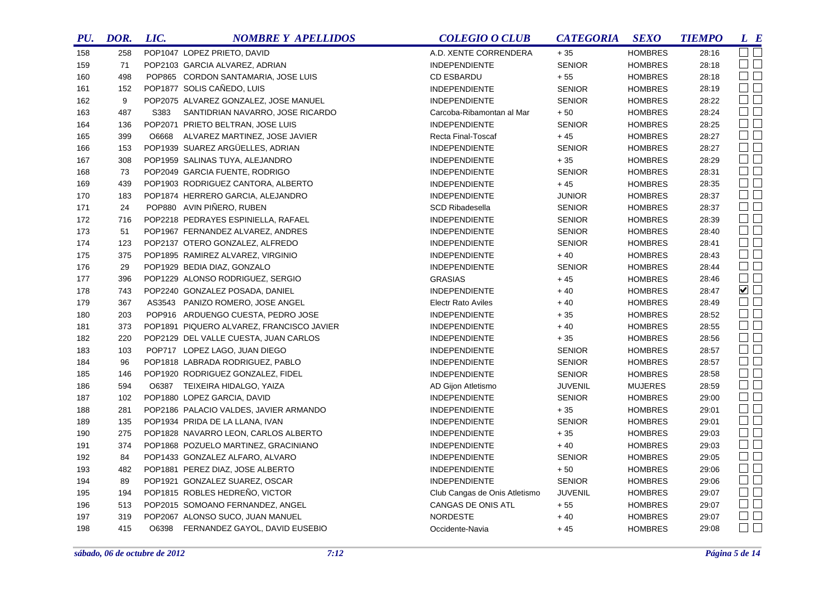| PU. | DOR. | LIC.  | <b>NOMBRE Y APELLIDOS</b>                 | <b>COLEGIO O CLUB</b>         | <b>CATEGORIA</b> | <b>SEXO</b>    | <b>TIEMPO</b> | L E            |
|-----|------|-------|-------------------------------------------|-------------------------------|------------------|----------------|---------------|----------------|
| 158 | 258  |       | POP1047 LOPEZ PRIETO, DAVID               | A.D. XENTE CORRENDERA         | $+35$            | <b>HOMBRES</b> | 28:16         | $\Box$ $\Box$  |
| 159 | 71   |       | POP2103 GARCIA ALVAREZ, ADRIAN            | <b>INDEPENDIENTE</b>          | <b>SENIOR</b>    | <b>HOMBRES</b> | 28:18         | $\Box$ $\Box$  |
| 160 | 498  |       | POP865 CORDON SANTAMARIA, JOSE LUIS       | <b>CD ESBARDU</b>             | $+55$            | <b>HOMBRES</b> | 28:18         | $\Box$ $\Box$  |
| 161 | 152  |       | POP1877 SOLIS CAÑEDO, LUIS                | <b>INDEPENDIENTE</b>          | <b>SENIOR</b>    | <b>HOMBRES</b> | 28:19         | $\square$      |
| 162 | 9    |       | POP2075 ALVAREZ GONZALEZ, JOSE MANUEL     | <b>INDEPENDIENTE</b>          | <b>SENIOR</b>    | <b>HOMBRES</b> | 28:22         | $\Box$         |
| 163 | 487  | S383  | SANTIDRIAN NAVARRO, JOSE RICARDO          | Carcoba-Ribamontan al Mar     | $+50$            | <b>HOMBRES</b> | 28:24         | $\Box$ $\Box$  |
| 164 | 136  |       | POP2071 PRIETO BELTRAN, JOSE LUIS         | <b>INDEPENDIENTE</b>          | <b>SENIOR</b>    | <b>HOMBRES</b> | 28:25         | $\Box$ $\Box$  |
| 165 | 399  | O6668 | ALVAREZ MARTINEZ, JOSE JAVIER             | Recta Final-Toscaf            | $+45$            | <b>HOMBRES</b> | 28:27         | $\Box$         |
| 166 | 153  |       | POP1939 SUAREZ ARGÜELLES, ADRIAN          | <b>INDEPENDIENTE</b>          | <b>SENIOR</b>    | <b>HOMBRES</b> | 28:27         | $\Box$         |
| 167 | 308  |       | POP1959 SALINAS TUYA, ALEJANDRO           | <b>INDEPENDIENTE</b>          | $+35$            | <b>HOMBRES</b> | 28:29         | $\Box$         |
| 168 | 73   |       | POP2049 GARCIA FUENTE, RODRIGO            | <b>INDEPENDIENTE</b>          | <b>SENIOR</b>    | <b>HOMBRES</b> | 28:31         | $\Box$         |
| 169 | 439  |       | POP1903 RODRIGUEZ CANTORA, ALBERTO        | <b>INDEPENDIENTE</b>          | $+45$            | <b>HOMBRES</b> | 28:35         | $\Box$         |
| 170 | 183  |       | POP1874 HERRERO GARCIA, ALEJANDRO         | <b>INDEPENDIENTE</b>          | <b>JUNIOR</b>    | <b>HOMBRES</b> | 28:37         | $\Box$         |
| 171 | 24   |       | POP880 AVIN PIÑERO, RUBEN                 | <b>SCD Ribadesella</b>        | <b>SENIOR</b>    | <b>HOMBRES</b> | 28:37         | $\Box$         |
| 172 | 716  |       | POP2218 PEDRAYES ESPINIELLA, RAFAEL       | <b>INDEPENDIENTE</b>          | <b>SENIOR</b>    | <b>HOMBRES</b> | 28:39         | $\Box$         |
| 173 | 51   |       | POP1967 FERNANDEZ ALVAREZ, ANDRES         | <b>INDEPENDIENTE</b>          | <b>SENIOR</b>    | <b>HOMBRES</b> | 28:40         | $\Box$         |
| 174 | 123  |       | POP2137 OTERO GONZALEZ, ALFREDO           | <b>INDEPENDIENTE</b>          | <b>SENIOR</b>    | <b>HOMBRES</b> | 28:41         | $\Box$         |
| 175 | 375  |       | POP1895 RAMIREZ ALVAREZ, VIRGINIO         | <b>INDEPENDIENTE</b>          | $+40$            | <b>HOMBRES</b> | 28:43         | $\Box$         |
| 176 | 29   |       | POP1929 BEDIA DIAZ, GONZALO               | <b>INDEPENDIENTE</b>          | <b>SENIOR</b>    | <b>HOMBRES</b> | 28:44         | $\Box$         |
| 177 | 396  |       | POP1229 ALONSO RODRIGUEZ, SERGIO          | <b>GRASIAS</b>                | $+45$            | <b>HOMBRES</b> | 28:46         | $\Box$         |
| 178 | 743  |       | POP2240 GONZALEZ POSADA, DANIEL           | <b>INDEPENDIENTE</b>          | $+40$            | <b>HOMBRES</b> | 28:47         | $\blacksquare$ |
| 179 | 367  |       | AS3543 PANIZO ROMERO, JOSE ANGEL          | <b>Electr Rato Aviles</b>     | $+40$            | <b>HOMBRES</b> | 28:49         | $\square$      |
| 180 | 203  |       | POP916 ARDUENGO CUESTA, PEDRO JOSE        | <b>INDEPENDIENTE</b>          | $+35$            | <b>HOMBRES</b> | 28:52         | $\Box$         |
| 181 | 373  |       | POP1891 PIQUERO ALVAREZ, FRANCISCO JAVIER | <b>INDEPENDIENTE</b>          | $+40$            | <b>HOMBRES</b> | 28:55         | $\Box$         |
| 182 | 220  |       | POP2129 DEL VALLE CUESTA, JUAN CARLOS     | <b>INDEPENDIENTE</b>          | $+35$            | <b>HOMBRES</b> | 28:56         | $\square$      |
| 183 | 103  |       | POP717 LOPEZ LAGO, JUAN DIEGO             | <b>INDEPENDIENTE</b>          | <b>SENIOR</b>    | <b>HOMBRES</b> | 28:57         | $\Box$         |
| 184 | 96   |       | POP1818 LABRADA RODRIGUEZ, PABLO          | <b>INDEPENDIENTE</b>          | <b>SENIOR</b>    | <b>HOMBRES</b> | 28:57         | $\Box$ $\Box$  |
| 185 | 146  |       | POP1920 RODRIGUEZ GONZALEZ, FIDEL         | <b>INDEPENDIENTE</b>          | <b>SENIOR</b>    | <b>HOMBRES</b> | 28:58         | $\Box$         |
| 186 | 594  |       | O6387 TEIXEIRA HIDALGO, YAIZA             | AD Gijon Atletismo            | <b>JUVENIL</b>   | <b>MUJERES</b> | 28:59         | $\Box$         |
| 187 | 102  |       | POP1880 LOPEZ GARCIA, DAVID               | <b>INDEPENDIENTE</b>          | <b>SENIOR</b>    | <b>HOMBRES</b> | 29:00         | $\Box$         |
| 188 | 281  |       | POP2186 PALACIO VALDES, JAVIER ARMANDO    | <b>INDEPENDIENTE</b>          | $+35$            | <b>HOMBRES</b> | 29:01         | $\Box$         |
| 189 | 135  |       | POP1934 PRIDA DE LA LLANA, IVAN           | <b>INDEPENDIENTE</b>          | <b>SENIOR</b>    | <b>HOMBRES</b> | 29:01         | $\Box$ $\Box$  |
| 190 | 275  |       | POP1828 NAVARRO LEON, CARLOS ALBERTO      | <b>INDEPENDIENTE</b>          | $+35$            | <b>HOMBRES</b> | 29:03         | $\Box$ $\Box$  |
| 191 | 374  |       | POP1868 POZUELO MARTINEZ, GRACINIANO      | <b>INDEPENDIENTE</b>          | $+40$            | <b>HOMBRES</b> | 29:03         | $\Box$ $\Box$  |
| 192 | 84   |       | POP1433 GONZALEZ ALFARO, ALVARO           | <b>INDEPENDIENTE</b>          | <b>SENIOR</b>    | <b>HOMBRES</b> | 29:05         | $\Box$ $\Box$  |
| 193 | 482  |       | POP1881 PEREZ DIAZ, JOSE ALBERTO          | <b>INDEPENDIENTE</b>          | $+50$            | <b>HOMBRES</b> | 29:06         | $\Box$         |
| 194 | 89   |       | POP1921 GONZALEZ SUAREZ, OSCAR            | <b>INDEPENDIENTE</b>          | <b>SENIOR</b>    | <b>HOMBRES</b> | 29:06         | $\Box$ $\Box$  |
| 195 | 194  |       | POP1815 ROBLES HEDREÑO, VICTOR            | Club Cangas de Onis Atletismo | <b>JUVENIL</b>   | <b>HOMBRES</b> | 29:07         | $\Box$ $\Box$  |
| 196 | 513  |       | POP2015 SOMOANO FERNANDEZ, ANGEL          | CANGAS DE ONIS ATL            | $+55$            | <b>HOMBRES</b> | 29:07         | $\Box$ $\Box$  |
| 197 | 319  |       | POP2067 ALONSO SUCO, JUAN MANUEL          | <b>NORDESTE</b>               | $+40$            | <b>HOMBRES</b> | 29:07         | $\Box$         |
| 198 | 415  |       | O6398 FERNANDEZ GAYOL, DAVID EUSEBIO      | Occidente-Navia               | $+45$            | <b>HOMBRES</b> | 29:08         | $\Box$ $\Box$  |
|     |      |       |                                           |                               |                  |                |               |                |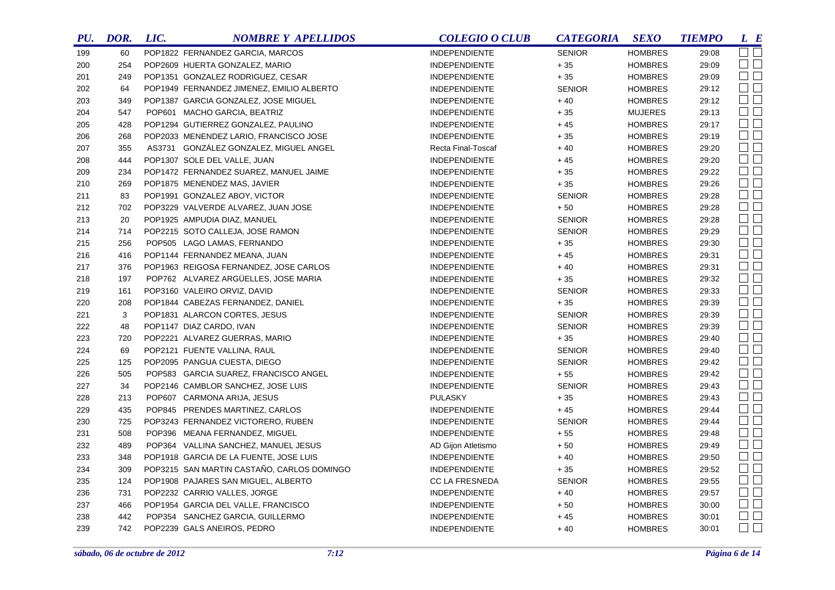| $\square$<br>POP1822 FERNANDEZ GARCIA, MARCOS<br><b>INDEPENDIENTE</b><br><b>SENIOR</b><br><b>HOMBRES</b><br>199<br>60<br>29:08<br>$\Box$ $\Box$<br>$+35$<br>POP2609 HUERTA GONZALEZ, MARIO<br>29:09<br>254<br>INDEPENDIENTE<br><b>HOMBRES</b><br>200<br>$\Box$<br>$+35$<br>249<br>POP1351 GONZALEZ RODRIGUEZ, CESAR<br><b>INDEPENDIENTE</b><br><b>HOMBRES</b><br>29:09<br>201<br>$\square$ $\square$<br>29:12<br>202<br>64<br>POP1949 FERNANDEZ JIMENEZ, EMILIO ALBERTO<br><b>SENIOR</b><br><b>HOMBRES</b><br><b>INDEPENDIENTE</b><br>$\square$<br>POP1387 GARCIA GONZALEZ, JOSE MIGUEL<br>$+40$<br>29:12<br>203<br>349<br><b>INDEPENDIENTE</b><br><b>HOMBRES</b><br>$\Box$<br>547<br>POP601 MACHO GARCIA, BEATRIZ<br>$+35$<br>29:13<br>204<br><b>INDEPENDIENTE</b><br><b>MUJERES</b><br>$\square$ $\square$<br>POP1294 GUTIERREZ GONZALEZ, PAULINO<br>$+45$<br>29:17<br>205<br>428<br><b>INDEPENDIENTE</b><br><b>HOMBRES</b><br>$\Box$<br>29:19<br>206<br>268<br>POP2033 MENENDEZ LARIO, FRANCISCO JOSE<br><b>INDEPENDIENTE</b><br>$+35$<br><b>HOMBRES</b><br>$\Box$ $\Box$<br>AS3731 GONZÁLEZ GONZALEZ, MIGUEL ANGEL<br>29:20<br>207<br>355<br>Recta Final-Toscaf<br>$+40$<br><b>HOMBRES</b><br>$\Box$<br>29:20<br>208<br>444<br>POP1307 SOLE DEL VALLE, JUAN<br><b>INDEPENDIENTE</b><br>$+45$<br><b>HOMBRES</b><br>$\Box$ $\Box$<br>29:22<br>209<br>234<br>POP1472 FERNANDEZ SUAREZ, MANUEL JAIME<br><b>INDEPENDIENTE</b><br>$+35$<br><b>HOMBRES</b><br>$\Box$<br>210<br>269<br>POP1875 MENENDEZ MAS, JAVIER<br>$+35$<br><b>HOMBRES</b><br>29:26<br><b>INDEPENDIENTE</b><br>$\Box$<br>POP1991 GONZALEZ ABOY, VICTOR<br><b>SENIOR</b><br>29:28<br>211<br>83<br><b>INDEPENDIENTE</b><br><b>HOMBRES</b><br>$\Box$<br>POP3229 VALVERDE ALVAREZ, JUAN JOSE<br>$+50$<br>29:28<br>212<br>702<br><b>INDEPENDIENTE</b><br><b>HOMBRES</b><br>$\square$<br>213<br><b>SENIOR</b><br>29:28<br>20<br>POP1925 AMPUDIA DIAZ, MANUEL<br><b>INDEPENDIENTE</b><br><b>HOMBRES</b><br>$\Box$<br>214<br><b>SENIOR</b><br>29:29<br>714<br>POP2215 SOTO CALLEJA, JOSE RAMON<br>INDEPENDIENTE<br><b>HOMBRES</b><br>$\Box$<br>29:30<br>215<br>256<br>POP505 LAGO LAMAS, FERNANDO<br><b>INDEPENDIENTE</b><br>$+35$<br><b>HOMBRES</b><br>$\Box$<br>29:31<br>216<br>416<br>POP1144 FERNANDEZ MEANA, JUAN<br><b>INDEPENDIENTE</b><br>$+45$<br><b>HOMBRES</b><br>$\Box$<br>217<br>376<br>POP1963 REIGOSA FERNANDEZ, JOSE CARLOS<br>$+40$<br><b>HOMBRES</b><br>29:31<br><b>INDEPENDIENTE</b><br>$\Box$<br>218<br>197<br>POP762 ALVAREZ ARGÜELLES, JOSE MARIA<br>$+35$<br><b>HOMBRES</b><br>29:32<br><b>INDEPENDIENTE</b><br>$\Box$ $\Box$<br>219<br>POP3160 VALEIRO ORVIZ, DAVID<br><b>SENIOR</b><br>29:33<br>161<br><b>INDEPENDIENTE</b><br><b>HOMBRES</b><br>$\Box$ $\Box$<br>29:39<br>220<br>208<br>POP1844 CABEZAS FERNANDEZ, DANIEL<br>INDEPENDIENTE<br>$+35$<br><b>HOMBRES</b><br>$\Box$<br>3<br>29:39<br>221<br>POP1831 ALARCON CORTES, JESUS<br><b>INDEPENDIENTE</b><br><b>SENIOR</b><br><b>HOMBRES</b><br>$\Box$<br>222<br>29:39<br>48<br>POP1147 DIAZ CARDO, IVAN<br><b>SENIOR</b><br><b>HOMBRES</b><br><b>INDEPENDIENTE</b><br>$\Box$ $\Box$<br>223<br>POP2221 ALVAREZ GUERRAS, MARIO<br>$+35$<br><b>HOMBRES</b><br>29:40<br>720<br><b>INDEPENDIENTE</b><br>$\Box$<br>69<br>POP2121 FUENTE VALLINA, RAUL<br><b>SENIOR</b><br>29:40<br>224<br><b>INDEPENDIENTE</b><br><b>HOMBRES</b><br>$\Box$ $\Box$<br>225<br>125<br>POP2095 PANGUA CUESTA, DIEGO<br>29:42<br><b>SENIOR</b><br><b>INDEPENDIENTE</b><br><b>HOMBRES</b><br>$\Box$ $\Box$<br>POP583 GARCIA SUAREZ, FRANCISCO ANGEL<br>29:42<br>226<br>505<br>$+55$<br><b>INDEPENDIENTE</b><br><b>HOMBRES</b><br>$\Box$<br>227<br>34<br>POP2146 CAMBLOR SANCHEZ, JOSE LUIS<br><b>SENIOR</b><br>29:43<br>INDEPENDIENTE<br><b>HOMBRES</b><br>$\Box$ $\Box$<br>228<br>213<br>POP607 CARMONA ARIJA, JESUS<br>29:43<br><b>PULASKY</b><br>$+35$<br><b>HOMBRES</b><br>$\Box$<br>435<br>POP845 PRENDES MARTINEZ, CARLOS<br>29:44<br>229<br><b>INDEPENDIENTE</b><br>$+45$<br><b>HOMBRES</b><br>$\Box$ $\Box$<br>230<br>POP3243 FERNANDEZ VICTORERO, RUBEN<br>29:44<br>725<br><b>INDEPENDIENTE</b><br><b>SENIOR</b><br><b>HOMBRES</b><br>$\Box$ $\Box$<br>508<br>29:48<br>231<br>POP396 MEANA FERNANDEZ, MIGUEL<br><b>INDEPENDIENTE</b><br>$+55$<br><b>HOMBRES</b><br>$\Box$<br>232<br>489<br>POP364 VALLINA SANCHEZ, MANUEL JESUS<br>$+50$<br>29:49<br>AD Gijon Atletismo<br><b>HOMBRES</b><br>$\Box$ $\Box$<br>29:50<br>233<br>348<br>POP1918 GARCIA DE LA FUENTE, JOSE LUIS<br>$+40$<br><b>INDEPENDIENTE</b><br><b>HOMBRES</b><br>$\square$ $\square$<br>POP3215 SAN MARTIN CASTAÑO, CARLOS DOMINGO<br>29:52<br>234<br>309<br>$+35$<br>INDEPENDIENTE<br><b>HOMBRES</b><br>$\Box$ $\Box$<br>235<br>124<br>POP1908 PAJARES SAN MIGUEL, ALBERTO<br>29:55<br><b>CC LA FRESNEDA</b><br><b>SENIOR</b><br><b>HOMBRES</b><br>$\Box$ $\Box$<br>29:57<br>236<br>731<br>POP2232 CARRIO VALLES, JORGE<br>$+40$<br><b>HOMBRES</b><br><b>INDEPENDIENTE</b><br>$\Box$<br>237<br>466<br>POP1954 GARCIA DEL VALLE, FRANCISCO<br>INDEPENDIENTE<br>$+50$<br><b>HOMBRES</b><br>30:00<br>$\Box$<br>238<br>442<br>POP354 SANCHEZ GARCIA, GUILLERMO<br>$+45$<br><b>HOMBRES</b><br>30:01<br><b>INDEPENDIENTE</b> | PU. | DOR. | LIC. | <b>NOMBRE Y APELLIDOS</b> | <b>COLEGIO O CLUB</b> | <b>CATEGORIA</b> | <b>SEXO</b>    | <b>TIEMPO</b> | $L$ $B$       |
|--------------------------------------------------------------------------------------------------------------------------------------------------------------------------------------------------------------------------------------------------------------------------------------------------------------------------------------------------------------------------------------------------------------------------------------------------------------------------------------------------------------------------------------------------------------------------------------------------------------------------------------------------------------------------------------------------------------------------------------------------------------------------------------------------------------------------------------------------------------------------------------------------------------------------------------------------------------------------------------------------------------------------------------------------------------------------------------------------------------------------------------------------------------------------------------------------------------------------------------------------------------------------------------------------------------------------------------------------------------------------------------------------------------------------------------------------------------------------------------------------------------------------------------------------------------------------------------------------------------------------------------------------------------------------------------------------------------------------------------------------------------------------------------------------------------------------------------------------------------------------------------------------------------------------------------------------------------------------------------------------------------------------------------------------------------------------------------------------------------------------------------------------------------------------------------------------------------------------------------------------------------------------------------------------------------------------------------------------------------------------------------------------------------------------------------------------------------------------------------------------------------------------------------------------------------------------------------------------------------------------------------------------------------------------------------------------------------------------------------------------------------------------------------------------------------------------------------------------------------------------------------------------------------------------------------------------------------------------------------------------------------------------------------------------------------------------------------------------------------------------------------------------------------------------------------------------------------------------------------------------------------------------------------------------------------------------------------------------------------------------------------------------------------------------------------------------------------------------------------------------------------------------------------------------------------------------------------------------------------------------------------------------------------------------------------------------------------------------------------------------------------------------------------------------------------------------------------------------------------------------------------------------------------------------------------------------------------------------------------------------------------------------------------------------------------------------------------------------------------------------------------------------------------------------------------------------------------------------------------------------------------------------------------------------------------------------------------------------------------------------------------------------------------------------------------------------------------------------------------------------------------------------------------------------------------------------------------------------------------------------------------------------------------------------------------------------------------------------------------------------------------------------------------------------------------------------------------------------------------------------------------------------------------------------------------------------------------------------------------------------------------------------------------------------------------------------------------------------------------------------------------------------------------------------------------------------------------|-----|------|------|---------------------------|-----------------------|------------------|----------------|---------------|---------------|
|                                                                                                                                                                                                                                                                                                                                                                                                                                                                                                                                                                                                                                                                                                                                                                                                                                                                                                                                                                                                                                                                                                                                                                                                                                                                                                                                                                                                                                                                                                                                                                                                                                                                                                                                                                                                                                                                                                                                                                                                                                                                                                                                                                                                                                                                                                                                                                                                                                                                                                                                                                                                                                                                                                                                                                                                                                                                                                                                                                                                                                                                                                                                                                                                                                                                                                                                                                                                                                                                                                                                                                                                                                                                                                                                                                                                                                                                                                                                                                                                                                                                                                                                                                                                                                                                                                                                                                                                                                                                                                                                                                                                                                                                                                                                                                                                                                                                                                                                                                                                                                                                                                                                                                                                              |     |      |      |                           |                       |                  |                |               |               |
|                                                                                                                                                                                                                                                                                                                                                                                                                                                                                                                                                                                                                                                                                                                                                                                                                                                                                                                                                                                                                                                                                                                                                                                                                                                                                                                                                                                                                                                                                                                                                                                                                                                                                                                                                                                                                                                                                                                                                                                                                                                                                                                                                                                                                                                                                                                                                                                                                                                                                                                                                                                                                                                                                                                                                                                                                                                                                                                                                                                                                                                                                                                                                                                                                                                                                                                                                                                                                                                                                                                                                                                                                                                                                                                                                                                                                                                                                                                                                                                                                                                                                                                                                                                                                                                                                                                                                                                                                                                                                                                                                                                                                                                                                                                                                                                                                                                                                                                                                                                                                                                                                                                                                                                                              |     |      |      |                           |                       |                  |                |               |               |
|                                                                                                                                                                                                                                                                                                                                                                                                                                                                                                                                                                                                                                                                                                                                                                                                                                                                                                                                                                                                                                                                                                                                                                                                                                                                                                                                                                                                                                                                                                                                                                                                                                                                                                                                                                                                                                                                                                                                                                                                                                                                                                                                                                                                                                                                                                                                                                                                                                                                                                                                                                                                                                                                                                                                                                                                                                                                                                                                                                                                                                                                                                                                                                                                                                                                                                                                                                                                                                                                                                                                                                                                                                                                                                                                                                                                                                                                                                                                                                                                                                                                                                                                                                                                                                                                                                                                                                                                                                                                                                                                                                                                                                                                                                                                                                                                                                                                                                                                                                                                                                                                                                                                                                                                              |     |      |      |                           |                       |                  |                |               |               |
|                                                                                                                                                                                                                                                                                                                                                                                                                                                                                                                                                                                                                                                                                                                                                                                                                                                                                                                                                                                                                                                                                                                                                                                                                                                                                                                                                                                                                                                                                                                                                                                                                                                                                                                                                                                                                                                                                                                                                                                                                                                                                                                                                                                                                                                                                                                                                                                                                                                                                                                                                                                                                                                                                                                                                                                                                                                                                                                                                                                                                                                                                                                                                                                                                                                                                                                                                                                                                                                                                                                                                                                                                                                                                                                                                                                                                                                                                                                                                                                                                                                                                                                                                                                                                                                                                                                                                                                                                                                                                                                                                                                                                                                                                                                                                                                                                                                                                                                                                                                                                                                                                                                                                                                                              |     |      |      |                           |                       |                  |                |               |               |
|                                                                                                                                                                                                                                                                                                                                                                                                                                                                                                                                                                                                                                                                                                                                                                                                                                                                                                                                                                                                                                                                                                                                                                                                                                                                                                                                                                                                                                                                                                                                                                                                                                                                                                                                                                                                                                                                                                                                                                                                                                                                                                                                                                                                                                                                                                                                                                                                                                                                                                                                                                                                                                                                                                                                                                                                                                                                                                                                                                                                                                                                                                                                                                                                                                                                                                                                                                                                                                                                                                                                                                                                                                                                                                                                                                                                                                                                                                                                                                                                                                                                                                                                                                                                                                                                                                                                                                                                                                                                                                                                                                                                                                                                                                                                                                                                                                                                                                                                                                                                                                                                                                                                                                                                              |     |      |      |                           |                       |                  |                |               |               |
|                                                                                                                                                                                                                                                                                                                                                                                                                                                                                                                                                                                                                                                                                                                                                                                                                                                                                                                                                                                                                                                                                                                                                                                                                                                                                                                                                                                                                                                                                                                                                                                                                                                                                                                                                                                                                                                                                                                                                                                                                                                                                                                                                                                                                                                                                                                                                                                                                                                                                                                                                                                                                                                                                                                                                                                                                                                                                                                                                                                                                                                                                                                                                                                                                                                                                                                                                                                                                                                                                                                                                                                                                                                                                                                                                                                                                                                                                                                                                                                                                                                                                                                                                                                                                                                                                                                                                                                                                                                                                                                                                                                                                                                                                                                                                                                                                                                                                                                                                                                                                                                                                                                                                                                                              |     |      |      |                           |                       |                  |                |               |               |
|                                                                                                                                                                                                                                                                                                                                                                                                                                                                                                                                                                                                                                                                                                                                                                                                                                                                                                                                                                                                                                                                                                                                                                                                                                                                                                                                                                                                                                                                                                                                                                                                                                                                                                                                                                                                                                                                                                                                                                                                                                                                                                                                                                                                                                                                                                                                                                                                                                                                                                                                                                                                                                                                                                                                                                                                                                                                                                                                                                                                                                                                                                                                                                                                                                                                                                                                                                                                                                                                                                                                                                                                                                                                                                                                                                                                                                                                                                                                                                                                                                                                                                                                                                                                                                                                                                                                                                                                                                                                                                                                                                                                                                                                                                                                                                                                                                                                                                                                                                                                                                                                                                                                                                                                              |     |      |      |                           |                       |                  |                |               |               |
|                                                                                                                                                                                                                                                                                                                                                                                                                                                                                                                                                                                                                                                                                                                                                                                                                                                                                                                                                                                                                                                                                                                                                                                                                                                                                                                                                                                                                                                                                                                                                                                                                                                                                                                                                                                                                                                                                                                                                                                                                                                                                                                                                                                                                                                                                                                                                                                                                                                                                                                                                                                                                                                                                                                                                                                                                                                                                                                                                                                                                                                                                                                                                                                                                                                                                                                                                                                                                                                                                                                                                                                                                                                                                                                                                                                                                                                                                                                                                                                                                                                                                                                                                                                                                                                                                                                                                                                                                                                                                                                                                                                                                                                                                                                                                                                                                                                                                                                                                                                                                                                                                                                                                                                                              |     |      |      |                           |                       |                  |                |               |               |
|                                                                                                                                                                                                                                                                                                                                                                                                                                                                                                                                                                                                                                                                                                                                                                                                                                                                                                                                                                                                                                                                                                                                                                                                                                                                                                                                                                                                                                                                                                                                                                                                                                                                                                                                                                                                                                                                                                                                                                                                                                                                                                                                                                                                                                                                                                                                                                                                                                                                                                                                                                                                                                                                                                                                                                                                                                                                                                                                                                                                                                                                                                                                                                                                                                                                                                                                                                                                                                                                                                                                                                                                                                                                                                                                                                                                                                                                                                                                                                                                                                                                                                                                                                                                                                                                                                                                                                                                                                                                                                                                                                                                                                                                                                                                                                                                                                                                                                                                                                                                                                                                                                                                                                                                              |     |      |      |                           |                       |                  |                |               |               |
|                                                                                                                                                                                                                                                                                                                                                                                                                                                                                                                                                                                                                                                                                                                                                                                                                                                                                                                                                                                                                                                                                                                                                                                                                                                                                                                                                                                                                                                                                                                                                                                                                                                                                                                                                                                                                                                                                                                                                                                                                                                                                                                                                                                                                                                                                                                                                                                                                                                                                                                                                                                                                                                                                                                                                                                                                                                                                                                                                                                                                                                                                                                                                                                                                                                                                                                                                                                                                                                                                                                                                                                                                                                                                                                                                                                                                                                                                                                                                                                                                                                                                                                                                                                                                                                                                                                                                                                                                                                                                                                                                                                                                                                                                                                                                                                                                                                                                                                                                                                                                                                                                                                                                                                                              |     |      |      |                           |                       |                  |                |               |               |
|                                                                                                                                                                                                                                                                                                                                                                                                                                                                                                                                                                                                                                                                                                                                                                                                                                                                                                                                                                                                                                                                                                                                                                                                                                                                                                                                                                                                                                                                                                                                                                                                                                                                                                                                                                                                                                                                                                                                                                                                                                                                                                                                                                                                                                                                                                                                                                                                                                                                                                                                                                                                                                                                                                                                                                                                                                                                                                                                                                                                                                                                                                                                                                                                                                                                                                                                                                                                                                                                                                                                                                                                                                                                                                                                                                                                                                                                                                                                                                                                                                                                                                                                                                                                                                                                                                                                                                                                                                                                                                                                                                                                                                                                                                                                                                                                                                                                                                                                                                                                                                                                                                                                                                                                              |     |      |      |                           |                       |                  |                |               |               |
|                                                                                                                                                                                                                                                                                                                                                                                                                                                                                                                                                                                                                                                                                                                                                                                                                                                                                                                                                                                                                                                                                                                                                                                                                                                                                                                                                                                                                                                                                                                                                                                                                                                                                                                                                                                                                                                                                                                                                                                                                                                                                                                                                                                                                                                                                                                                                                                                                                                                                                                                                                                                                                                                                                                                                                                                                                                                                                                                                                                                                                                                                                                                                                                                                                                                                                                                                                                                                                                                                                                                                                                                                                                                                                                                                                                                                                                                                                                                                                                                                                                                                                                                                                                                                                                                                                                                                                                                                                                                                                                                                                                                                                                                                                                                                                                                                                                                                                                                                                                                                                                                                                                                                                                                              |     |      |      |                           |                       |                  |                |               |               |
|                                                                                                                                                                                                                                                                                                                                                                                                                                                                                                                                                                                                                                                                                                                                                                                                                                                                                                                                                                                                                                                                                                                                                                                                                                                                                                                                                                                                                                                                                                                                                                                                                                                                                                                                                                                                                                                                                                                                                                                                                                                                                                                                                                                                                                                                                                                                                                                                                                                                                                                                                                                                                                                                                                                                                                                                                                                                                                                                                                                                                                                                                                                                                                                                                                                                                                                                                                                                                                                                                                                                                                                                                                                                                                                                                                                                                                                                                                                                                                                                                                                                                                                                                                                                                                                                                                                                                                                                                                                                                                                                                                                                                                                                                                                                                                                                                                                                                                                                                                                                                                                                                                                                                                                                              |     |      |      |                           |                       |                  |                |               |               |
|                                                                                                                                                                                                                                                                                                                                                                                                                                                                                                                                                                                                                                                                                                                                                                                                                                                                                                                                                                                                                                                                                                                                                                                                                                                                                                                                                                                                                                                                                                                                                                                                                                                                                                                                                                                                                                                                                                                                                                                                                                                                                                                                                                                                                                                                                                                                                                                                                                                                                                                                                                                                                                                                                                                                                                                                                                                                                                                                                                                                                                                                                                                                                                                                                                                                                                                                                                                                                                                                                                                                                                                                                                                                                                                                                                                                                                                                                                                                                                                                                                                                                                                                                                                                                                                                                                                                                                                                                                                                                                                                                                                                                                                                                                                                                                                                                                                                                                                                                                                                                                                                                                                                                                                                              |     |      |      |                           |                       |                  |                |               |               |
|                                                                                                                                                                                                                                                                                                                                                                                                                                                                                                                                                                                                                                                                                                                                                                                                                                                                                                                                                                                                                                                                                                                                                                                                                                                                                                                                                                                                                                                                                                                                                                                                                                                                                                                                                                                                                                                                                                                                                                                                                                                                                                                                                                                                                                                                                                                                                                                                                                                                                                                                                                                                                                                                                                                                                                                                                                                                                                                                                                                                                                                                                                                                                                                                                                                                                                                                                                                                                                                                                                                                                                                                                                                                                                                                                                                                                                                                                                                                                                                                                                                                                                                                                                                                                                                                                                                                                                                                                                                                                                                                                                                                                                                                                                                                                                                                                                                                                                                                                                                                                                                                                                                                                                                                              |     |      |      |                           |                       |                  |                |               |               |
|                                                                                                                                                                                                                                                                                                                                                                                                                                                                                                                                                                                                                                                                                                                                                                                                                                                                                                                                                                                                                                                                                                                                                                                                                                                                                                                                                                                                                                                                                                                                                                                                                                                                                                                                                                                                                                                                                                                                                                                                                                                                                                                                                                                                                                                                                                                                                                                                                                                                                                                                                                                                                                                                                                                                                                                                                                                                                                                                                                                                                                                                                                                                                                                                                                                                                                                                                                                                                                                                                                                                                                                                                                                                                                                                                                                                                                                                                                                                                                                                                                                                                                                                                                                                                                                                                                                                                                                                                                                                                                                                                                                                                                                                                                                                                                                                                                                                                                                                                                                                                                                                                                                                                                                                              |     |      |      |                           |                       |                  |                |               |               |
|                                                                                                                                                                                                                                                                                                                                                                                                                                                                                                                                                                                                                                                                                                                                                                                                                                                                                                                                                                                                                                                                                                                                                                                                                                                                                                                                                                                                                                                                                                                                                                                                                                                                                                                                                                                                                                                                                                                                                                                                                                                                                                                                                                                                                                                                                                                                                                                                                                                                                                                                                                                                                                                                                                                                                                                                                                                                                                                                                                                                                                                                                                                                                                                                                                                                                                                                                                                                                                                                                                                                                                                                                                                                                                                                                                                                                                                                                                                                                                                                                                                                                                                                                                                                                                                                                                                                                                                                                                                                                                                                                                                                                                                                                                                                                                                                                                                                                                                                                                                                                                                                                                                                                                                                              |     |      |      |                           |                       |                  |                |               |               |
|                                                                                                                                                                                                                                                                                                                                                                                                                                                                                                                                                                                                                                                                                                                                                                                                                                                                                                                                                                                                                                                                                                                                                                                                                                                                                                                                                                                                                                                                                                                                                                                                                                                                                                                                                                                                                                                                                                                                                                                                                                                                                                                                                                                                                                                                                                                                                                                                                                                                                                                                                                                                                                                                                                                                                                                                                                                                                                                                                                                                                                                                                                                                                                                                                                                                                                                                                                                                                                                                                                                                                                                                                                                                                                                                                                                                                                                                                                                                                                                                                                                                                                                                                                                                                                                                                                                                                                                                                                                                                                                                                                                                                                                                                                                                                                                                                                                                                                                                                                                                                                                                                                                                                                                                              |     |      |      |                           |                       |                  |                |               |               |
|                                                                                                                                                                                                                                                                                                                                                                                                                                                                                                                                                                                                                                                                                                                                                                                                                                                                                                                                                                                                                                                                                                                                                                                                                                                                                                                                                                                                                                                                                                                                                                                                                                                                                                                                                                                                                                                                                                                                                                                                                                                                                                                                                                                                                                                                                                                                                                                                                                                                                                                                                                                                                                                                                                                                                                                                                                                                                                                                                                                                                                                                                                                                                                                                                                                                                                                                                                                                                                                                                                                                                                                                                                                                                                                                                                                                                                                                                                                                                                                                                                                                                                                                                                                                                                                                                                                                                                                                                                                                                                                                                                                                                                                                                                                                                                                                                                                                                                                                                                                                                                                                                                                                                                                                              |     |      |      |                           |                       |                  |                |               |               |
|                                                                                                                                                                                                                                                                                                                                                                                                                                                                                                                                                                                                                                                                                                                                                                                                                                                                                                                                                                                                                                                                                                                                                                                                                                                                                                                                                                                                                                                                                                                                                                                                                                                                                                                                                                                                                                                                                                                                                                                                                                                                                                                                                                                                                                                                                                                                                                                                                                                                                                                                                                                                                                                                                                                                                                                                                                                                                                                                                                                                                                                                                                                                                                                                                                                                                                                                                                                                                                                                                                                                                                                                                                                                                                                                                                                                                                                                                                                                                                                                                                                                                                                                                                                                                                                                                                                                                                                                                                                                                                                                                                                                                                                                                                                                                                                                                                                                                                                                                                                                                                                                                                                                                                                                              |     |      |      |                           |                       |                  |                |               |               |
|                                                                                                                                                                                                                                                                                                                                                                                                                                                                                                                                                                                                                                                                                                                                                                                                                                                                                                                                                                                                                                                                                                                                                                                                                                                                                                                                                                                                                                                                                                                                                                                                                                                                                                                                                                                                                                                                                                                                                                                                                                                                                                                                                                                                                                                                                                                                                                                                                                                                                                                                                                                                                                                                                                                                                                                                                                                                                                                                                                                                                                                                                                                                                                                                                                                                                                                                                                                                                                                                                                                                                                                                                                                                                                                                                                                                                                                                                                                                                                                                                                                                                                                                                                                                                                                                                                                                                                                                                                                                                                                                                                                                                                                                                                                                                                                                                                                                                                                                                                                                                                                                                                                                                                                                              |     |      |      |                           |                       |                  |                |               |               |
|                                                                                                                                                                                                                                                                                                                                                                                                                                                                                                                                                                                                                                                                                                                                                                                                                                                                                                                                                                                                                                                                                                                                                                                                                                                                                                                                                                                                                                                                                                                                                                                                                                                                                                                                                                                                                                                                                                                                                                                                                                                                                                                                                                                                                                                                                                                                                                                                                                                                                                                                                                                                                                                                                                                                                                                                                                                                                                                                                                                                                                                                                                                                                                                                                                                                                                                                                                                                                                                                                                                                                                                                                                                                                                                                                                                                                                                                                                                                                                                                                                                                                                                                                                                                                                                                                                                                                                                                                                                                                                                                                                                                                                                                                                                                                                                                                                                                                                                                                                                                                                                                                                                                                                                                              |     |      |      |                           |                       |                  |                |               |               |
|                                                                                                                                                                                                                                                                                                                                                                                                                                                                                                                                                                                                                                                                                                                                                                                                                                                                                                                                                                                                                                                                                                                                                                                                                                                                                                                                                                                                                                                                                                                                                                                                                                                                                                                                                                                                                                                                                                                                                                                                                                                                                                                                                                                                                                                                                                                                                                                                                                                                                                                                                                                                                                                                                                                                                                                                                                                                                                                                                                                                                                                                                                                                                                                                                                                                                                                                                                                                                                                                                                                                                                                                                                                                                                                                                                                                                                                                                                                                                                                                                                                                                                                                                                                                                                                                                                                                                                                                                                                                                                                                                                                                                                                                                                                                                                                                                                                                                                                                                                                                                                                                                                                                                                                                              |     |      |      |                           |                       |                  |                |               |               |
|                                                                                                                                                                                                                                                                                                                                                                                                                                                                                                                                                                                                                                                                                                                                                                                                                                                                                                                                                                                                                                                                                                                                                                                                                                                                                                                                                                                                                                                                                                                                                                                                                                                                                                                                                                                                                                                                                                                                                                                                                                                                                                                                                                                                                                                                                                                                                                                                                                                                                                                                                                                                                                                                                                                                                                                                                                                                                                                                                                                                                                                                                                                                                                                                                                                                                                                                                                                                                                                                                                                                                                                                                                                                                                                                                                                                                                                                                                                                                                                                                                                                                                                                                                                                                                                                                                                                                                                                                                                                                                                                                                                                                                                                                                                                                                                                                                                                                                                                                                                                                                                                                                                                                                                                              |     |      |      |                           |                       |                  |                |               |               |
|                                                                                                                                                                                                                                                                                                                                                                                                                                                                                                                                                                                                                                                                                                                                                                                                                                                                                                                                                                                                                                                                                                                                                                                                                                                                                                                                                                                                                                                                                                                                                                                                                                                                                                                                                                                                                                                                                                                                                                                                                                                                                                                                                                                                                                                                                                                                                                                                                                                                                                                                                                                                                                                                                                                                                                                                                                                                                                                                                                                                                                                                                                                                                                                                                                                                                                                                                                                                                                                                                                                                                                                                                                                                                                                                                                                                                                                                                                                                                                                                                                                                                                                                                                                                                                                                                                                                                                                                                                                                                                                                                                                                                                                                                                                                                                                                                                                                                                                                                                                                                                                                                                                                                                                                              |     |      |      |                           |                       |                  |                |               |               |
|                                                                                                                                                                                                                                                                                                                                                                                                                                                                                                                                                                                                                                                                                                                                                                                                                                                                                                                                                                                                                                                                                                                                                                                                                                                                                                                                                                                                                                                                                                                                                                                                                                                                                                                                                                                                                                                                                                                                                                                                                                                                                                                                                                                                                                                                                                                                                                                                                                                                                                                                                                                                                                                                                                                                                                                                                                                                                                                                                                                                                                                                                                                                                                                                                                                                                                                                                                                                                                                                                                                                                                                                                                                                                                                                                                                                                                                                                                                                                                                                                                                                                                                                                                                                                                                                                                                                                                                                                                                                                                                                                                                                                                                                                                                                                                                                                                                                                                                                                                                                                                                                                                                                                                                                              |     |      |      |                           |                       |                  |                |               |               |
|                                                                                                                                                                                                                                                                                                                                                                                                                                                                                                                                                                                                                                                                                                                                                                                                                                                                                                                                                                                                                                                                                                                                                                                                                                                                                                                                                                                                                                                                                                                                                                                                                                                                                                                                                                                                                                                                                                                                                                                                                                                                                                                                                                                                                                                                                                                                                                                                                                                                                                                                                                                                                                                                                                                                                                                                                                                                                                                                                                                                                                                                                                                                                                                                                                                                                                                                                                                                                                                                                                                                                                                                                                                                                                                                                                                                                                                                                                                                                                                                                                                                                                                                                                                                                                                                                                                                                                                                                                                                                                                                                                                                                                                                                                                                                                                                                                                                                                                                                                                                                                                                                                                                                                                                              |     |      |      |                           |                       |                  |                |               |               |
|                                                                                                                                                                                                                                                                                                                                                                                                                                                                                                                                                                                                                                                                                                                                                                                                                                                                                                                                                                                                                                                                                                                                                                                                                                                                                                                                                                                                                                                                                                                                                                                                                                                                                                                                                                                                                                                                                                                                                                                                                                                                                                                                                                                                                                                                                                                                                                                                                                                                                                                                                                                                                                                                                                                                                                                                                                                                                                                                                                                                                                                                                                                                                                                                                                                                                                                                                                                                                                                                                                                                                                                                                                                                                                                                                                                                                                                                                                                                                                                                                                                                                                                                                                                                                                                                                                                                                                                                                                                                                                                                                                                                                                                                                                                                                                                                                                                                                                                                                                                                                                                                                                                                                                                                              |     |      |      |                           |                       |                  |                |               |               |
|                                                                                                                                                                                                                                                                                                                                                                                                                                                                                                                                                                                                                                                                                                                                                                                                                                                                                                                                                                                                                                                                                                                                                                                                                                                                                                                                                                                                                                                                                                                                                                                                                                                                                                                                                                                                                                                                                                                                                                                                                                                                                                                                                                                                                                                                                                                                                                                                                                                                                                                                                                                                                                                                                                                                                                                                                                                                                                                                                                                                                                                                                                                                                                                                                                                                                                                                                                                                                                                                                                                                                                                                                                                                                                                                                                                                                                                                                                                                                                                                                                                                                                                                                                                                                                                                                                                                                                                                                                                                                                                                                                                                                                                                                                                                                                                                                                                                                                                                                                                                                                                                                                                                                                                                              |     |      |      |                           |                       |                  |                |               |               |
|                                                                                                                                                                                                                                                                                                                                                                                                                                                                                                                                                                                                                                                                                                                                                                                                                                                                                                                                                                                                                                                                                                                                                                                                                                                                                                                                                                                                                                                                                                                                                                                                                                                                                                                                                                                                                                                                                                                                                                                                                                                                                                                                                                                                                                                                                                                                                                                                                                                                                                                                                                                                                                                                                                                                                                                                                                                                                                                                                                                                                                                                                                                                                                                                                                                                                                                                                                                                                                                                                                                                                                                                                                                                                                                                                                                                                                                                                                                                                                                                                                                                                                                                                                                                                                                                                                                                                                                                                                                                                                                                                                                                                                                                                                                                                                                                                                                                                                                                                                                                                                                                                                                                                                                                              |     |      |      |                           |                       |                  |                |               |               |
|                                                                                                                                                                                                                                                                                                                                                                                                                                                                                                                                                                                                                                                                                                                                                                                                                                                                                                                                                                                                                                                                                                                                                                                                                                                                                                                                                                                                                                                                                                                                                                                                                                                                                                                                                                                                                                                                                                                                                                                                                                                                                                                                                                                                                                                                                                                                                                                                                                                                                                                                                                                                                                                                                                                                                                                                                                                                                                                                                                                                                                                                                                                                                                                                                                                                                                                                                                                                                                                                                                                                                                                                                                                                                                                                                                                                                                                                                                                                                                                                                                                                                                                                                                                                                                                                                                                                                                                                                                                                                                                                                                                                                                                                                                                                                                                                                                                                                                                                                                                                                                                                                                                                                                                                              |     |      |      |                           |                       |                  |                |               |               |
|                                                                                                                                                                                                                                                                                                                                                                                                                                                                                                                                                                                                                                                                                                                                                                                                                                                                                                                                                                                                                                                                                                                                                                                                                                                                                                                                                                                                                                                                                                                                                                                                                                                                                                                                                                                                                                                                                                                                                                                                                                                                                                                                                                                                                                                                                                                                                                                                                                                                                                                                                                                                                                                                                                                                                                                                                                                                                                                                                                                                                                                                                                                                                                                                                                                                                                                                                                                                                                                                                                                                                                                                                                                                                                                                                                                                                                                                                                                                                                                                                                                                                                                                                                                                                                                                                                                                                                                                                                                                                                                                                                                                                                                                                                                                                                                                                                                                                                                                                                                                                                                                                                                                                                                                              |     |      |      |                           |                       |                  |                |               |               |
|                                                                                                                                                                                                                                                                                                                                                                                                                                                                                                                                                                                                                                                                                                                                                                                                                                                                                                                                                                                                                                                                                                                                                                                                                                                                                                                                                                                                                                                                                                                                                                                                                                                                                                                                                                                                                                                                                                                                                                                                                                                                                                                                                                                                                                                                                                                                                                                                                                                                                                                                                                                                                                                                                                                                                                                                                                                                                                                                                                                                                                                                                                                                                                                                                                                                                                                                                                                                                                                                                                                                                                                                                                                                                                                                                                                                                                                                                                                                                                                                                                                                                                                                                                                                                                                                                                                                                                                                                                                                                                                                                                                                                                                                                                                                                                                                                                                                                                                                                                                                                                                                                                                                                                                                              |     |      |      |                           |                       |                  |                |               |               |
|                                                                                                                                                                                                                                                                                                                                                                                                                                                                                                                                                                                                                                                                                                                                                                                                                                                                                                                                                                                                                                                                                                                                                                                                                                                                                                                                                                                                                                                                                                                                                                                                                                                                                                                                                                                                                                                                                                                                                                                                                                                                                                                                                                                                                                                                                                                                                                                                                                                                                                                                                                                                                                                                                                                                                                                                                                                                                                                                                                                                                                                                                                                                                                                                                                                                                                                                                                                                                                                                                                                                                                                                                                                                                                                                                                                                                                                                                                                                                                                                                                                                                                                                                                                                                                                                                                                                                                                                                                                                                                                                                                                                                                                                                                                                                                                                                                                                                                                                                                                                                                                                                                                                                                                                              |     |      |      |                           |                       |                  |                |               |               |
|                                                                                                                                                                                                                                                                                                                                                                                                                                                                                                                                                                                                                                                                                                                                                                                                                                                                                                                                                                                                                                                                                                                                                                                                                                                                                                                                                                                                                                                                                                                                                                                                                                                                                                                                                                                                                                                                                                                                                                                                                                                                                                                                                                                                                                                                                                                                                                                                                                                                                                                                                                                                                                                                                                                                                                                                                                                                                                                                                                                                                                                                                                                                                                                                                                                                                                                                                                                                                                                                                                                                                                                                                                                                                                                                                                                                                                                                                                                                                                                                                                                                                                                                                                                                                                                                                                                                                                                                                                                                                                                                                                                                                                                                                                                                                                                                                                                                                                                                                                                                                                                                                                                                                                                                              |     |      |      |                           |                       |                  |                |               |               |
|                                                                                                                                                                                                                                                                                                                                                                                                                                                                                                                                                                                                                                                                                                                                                                                                                                                                                                                                                                                                                                                                                                                                                                                                                                                                                                                                                                                                                                                                                                                                                                                                                                                                                                                                                                                                                                                                                                                                                                                                                                                                                                                                                                                                                                                                                                                                                                                                                                                                                                                                                                                                                                                                                                                                                                                                                                                                                                                                                                                                                                                                                                                                                                                                                                                                                                                                                                                                                                                                                                                                                                                                                                                                                                                                                                                                                                                                                                                                                                                                                                                                                                                                                                                                                                                                                                                                                                                                                                                                                                                                                                                                                                                                                                                                                                                                                                                                                                                                                                                                                                                                                                                                                                                                              |     |      |      |                           |                       |                  |                |               |               |
|                                                                                                                                                                                                                                                                                                                                                                                                                                                                                                                                                                                                                                                                                                                                                                                                                                                                                                                                                                                                                                                                                                                                                                                                                                                                                                                                                                                                                                                                                                                                                                                                                                                                                                                                                                                                                                                                                                                                                                                                                                                                                                                                                                                                                                                                                                                                                                                                                                                                                                                                                                                                                                                                                                                                                                                                                                                                                                                                                                                                                                                                                                                                                                                                                                                                                                                                                                                                                                                                                                                                                                                                                                                                                                                                                                                                                                                                                                                                                                                                                                                                                                                                                                                                                                                                                                                                                                                                                                                                                                                                                                                                                                                                                                                                                                                                                                                                                                                                                                                                                                                                                                                                                                                                              |     |      |      |                           |                       |                  |                |               |               |
|                                                                                                                                                                                                                                                                                                                                                                                                                                                                                                                                                                                                                                                                                                                                                                                                                                                                                                                                                                                                                                                                                                                                                                                                                                                                                                                                                                                                                                                                                                                                                                                                                                                                                                                                                                                                                                                                                                                                                                                                                                                                                                                                                                                                                                                                                                                                                                                                                                                                                                                                                                                                                                                                                                                                                                                                                                                                                                                                                                                                                                                                                                                                                                                                                                                                                                                                                                                                                                                                                                                                                                                                                                                                                                                                                                                                                                                                                                                                                                                                                                                                                                                                                                                                                                                                                                                                                                                                                                                                                                                                                                                                                                                                                                                                                                                                                                                                                                                                                                                                                                                                                                                                                                                                              |     |      |      |                           |                       |                  |                |               |               |
|                                                                                                                                                                                                                                                                                                                                                                                                                                                                                                                                                                                                                                                                                                                                                                                                                                                                                                                                                                                                                                                                                                                                                                                                                                                                                                                                                                                                                                                                                                                                                                                                                                                                                                                                                                                                                                                                                                                                                                                                                                                                                                                                                                                                                                                                                                                                                                                                                                                                                                                                                                                                                                                                                                                                                                                                                                                                                                                                                                                                                                                                                                                                                                                                                                                                                                                                                                                                                                                                                                                                                                                                                                                                                                                                                                                                                                                                                                                                                                                                                                                                                                                                                                                                                                                                                                                                                                                                                                                                                                                                                                                                                                                                                                                                                                                                                                                                                                                                                                                                                                                                                                                                                                                                              |     |      |      |                           |                       |                  |                |               |               |
|                                                                                                                                                                                                                                                                                                                                                                                                                                                                                                                                                                                                                                                                                                                                                                                                                                                                                                                                                                                                                                                                                                                                                                                                                                                                                                                                                                                                                                                                                                                                                                                                                                                                                                                                                                                                                                                                                                                                                                                                                                                                                                                                                                                                                                                                                                                                                                                                                                                                                                                                                                                                                                                                                                                                                                                                                                                                                                                                                                                                                                                                                                                                                                                                                                                                                                                                                                                                                                                                                                                                                                                                                                                                                                                                                                                                                                                                                                                                                                                                                                                                                                                                                                                                                                                                                                                                                                                                                                                                                                                                                                                                                                                                                                                                                                                                                                                                                                                                                                                                                                                                                                                                                                                                              |     |      |      |                           |                       |                  |                |               |               |
| POP2239 GALS ANEIROS, PEDRO                                                                                                                                                                                                                                                                                                                                                                                                                                                                                                                                                                                                                                                                                                                                                                                                                                                                                                                                                                                                                                                                                                                                                                                                                                                                                                                                                                                                                                                                                                                                                                                                                                                                                                                                                                                                                                                                                                                                                                                                                                                                                                                                                                                                                                                                                                                                                                                                                                                                                                                                                                                                                                                                                                                                                                                                                                                                                                                                                                                                                                                                                                                                                                                                                                                                                                                                                                                                                                                                                                                                                                                                                                                                                                                                                                                                                                                                                                                                                                                                                                                                                                                                                                                                                                                                                                                                                                                                                                                                                                                                                                                                                                                                                                                                                                                                                                                                                                                                                                                                                                                                                                                                                                                  | 239 | 742  |      |                           | <b>INDEPENDIENTE</b>  | $+40$            | <b>HOMBRES</b> | 30:01         | $\Box$ $\Box$ |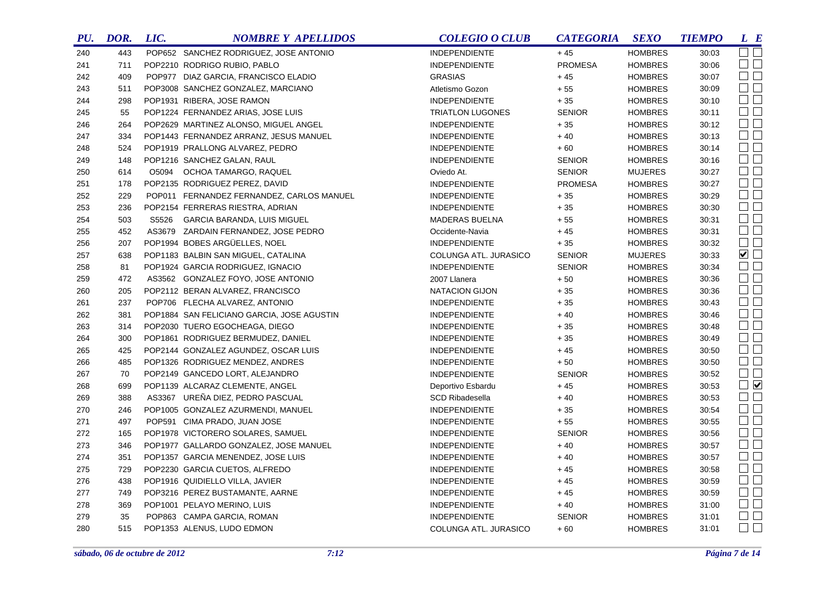| PU. | DOR. | LIC.  | <b>NOMBRE Y APELLIDOS</b>                  | <b>COLEGIO O CLUB</b>   | <b>CATEGORIA</b> | <b>SEXO</b>    | <b>TIEMPO</b> | $L$ $B$                |
|-----|------|-------|--------------------------------------------|-------------------------|------------------|----------------|---------------|------------------------|
| 240 | 443  |       | POP652 SANCHEZ RODRIGUEZ, JOSE ANTONIO     | <b>INDEPENDIENTE</b>    | $+45$            | <b>HOMBRES</b> | 30:03         | $\Box$ $\Box$          |
| 241 | 711  |       | POP2210 RODRIGO RUBIO, PABLO               | <b>INDEPENDIENTE</b>    | <b>PROMESA</b>   | <b>HOMBRES</b> | 30:06         | $\square$              |
| 242 | 409  |       | POP977 DIAZ GARCIA, FRANCISCO ELADIO       | <b>GRASIAS</b>          | $+45$            | <b>HOMBRES</b> | 30:07         | $\square$              |
| 243 | 511  |       | POP3008 SANCHEZ GONZALEZ, MARCIANO         | Atletismo Gozon         | $+55$            | <b>HOMBRES</b> | 30:09         | $\square$              |
| 244 | 298  |       | POP1931 RIBERA, JOSE RAMON                 | <b>INDEPENDIENTE</b>    | $+35$            | <b>HOMBRES</b> | 30:10         | $\Box$                 |
| 245 | 55   |       | POP1224 FERNANDEZ ARIAS, JOSE LUIS         | <b>TRIATLON LUGONES</b> | <b>SENIOR</b>    | <b>HOMBRES</b> | 30:11         | $\Box$ $\Box$          |
| 246 | 264  |       | POP2629 MARTINEZ ALONSO, MIGUEL ANGEL      | <b>INDEPENDIENTE</b>    | $+35$            | <b>HOMBRES</b> | 30:12         | $\Box$                 |
| 247 | 334  |       | POP1443 FERNANDEZ ARRANZ, JESUS MANUEL     | <b>INDEPENDIENTE</b>    | $+40$            | <b>HOMBRES</b> | 30:13         | $\square$              |
| 248 | 524  |       | POP1919 PRALLONG ALVAREZ, PEDRO            | INDEPENDIENTE           | $+60$            | <b>HOMBRES</b> | 30:14         | $\square$              |
| 249 | 148  |       | POP1216 SANCHEZ GALAN, RAUL                | <b>INDEPENDIENTE</b>    | <b>SENIOR</b>    | <b>HOMBRES</b> | 30:16         | $\Box$                 |
| 250 | 614  |       | O5094 OCHOA TAMARGO, RAQUEL                | Oviedo At.              | <b>SENIOR</b>    | <b>MUJERES</b> | 30:27         | $\square$              |
| 251 | 178  |       | POP2135 RODRIGUEZ PEREZ, DAVID             | <b>INDEPENDIENTE</b>    | <b>PROMESA</b>   | <b>HOMBRES</b> | 30:27         | $\square$              |
| 252 | 229  |       | POP011 FERNANDEZ FERNANDEZ, CARLOS MANUEL  | <b>INDEPENDIENTE</b>    | $+35$            | <b>HOMBRES</b> | 30:29         | $\Box$                 |
| 253 | 236  |       | POP2154 FERRERAS RIESTRA, ADRIAN           | <b>INDEPENDIENTE</b>    | $+35$            | <b>HOMBRES</b> | 30:30         | $\square$              |
| 254 | 503  | S5526 | GARCIA BARANDA, LUIS MIGUEL                | <b>MADERAS BUELNA</b>   | $+55$            | <b>HOMBRES</b> | 30:31         | $\square$ $\square$    |
| 255 | 452  |       | AS3679 ZARDAIN FERNANDEZ, JOSE PEDRO       | Occidente-Navia         | $+45$            | <b>HOMBRES</b> | 30:31         | $\Box$                 |
| 256 | 207  |       | POP1994 BOBES ARGÜELLES, NOEL              | <b>INDEPENDIENTE</b>    | $+35$            | <b>HOMBRES</b> | 30:32         | $\square$              |
| 257 | 638  |       | POP1183 BALBIN SAN MIGUEL, CATALINA        | COLUNGA ATL. JURASICO   | <b>SENIOR</b>    | <b>MUJERES</b> | 30:33         | $\blacksquare$         |
| 258 | 81   |       | POP1924 GARCIA RODRIGUEZ, IGNACIO          | <b>INDEPENDIENTE</b>    | <b>SENIOR</b>    | <b>HOMBRES</b> | 30:34         | $\square$              |
| 259 | 472  |       | AS3562 GONZALEZ FOYO, JOSE ANTONIO         | 2007 Llanera            | $+50$            | <b>HOMBRES</b> | 30:36         | $\square$              |
| 260 | 205  |       | POP2112 BERAN ALVAREZ, FRANCISCO           | <b>NATACION GIJON</b>   | $+35$            | <b>HOMBRES</b> | 30:36         | $\square$              |
| 261 | 237  |       | POP706 FLECHA ALVAREZ, ANTONIO             | <b>INDEPENDIENTE</b>    | $+35$            | <b>HOMBRES</b> | 30:43         | $\Box$                 |
| 262 | 381  |       | POP1884 SAN FELICIANO GARCIA, JOSE AGUSTIN | <b>INDEPENDIENTE</b>    | $+40$            | <b>HOMBRES</b> | 30:46         | $\Box$ $\Box$          |
| 263 | 314  |       | POP2030 TUERO EGOCHEAGA, DIEGO             | <b>INDEPENDIENTE</b>    | $+35$            | <b>HOMBRES</b> | 30:48         | $\square$              |
| 264 | 300  |       | POP1861 RODRIGUEZ BERMUDEZ, DANIEL         | <b>INDEPENDIENTE</b>    | $+35$            | <b>HOMBRES</b> | 30:49         | $\square$              |
| 265 | 425  |       | POP2144 GONZALEZ AGUNDEZ, OSCAR LUIS       | <b>INDEPENDIENTE</b>    | $+45$            | <b>HOMBRES</b> | 30:50         | $\square$ $\square$    |
| 266 | 485  |       | POP1326 RODRIGUEZ MENDEZ, ANDRES           | <b>INDEPENDIENTE</b>    | $+50$            | <b>HOMBRES</b> | 30:50         | $\square$              |
| 267 | 70   |       | POP2149 GANCEDO LORT, ALEJANDRO            | <b>INDEPENDIENTE</b>    | <b>SENIOR</b>    | <b>HOMBRES</b> | 30:52         | $\square$<br>$\square$ |
| 268 | 699  |       | POP1139 ALCARAZ CLEMENTE, ANGEL            | Deportivo Esbardu       | $+45$            | <b>HOMBRES</b> | 30:53         | $\Box$                 |
| 269 | 388  |       | AS3367 UREÑA DIEZ, PEDRO PASCUAL           | <b>SCD Ribadesella</b>  | $+40$            | <b>HOMBRES</b> | 30:53         | $\square$              |
| 270 | 246  |       | POP1005 GONZALEZ AZURMENDI, MANUEL         | <b>INDEPENDIENTE</b>    | $+35$            | <b>HOMBRES</b> | 30:54         | $\square$              |
| 271 | 497  |       | POP591 CIMA PRADO, JUAN JOSE               | <b>INDEPENDIENTE</b>    | $+55$            | <b>HOMBRES</b> | 30:55         | $\Box$                 |
| 272 | 165  |       | POP1978 VICTORERO SOLARES, SAMUEL          | <b>INDEPENDIENTE</b>    | <b>SENIOR</b>    | <b>HOMBRES</b> | 30:56         | $\square$              |
| 273 | 346  |       | POP1977 GALLARDO GONZALEZ, JOSE MANUEL     | <b>INDEPENDIENTE</b>    | $+40$            | <b>HOMBRES</b> | 30:57         | $\square$ $\square$    |
| 274 | 351  |       | POP1357 GARCIA MENENDEZ, JOSE LUIS         | <b>INDEPENDIENTE</b>    | $+40$            | <b>HOMBRES</b> | 30:57         | $\square$ $\square$    |
| 275 | 729  |       | POP2230 GARCIA CUETOS, ALFREDO             | <b>INDEPENDIENTE</b>    | $+45$            | <b>HOMBRES</b> | 30:58         | $\Box$                 |
| 276 | 438  |       | POP1916 QUIDIELLO VILLA, JAVIER            | <b>INDEPENDIENTE</b>    | $+45$            | <b>HOMBRES</b> | 30:59         | $\square$ $\square$    |
| 277 | 749  |       | POP3216 PEREZ BUSTAMANTE, AARNE            | <b>INDEPENDIENTE</b>    | $+45$            | <b>HOMBRES</b> | 30:59         | $\Box$                 |
| 278 | 369  |       | POP1001 PELAYO MERINO, LUIS                | <b>INDEPENDIENTE</b>    | $+40$            | <b>HOMBRES</b> | 31:00         | $\Box$                 |
| 279 | 35   |       | POP863 CAMPA GARCIA, ROMAN                 | <b>INDEPENDIENTE</b>    | <b>SENIOR</b>    | <b>HOMBRES</b> | 31:01         | $\Box$                 |
| 280 | 515  |       | POP1353 ALENUS, LUDO EDMON                 | COLUNGA ATL. JURASICO   | $+60$            | <b>HOMBRES</b> | 31:01         | $\square$ $\square$    |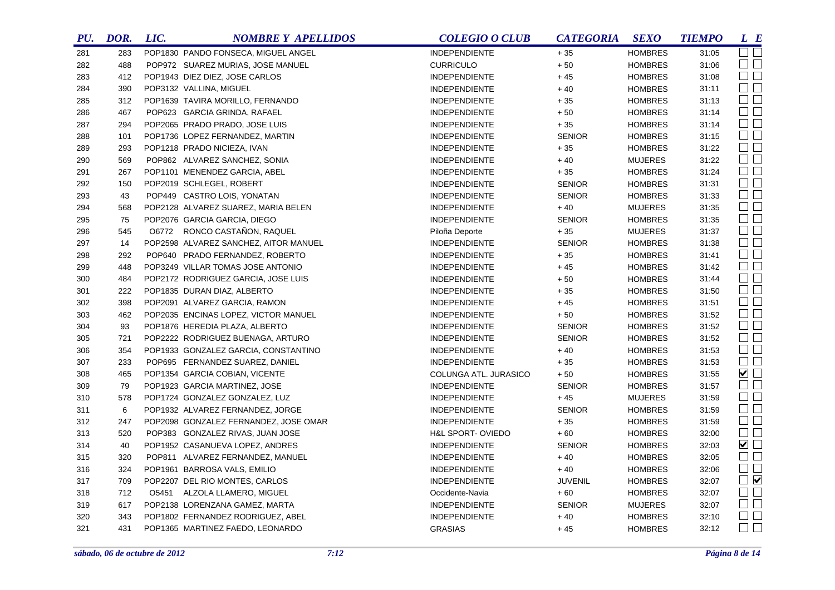| PU. | DOR. | LIC. | <b>NOMBRE Y APELLIDOS</b>             | <b>COLEGIO O CLUB</b> | <b>CATEGORIA</b> | <b>SEXO</b>    | <b>TIEMPO</b> | L E                         |
|-----|------|------|---------------------------------------|-----------------------|------------------|----------------|---------------|-----------------------------|
| 281 | 283  |      | POP1830 PANDO FONSECA, MIGUEL ANGEL   | INDEPENDIENTE         | $+35$            | <b>HOMBRES</b> | 31:05         | $\square$ $\square$         |
| 282 | 488  |      | POP972 SUAREZ MURIAS, JOSE MANUEL     | <b>CURRICULO</b>      | $+50$            | <b>HOMBRES</b> | 31:06         | $\square$ $\square$         |
| 283 | 412  |      | POP1943 DIEZ DIEZ, JOSE CARLOS        | <b>INDEPENDIENTE</b>  | $+45$            | <b>HOMBRES</b> | 31:08         | $\square$ $\square$         |
| 284 | 390  |      | POP3132 VALLINA, MIGUEL               | <b>INDEPENDIENTE</b>  | $+40$            | <b>HOMBRES</b> | 31:11         | $\Box$ $\Box$               |
| 285 | 312  |      | POP1639 TAVIRA MORILLO, FERNANDO      | <b>INDEPENDIENTE</b>  | $+35$            | <b>HOMBRES</b> | 31:13         | $\square$<br>$\square$      |
| 286 | 467  |      | POP623 GARCIA GRINDA, RAFAEL          | <b>INDEPENDIENTE</b>  | $+50$            | <b>HOMBRES</b> | 31:14         | $\Box$                      |
| 287 | 294  |      | POP2065 PRADO PRADO, JOSE LUIS        | <b>INDEPENDIENTE</b>  | $+35$            | <b>HOMBRES</b> | 31:14         | $\Box$                      |
| 288 | 101  |      | POP1736 LOPEZ FERNANDEZ, MARTIN       | <b>INDEPENDIENTE</b>  | <b>SENIOR</b>    | <b>HOMBRES</b> | 31:15         | $\Box$                      |
| 289 | 293  |      | POP1218 PRADO NICIEZA, IVAN           | <b>INDEPENDIENTE</b>  | $+35$            | <b>HOMBRES</b> | 31:22         | $\Box$                      |
| 290 | 569  |      | POP862 ALVAREZ SANCHEZ, SONIA         | INDEPENDIENTE         | $+40$            | <b>MUJERES</b> | 31:22         | $\Box$                      |
| 291 | 267  |      | POP1101 MENENDEZ GARCIA, ABEL         | <b>INDEPENDIENTE</b>  | $+35$            | <b>HOMBRES</b> | 31:24         | $\Box$ $\Box$               |
| 292 | 150  |      | POP2019 SCHLEGEL, ROBERT              | <b>INDEPENDIENTE</b>  | <b>SENIOR</b>    | <b>HOMBRES</b> | 31:31         | $\Box$                      |
| 293 | 43   |      | POP449 CASTRO LOIS, YONATAN           | <b>INDEPENDIENTE</b>  | <b>SENIOR</b>    | <b>HOMBRES</b> | 31:33         | $\square$ $\square$         |
| 294 | 568  |      | POP2128 ALVAREZ SUAREZ, MARIA BELEN   | <b>INDEPENDIENTE</b>  | $+40$            | <b>MUJERES</b> | 31:35         | $\Box$                      |
| 295 | 75   |      | POP2076 GARCIA GARCIA, DIEGO          | <b>INDEPENDIENTE</b>  | <b>SENIOR</b>    | <b>HOMBRES</b> | 31:35         | $\Box$ $\Box$               |
| 296 | 545  |      | 06772 RONCO CASTAÑON, RAQUEL          | Piloña Deporte        | $+35$            | <b>MUJERES</b> | 31:37         | $\Box$                      |
| 297 | 14   |      | POP2598 ALVAREZ SANCHEZ, AITOR MANUEL | <b>INDEPENDIENTE</b>  | <b>SENIOR</b>    | <b>HOMBRES</b> | 31:38         | $\Box$                      |
| 298 | 292  |      | POP640 PRADO FERNANDEZ, ROBERTO       | <b>INDEPENDIENTE</b>  | $+35$            | <b>HOMBRES</b> | 31:41         | $\Box$                      |
| 299 | 448  |      | POP3249 VILLAR TOMAS JOSE ANTONIO     | <b>INDEPENDIENTE</b>  | $+45$            | <b>HOMBRES</b> | 31:42         | $\Box$                      |
| 300 | 484  |      | POP2172 RODRIGUEZ GARCIA, JOSE LUIS   | <b>INDEPENDIENTE</b>  | $+\,50$          | <b>HOMBRES</b> | 31:44         | $\Box$                      |
| 301 | 222  |      | POP1835 DURAN DIAZ, ALBERTO           | <b>INDEPENDIENTE</b>  | $+35$            | <b>HOMBRES</b> | 31:50         | $\Box$                      |
| 302 | 398  |      | POP2091 ALVAREZ GARCIA, RAMON         | <b>INDEPENDIENTE</b>  | $+45$            | <b>HOMBRES</b> | 31:51         | $\Box$                      |
| 303 | 462  |      | POP2035 ENCINAS LOPEZ, VICTOR MANUEL  | <b>INDEPENDIENTE</b>  | $+50$            | <b>HOMBRES</b> | 31:52         | $\Box$                      |
| 304 | 93   |      | POP1876 HEREDIA PLAZA, ALBERTO        | <b>INDEPENDIENTE</b>  | <b>SENIOR</b>    | <b>HOMBRES</b> | 31:52         | $\Box$ $\Box$               |
| 305 | 721  |      | POP2222 RODRIGUEZ BUENAGA, ARTURO     | <b>INDEPENDIENTE</b>  | <b>SENIOR</b>    | <b>HOMBRES</b> | 31:52         | $\Box$                      |
| 306 | 354  |      | POP1933 GONZALEZ GARCIA, CONSTANTINO  | <b>INDEPENDIENTE</b>  | $+40$            | <b>HOMBRES</b> | 31:53         | $\Box$ $\Box$               |
| 307 | 233  |      | POP695 FERNANDEZ SUAREZ, DANIEL       | <b>INDEPENDIENTE</b>  | $+35$            | <b>HOMBRES</b> | 31:53         | $\Box$                      |
| 308 | 465  |      | POP1354 GARCIA COBIAN, VICENTE        | COLUNGA ATL. JURASICO | $+50$            | <b>HOMBRES</b> | 31:55         | $\blacktriangledown$ $\Box$ |
| 309 | 79   |      | POP1923 GARCIA MARTINEZ, JOSE         | <b>INDEPENDIENTE</b>  | <b>SENIOR</b>    | <b>HOMBRES</b> | 31:57         | $\square$ $\square$         |
| 310 | 578  |      | POP1724 GONZALEZ GONZALEZ, LUZ        | <b>INDEPENDIENTE</b>  | $+45$            | <b>MUJERES</b> | 31:59         | $\square$ $\square$         |
| 311 | 6    |      | POP1932 ALVAREZ FERNANDEZ, JORGE      | <b>INDEPENDIENTE</b>  | <b>SENIOR</b>    | <b>HOMBRES</b> | 31:59         | $\Box$ $\Box$               |
| 312 | 247  |      | POP2098 GONZALEZ FERNANDEZ, JOSE OMAR | <b>INDEPENDIENTE</b>  | $+35$            | <b>HOMBRES</b> | 31:59         | $\square$ $\square$         |
| 313 | 520  |      | POP383 GONZALEZ RIVAS, JUAN JOSE      | H&L SPORT-OVIEDO      | $+60$            | <b>HOMBRES</b> | 32:00         | $\Box$ $\Box$               |
| 314 | 40   |      | POP1952 CASANUEVA LOPEZ, ANDRES       | <b>INDEPENDIENTE</b>  | <b>SENIOR</b>    | <b>HOMBRES</b> | 32:03         | $\blacktriangledown$        |
| 315 | 320  |      | POP811 ALVAREZ FERNANDEZ, MANUEL      | <b>INDEPENDIENTE</b>  | $+40$            | <b>HOMBRES</b> | 32:05         | $\Box$ $\Box$               |
| 316 | 324  |      | POP1961 BARROSA VALS, EMILIO          | <b>INDEPENDIENTE</b>  | $+40$            | <b>HOMBRES</b> | 32:06         | $\Box$ $\Box$               |
| 317 | 709  |      | POP2207 DEL RIO MONTES, CARLOS        | <b>INDEPENDIENTE</b>  | <b>JUVENIL</b>   | <b>HOMBRES</b> | 32:07         | $\Box$                      |
| 318 | 712  |      | 05451 ALZOLA LLAMERO, MIGUEL          | Occidente-Navia       | $+60$            | <b>HOMBRES</b> | 32:07         | $\square$ $\square$         |
| 319 | 617  |      | POP2138 LORENZANA GAMEZ, MARTA        | <b>INDEPENDIENTE</b>  | <b>SENIOR</b>    | <b>MUJERES</b> | 32:07         | $\Box$ $\Box$               |
| 320 | 343  |      | POP1802 FERNANDEZ RODRIGUEZ, ABEL     | <b>INDEPENDIENTE</b>  | $+40$            | <b>HOMBRES</b> | 32:10         | $\Box$ $\Box$               |
| 321 | 431  |      | POP1365 MARTINEZ FAEDO, LEONARDO      | <b>GRASIAS</b>        | $+45$            | <b>HOMBRES</b> | 32:12         | $\Box$ $\Box$               |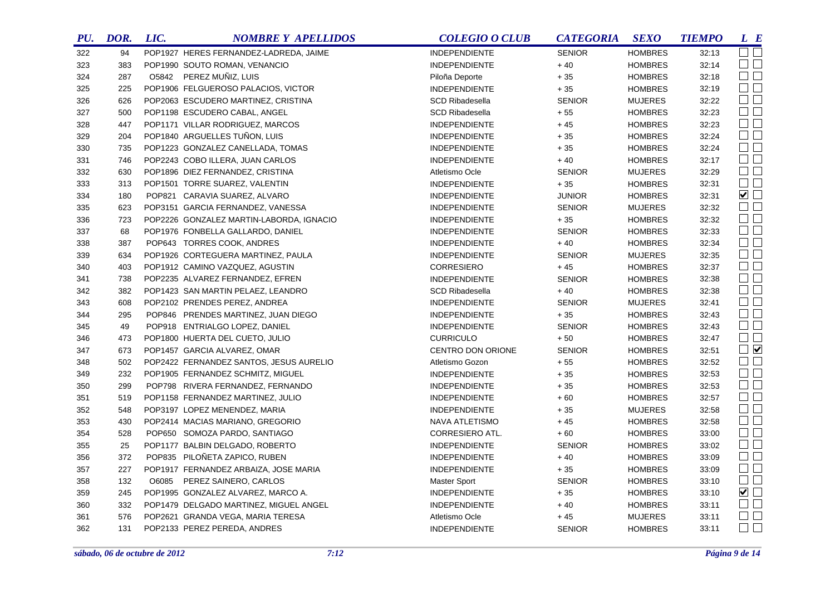| PU. | DOR. | LIC. | <b>NOMBRE Y APELLIDOS</b>                | <b>COLEGIO O CLUB</b>  | <b>CATEGORIA</b> | <b>SEXO</b>    | <b>TIEMPO</b> | L E                 |
|-----|------|------|------------------------------------------|------------------------|------------------|----------------|---------------|---------------------|
| 322 | 94   |      | POP1927 HERES FERNANDEZ-LADREDA, JAIME   | <b>INDEPENDIENTE</b>   | <b>SENIOR</b>    | <b>HOMBRES</b> | 32:13         | OO                  |
| 323 | 383  |      | POP1990 SOUTO ROMAN, VENANCIO            | <b>INDEPENDIENTE</b>   | $+40$            | <b>HOMBRES</b> | 32:14         | $\Box$ $\Box$       |
| 324 | 287  |      | O5842 PEREZ MUÑIZ, LUIS                  | Piloña Deporte         | $+35$            | <b>HOMBRES</b> | 32:18         | $\square$ $\square$ |
| 325 | 225  |      | POP1906 FELGUEROSO PALACIOS, VICTOR      | <b>INDEPENDIENTE</b>   | $+35$            | <b>HOMBRES</b> | 32:19         | $\square$           |
| 326 | 626  |      | POP2063 ESCUDERO MARTINEZ, CRISTINA      | <b>SCD Ribadesella</b> | <b>SENIOR</b>    | <b>MUJERES</b> | 32:22         | $\square$           |
| 327 | 500  |      | POP1198 ESCUDERO CABAL, ANGEL            | <b>SCD Ribadesella</b> | $+55$            | <b>HOMBRES</b> | 32:23         | $\square$           |
| 328 | 447  |      | POP1171 VILLAR RODRIGUEZ, MARCOS         | <b>INDEPENDIENTE</b>   | $+45$            | <b>HOMBRES</b> | 32:23         | $\Box$              |
| 329 | 204  |      | POP1840 ARGUELLES TUÑON, LUIS            | <b>INDEPENDIENTE</b>   | $+35$            | <b>HOMBRES</b> | 32:24         | $\square$           |
| 330 | 735  |      | POP1223 GONZALEZ CANELLADA, TOMAS        | <b>INDEPENDIENTE</b>   | $+35$            | <b>HOMBRES</b> | 32:24         | $\square$           |
| 331 | 746  |      | POP2243 COBO ILLERA, JUAN CARLOS         | <b>INDEPENDIENTE</b>   | $+40$            | <b>HOMBRES</b> | 32:17         | $\Box$              |
| 332 | 630  |      | POP1896 DIEZ FERNANDEZ, CRISTINA         | Atletismo Ocle         | <b>SENIOR</b>    | <b>MUJERES</b> | 32:29         | $\square$           |
| 333 | 313  |      | POP1501 TORRE SUAREZ, VALENTIN           | <b>INDEPENDIENTE</b>   | $+35$            | <b>HOMBRES</b> | 32:31         | $\square$           |
| 334 | 180  |      | POP821 CARAVIA SUAREZ, ALVARO            | <b>INDEPENDIENTE</b>   | <b>JUNIOR</b>    | <b>HOMBRES</b> | 32:31         | $\blacksquare$      |
| 335 | 623  |      | POP3151 GARCIA FERNANDEZ, VANESSA        | <b>INDEPENDIENTE</b>   | <b>SENIOR</b>    | <b>MUJERES</b> | 32:32         | $\square$           |
| 336 | 723  |      | POP2226 GONZALEZ MARTIN-LABORDA, IGNACIO | <b>INDEPENDIENTE</b>   | $+35$            | <b>HOMBRES</b> | 32:32         | $\square$           |
| 337 | 68   |      | POP1976 FONBELLA GALLARDO, DANIEL        | <b>INDEPENDIENTE</b>   | <b>SENIOR</b>    | <b>HOMBRES</b> | 32:33         | $\square$           |
| 338 | 387  |      | POP643 TORRES COOK, ANDRES               | <b>INDEPENDIENTE</b>   | $+40$            | <b>HOMBRES</b> | 32:34         | $\Box$ $\Box$       |
| 339 | 634  |      | POP1926 CORTEGUERA MARTINEZ, PAULA       | <b>INDEPENDIENTE</b>   | <b>SENIOR</b>    | <b>MUJERES</b> | 32:35         | $\square$           |
| 340 | 403  |      | POP1912 CAMINO VAZQUEZ, AGUSTIN          | <b>CORRESIERO</b>      | $+45$            | <b>HOMBRES</b> | 32:37         | $\Box$              |
| 341 | 738  |      | POP2235 ALVAREZ FERNANDEZ, EFREN         | <b>INDEPENDIENTE</b>   | <b>SENIOR</b>    | <b>HOMBRES</b> | 32:38         | $\square$           |
| 342 | 382  |      | POP1423 SAN MARTIN PELAEZ, LEANDRO       | <b>SCD Ribadesella</b> | $+40$            | <b>HOMBRES</b> | 32:38         | $\square$           |
| 343 | 608  |      | POP2102 PRENDES PEREZ, ANDREA            | <b>INDEPENDIENTE</b>   | <b>SENIOR</b>    | <b>MUJERES</b> | 32:41         | $\square$           |
| 344 | 295  |      | POP846 PRENDES MARTINEZ, JUAN DIEGO      | <b>INDEPENDIENTE</b>   | $+35$            | <b>HOMBRES</b> | 32:43         | $\square$           |
| 345 | 49   |      | POP918 ENTRIALGO LOPEZ, DANIEL           | <b>INDEPENDIENTE</b>   | <b>SENIOR</b>    | <b>HOMBRES</b> | 32:43         | $\square$ $\square$ |
| 346 | 473  |      | POP1800 HUERTA DEL CUETO, JULIO          | <b>CURRICULO</b>       | $+50$            | <b>HOMBRES</b> | 32:47         | $\square$ $\square$ |
| 347 | 673  |      | POP1457 GARCIA ALVAREZ, OMAR             | CENTRO DON ORIONE      | <b>SENIOR</b>    | <b>HOMBRES</b> | 32:51         | $\Box$              |
| 348 | 502  |      | POP2422 FERNANDEZ SANTOS, JESUS AURELIO  | Atletismo Gozon        | $+55$            | <b>HOMBRES</b> | 32:52         | $\square$           |
| 349 | 232  |      | POP1905 FERNANDEZ SCHMITZ, MIGUEL        | <b>INDEPENDIENTE</b>   | $+35$            | <b>HOMBRES</b> | 32:53         | $\square$ $\square$ |
| 350 | 299  |      | POP798 RIVERA FERNANDEZ, FERNANDO        | <b>INDEPENDIENTE</b>   | $+35$            | <b>HOMBRES</b> | 32:53         | $\square$ $\square$ |
| 351 | 519  |      | POP1158 FERNANDEZ MARTINEZ, JULIO        | <b>INDEPENDIENTE</b>   | $+60$            | <b>HOMBRES</b> | 32:57         | $\square$ $\square$ |
| 352 | 548  |      | POP3197 LOPEZ MENENDEZ, MARIA            | <b>INDEPENDIENTE</b>   | $+35$            | <b>MUJERES</b> | 32:58         | $\Box$              |
| 353 | 430  |      | POP2414 MACIAS MARIANO, GREGORIO         | NAVA ATLETISMO         | $+45$            | <b>HOMBRES</b> | 32:58         | $\Box$              |
| 354 | 528  |      | POP650 SOMOZA PARDO, SANTIAGO            | CORRESIERO ATL.        | $+60$            | <b>HOMBRES</b> | 33:00         | $\Box$              |
| 355 | 25   |      | POP1177 BALBIN DELGADO, ROBERTO          | <b>INDEPENDIENTE</b>   | <b>SENIOR</b>    | <b>HOMBRES</b> | 33:02         | $\square$ $\square$ |
| 356 | 372  |      | POP835 PILOÑETA ZAPICO, RUBEN            | <b>INDEPENDIENTE</b>   | $+40$            | <b>HOMBRES</b> | 33:09         | $\square$ $\square$ |
| 357 | 227  |      | POP1917 FERNANDEZ ARBAIZA, JOSE MARIA    | <b>INDEPENDIENTE</b>   | $+35$            | <b>HOMBRES</b> | 33:09         | $\Box$              |
| 358 | 132  |      | 06085 PEREZ SAINERO, CARLOS              | <b>Master Sport</b>    | <b>SENIOR</b>    | <b>HOMBRES</b> | 33:10         | $\square$ $\square$ |
| 359 | 245  |      | POP1995 GONZALEZ ALVAREZ, MARCO A.       | <b>INDEPENDIENTE</b>   | $+35$            | <b>HOMBRES</b> | 33:10         | $\blacksquare$      |
| 360 | 332  |      | POP1479 DELGADO MARTINEZ, MIGUEL ANGEL   | INDEPENDIENTE          | $+40$            | <b>HOMBRES</b> | 33:11         | $\Box$              |
| 361 | 576  |      | POP2621 GRANDA VEGA, MARIA TERESA        | Atletismo Ocle         | $+45$            | <b>MUJERES</b> | 33:11         | $\square$           |
| 362 | 131  |      | POP2133 PEREZ PEREDA, ANDRES             | <b>INDEPENDIENTE</b>   | <b>SENIOR</b>    | <b>HOMBRES</b> | 33:11         | $\Box$ $\Box$       |
|     |      |      |                                          |                        |                  |                |               |                     |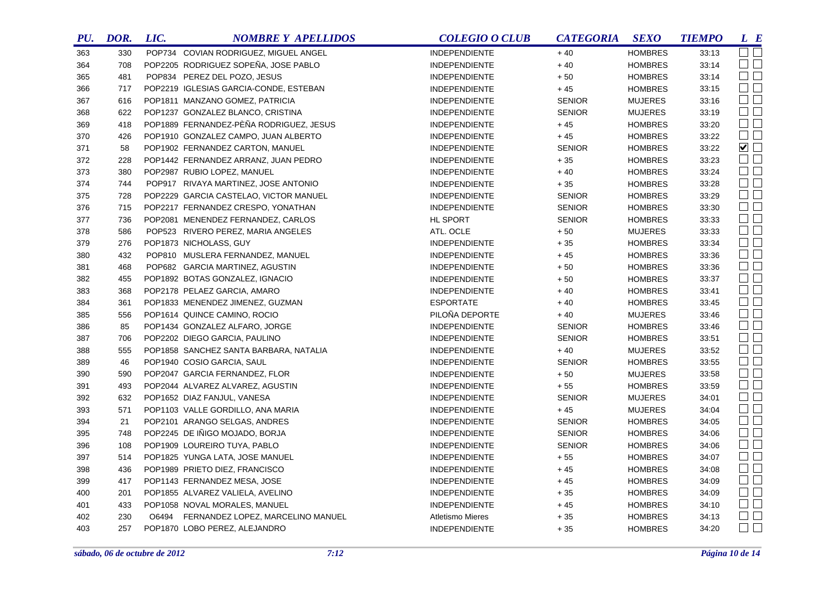| PU. | DOR. | LIC.  | <b>NOMBRE Y APELLIDOS</b>               | <b>COLEGIO O CLUB</b>   | <b>CATEGORIA</b> | <b>SEXO</b>    | <b>TIEMPO</b> | L E                         |
|-----|------|-------|-----------------------------------------|-------------------------|------------------|----------------|---------------|-----------------------------|
| 363 | 330  |       | POP734 COVIAN RODRIGUEZ, MIGUEL ANGEL   | INDEPENDIENTE           | $+40$            | <b>HOMBRES</b> | 33:13         | $\Box$ $\Box$               |
| 364 | 708  |       | POP2205 RODRIGUEZ SOPEÑA, JOSE PABLO    | <b>INDEPENDIENTE</b>    | $+40$            | <b>HOMBRES</b> | 33:14         | $\Box$ $\Box$               |
| 365 | 481  |       | POP834 PEREZ DEL POZO, JESUS            | <b>INDEPENDIENTE</b>    | $+50$            | <b>HOMBRES</b> | 33:14         | $\Box$                      |
| 366 | 717  |       | POP2219 IGLESIAS GARCIA-CONDE, ESTEBAN  | <b>INDEPENDIENTE</b>    | $+45$            | <b>HOMBRES</b> | 33:15         | $\Box$                      |
| 367 | 616  |       | POP1811 MANZANO GOMEZ, PATRICIA         | <b>INDEPENDIENTE</b>    | <b>SENIOR</b>    | <b>MUJERES</b> | 33:16         | $\square$ $\square$         |
| 368 | 622  |       | POP1237 GONZALEZ BLANCO, CRISTINA       | <b>INDEPENDIENTE</b>    | <b>SENIOR</b>    | <b>MUJERES</b> | 33:19         | $\square$<br>$\square$      |
| 369 | 418  |       | POP1889 FERNANDEZ-PÈÑA RODRIGUEZ, JESUS | INDEPENDIENTE           | $+45$            | <b>HOMBRES</b> | 33:20         | $\Box$                      |
| 370 | 426  |       | POP1910 GONZALEZ CAMPO, JUAN ALBERTO    | <b>INDEPENDIENTE</b>    | $+45$            | <b>HOMBRES</b> | 33:22         | $\square$ $\square$         |
| 371 | 58   |       | POP1902 FERNANDEZ CARTON, MANUEL        | <b>INDEPENDIENTE</b>    | <b>SENIOR</b>    | <b>HOMBRES</b> | 33:22         | $\blacktriangledown$ $\Box$ |
| 372 | 228  |       | POP1442 FERNANDEZ ARRANZ, JUAN PEDRO    | <b>INDEPENDIENTE</b>    | $+35$            | <b>HOMBRES</b> | 33:23         | $\square$<br>$\square$      |
| 373 | 380  |       | POP2987 RUBIO LOPEZ, MANUEL             | <b>INDEPENDIENTE</b>    | $+40$            | <b>HOMBRES</b> | 33:24         | $\Box$                      |
| 374 | 744  |       | POP917 RIVAYA MARTINEZ, JOSE ANTONIO    | <b>INDEPENDIENTE</b>    | $+35$            | <b>HOMBRES</b> | 33:28         | $\square$ $\square$         |
| 375 | 728  |       | POP2229 GARCIA CASTELAO, VICTOR MANUEL  | <b>INDEPENDIENTE</b>    | <b>SENIOR</b>    | <b>HOMBRES</b> | 33:29         | $\square$ $\square$         |
| 376 | 715  |       | POP2217 FERNANDEZ CRESPO, YONATHAN      | <b>INDEPENDIENTE</b>    | <b>SENIOR</b>    | <b>HOMBRES</b> | 33:30         | $\square$<br>$\square$      |
| 377 | 736  |       | POP2081 MENENDEZ FERNANDEZ, CARLOS      | HL SPORT                | <b>SENIOR</b>    | <b>HOMBRES</b> | 33:33         | $\Box$                      |
| 378 | 586  |       | POP523 RIVERO PEREZ, MARIA ANGELES      | ATL. OCLE               | $+50$            | <b>MUJERES</b> | 33:33         | $\Box$                      |
| 379 | 276  |       | POP1873 NICHOLASS, GUY                  | <b>INDEPENDIENTE</b>    | $+35$            | <b>HOMBRES</b> | 33:34         | $\Box$ $\Box$               |
| 380 | 432  |       | POP810 MUSLERA FERNANDEZ, MANUEL        | <b>INDEPENDIENTE</b>    | $+45$            | <b>HOMBRES</b> | 33:36         | $\Box$                      |
| 381 | 468  |       | POP682 GARCIA MARTINEZ, AGUSTIN         | INDEPENDIENTE           | $+50$            | <b>HOMBRES</b> | 33:36         | $\square$ $\square$         |
| 382 | 455  |       | POP1892 BOTAS GONZALEZ, IGNACIO         | <b>INDEPENDIENTE</b>    | $+50$            | <b>HOMBRES</b> | 33:37         | $\Box$                      |
| 383 | 368  |       | POP2178 PELAEZ GARCIA, AMARO            | <b>INDEPENDIENTE</b>    | $+40$            | <b>HOMBRES</b> | 33:41         | $\square$ $\square$         |
| 384 | 361  |       | POP1833 MENENDEZ JIMENEZ, GUZMAN        | <b>ESPORTATE</b>        | $+40$            | <b>HOMBRES</b> | 33:45         | $\square$ $\square$         |
| 385 | 556  |       | POP1614 QUINCE CAMINO, ROCIO            | PILOÑA DEPORTE          | $+40$            | <b>MUJERES</b> | 33:46         | $\square$ $\square$         |
| 386 | 85   |       | POP1434 GONZALEZ ALFARO, JORGE          | <b>INDEPENDIENTE</b>    | <b>SENIOR</b>    | <b>HOMBRES</b> | 33:46         | $\Box$ $\Box$               |
| 387 | 706  |       | POP2202 DIEGO GARCIA, PAULINO           | <b>INDEPENDIENTE</b>    | <b>SENIOR</b>    | <b>HOMBRES</b> | 33:51         | $\Box$                      |
| 388 | 555  |       | POP1858 SANCHEZ SANTA BARBARA, NATALIA  | INDEPENDIENTE           | $+40$            | <b>MUJERES</b> | 33:52         | $\square$ $\square$         |
| 389 | 46   |       | POP1940 COSIO GARCIA, SAUL              | <b>INDEPENDIENTE</b>    | <b>SENIOR</b>    | <b>HOMBRES</b> | 33:55         | $\square$ $\square$         |
| 390 | 590  |       | POP2047 GARCIA FERNANDEZ, FLOR          | <b>INDEPENDIENTE</b>    | $+50$            | <b>MUJERES</b> | 33:58         | $\square$ $\square$         |
| 391 | 493  |       | POP2044 ALVAREZ ALVAREZ, AGUSTIN        | <b>INDEPENDIENTE</b>    | $+55$            | <b>HOMBRES</b> | 33:59         | $\Box$ $\Box$               |
| 392 | 632  |       | POP1652 DIAZ FANJUL, VANESA             | <b>INDEPENDIENTE</b>    | <b>SENIOR</b>    | <b>MUJERES</b> | 34:01         | $\square$ $\square$         |
| 393 | 571  |       | POP1103 VALLE GORDILLO, ANA MARIA       | INDEPENDIENTE           | $+45$            | <b>MUJERES</b> | 34:04         | $\Box$ $\Box$               |
| 394 | 21   |       | POP2101 ARANGO SELGAS, ANDRES           | <b>INDEPENDIENTE</b>    | <b>SENIOR</b>    | <b>HOMBRES</b> | 34:05         | $\square$ $\square$         |
| 395 | 748  |       | POP2245 DE IÑIGO MOJADO, BORJA          | <b>INDEPENDIENTE</b>    | <b>SENIOR</b>    | <b>HOMBRES</b> | 34:06         | $\Box$ $\Box$               |
| 396 | 108  |       | POP1909 LOUREIRO TUYA, PABLO            | <b>INDEPENDIENTE</b>    | <b>SENIOR</b>    | <b>HOMBRES</b> | 34:06         | $\square$ $\square$         |
| 397 | 514  |       | POP1825 YUNGA LATA, JOSE MANUEL         | <b>INDEPENDIENTE</b>    | $+55$            | <b>HOMBRES</b> | 34:07         | $\Box$ $\Box$               |
| 398 | 436  |       | POP1989 PRIETO DIEZ, FRANCISCO          | <b>INDEPENDIENTE</b>    | $+45$            | <b>HOMBRES</b> | 34:08         | $\square$<br>$\square$      |
| 399 | 417  |       | POP1143 FERNANDEZ MESA, JOSE            | INDEPENDIENTE           | $+45$            | <b>HOMBRES</b> | 34:09         | $\Box$ $\Box$               |
| 400 | 201  |       | POP1855 ALVAREZ VALIELA, AVELINO        | <b>INDEPENDIENTE</b>    | $+35$            | <b>HOMBRES</b> | 34:09         | $\square$<br>$\square$      |
| 401 | 433  |       | POP1058 NOVAL MORALES, MANUEL           | INDEPENDIENTE           | $+45$            | <b>HOMBRES</b> | 34:10         | $\Box$ $\Box$               |
| 402 | 230  | O6494 | FERNANDEZ LOPEZ, MARCELINO MANUEL       | <b>Atletismo Mieres</b> | $+35$            | <b>HOMBRES</b> | 34:13         | $\square$ $\square$         |
| 403 | 257  |       | POP1870 LOBO PEREZ, ALEJANDRO           | <b>INDEPENDIENTE</b>    | $+35$            | <b>HOMBRES</b> | 34:20         | $\Box$ $\Box$               |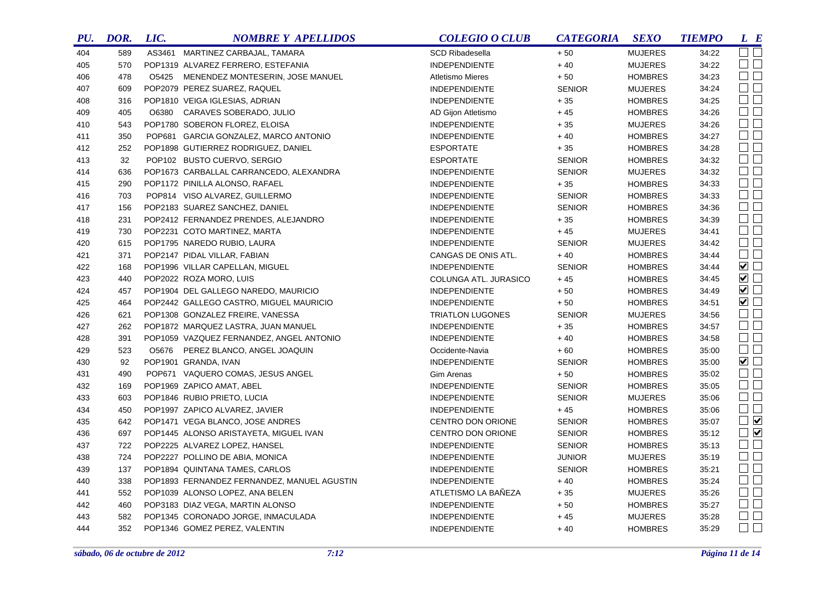| PU. | DOR. | LIC. | <b>NOMBRE Y APELLIDOS</b>                   | <b>COLEGIO O CLUB</b>   | <b>CATEGORIA</b> | <b>SEXO</b>    | <b>TIEMPO</b> | L E            |
|-----|------|------|---------------------------------------------|-------------------------|------------------|----------------|---------------|----------------|
| 404 | 589  |      | AS3461 MARTINEZ CARBAJAL, TAMARA            | <b>SCD Ribadesella</b>  | $+50$            | <b>MUJERES</b> | 34:22         | $\Box$         |
| 405 | 570  |      | POP1319 ALVAREZ FERRERO, ESTEFANIA          | <b>INDEPENDIENTE</b>    | $+40$            | <b>MUJERES</b> | 34:22         | $\Box$         |
| 406 | 478  |      | O5425 MENENDEZ MONTESERIN, JOSE MANUEL      | Atletismo Mieres        | $+50$            | <b>HOMBRES</b> | 34:23         | $\square$      |
| 407 | 609  |      | POP2079 PEREZ SUAREZ, RAQUEL                | <b>INDEPENDIENTE</b>    | <b>SENIOR</b>    | <b>MUJERES</b> | 34:24         | $\square$      |
| 408 | 316  |      | POP1810 VEIGA IGLESIAS, ADRIAN              | <b>INDEPENDIENTE</b>    | $+35$            | <b>HOMBRES</b> | 34:25         | $\Box$ $\Box$  |
| 409 | 405  |      | O6380 CARAVES SOBERADO, JULIO               | AD Gijon Atletismo      | $+45$            | <b>HOMBRES</b> | 34:26         | $\Box$ $\Box$  |
| 410 | 543  |      | POP1780 SOBERON FLOREZ, ELOISA              | <b>INDEPENDIENTE</b>    | $+35$            | <b>MUJERES</b> | 34:26         | $\Box$         |
| 411 | 350  |      | POP681 GARCIA GONZALEZ, MARCO ANTONIO       | <b>INDEPENDIENTE</b>    | $+40$            | <b>HOMBRES</b> | 34:27         | $\Box$         |
| 412 | 252  |      | POP1898 GUTIERREZ RODRIGUEZ, DANIEL         | <b>ESPORTATE</b>        | $+35$            | <b>HOMBRES</b> | 34:28         | $\Box$         |
| 413 | 32   |      | POP102 BUSTO CUERVO, SERGIO                 | <b>ESPORTATE</b>        | <b>SENIOR</b>    | <b>HOMBRES</b> | 34:32         | $\Box$         |
| 414 | 636  |      | POP1673 CARBALLAL CARRANCEDO, ALEXANDRA     | <b>INDEPENDIENTE</b>    | <b>SENIOR</b>    | <b>MUJERES</b> | 34:32         | $\Box$         |
| 415 | 290  |      | POP1172 PINILLA ALONSO, RAFAEL              | <b>INDEPENDIENTE</b>    | $+35$            | <b>HOMBRES</b> | 34:33         | $\Box$         |
| 416 | 703  |      | POP814 VISO ALVAREZ, GUILLERMO              | <b>INDEPENDIENTE</b>    | <b>SENIOR</b>    | <b>HOMBRES</b> | 34:33         | $\square$      |
| 417 | 156  |      | POP2183 SUAREZ SANCHEZ, DANIEL              | <b>INDEPENDIENTE</b>    | <b>SENIOR</b>    | <b>HOMBRES</b> | 34:36         | $\Box$         |
| 418 | 231  |      | POP2412 FERNANDEZ PRENDES, ALEJANDRO        | <b>INDEPENDIENTE</b>    | $+35$            | <b>HOMBRES</b> | 34:39         | $\Box$         |
| 419 | 730  |      | POP2231 COTO MARTINEZ, MARTA                | <b>INDEPENDIENTE</b>    | $+45$            | <b>MUJERES</b> | 34:41         | $\Box$         |
| 420 | 615  |      | POP1795 NAREDO RUBIO, LAURA                 | <b>INDEPENDIENTE</b>    | <b>SENIOR</b>    | <b>MUJERES</b> | 34:42         | $\Box$         |
| 421 | 371  |      | POP2147 PIDAL VILLAR, FABIAN                | CANGAS DE ONIS ATL.     | $+40$            | <b>HOMBRES</b> | 34:44         | $\Box$ $\Box$  |
| 422 | 168  |      | POP1996 VILLAR CAPELLAN, MIGUEL             | <b>INDEPENDIENTE</b>    | <b>SENIOR</b>    | <b>HOMBRES</b> | 34:44         | $\blacksquare$ |
| 423 | 440  |      | POP2022 ROZA MORO, LUIS                     | COLUNGA ATL. JURASICO   | $+45$            | <b>HOMBRES</b> | 34:45         | $\blacksquare$ |
| 424 | 457  |      | POP1904 DEL GALLEGO NAREDO, MAURICIO        | <b>INDEPENDIENTE</b>    | $+50$            | <b>HOMBRES</b> | 34:49         | $\blacksquare$ |
| 425 | 464  |      | POP2442 GALLEGO CASTRO, MIGUEL MAURICIO     | <b>INDEPENDIENTE</b>    | $+50$            | <b>HOMBRES</b> | 34:51         | $\blacksquare$ |
| 426 | 621  |      | POP1308 GONZALEZ FREIRE, VANESSA            | <b>TRIATLON LUGONES</b> | <b>SENIOR</b>    | <b>MUJERES</b> | 34:56         | $\Box$         |
| 427 | 262  |      | POP1872 MARQUEZ LASTRA, JUAN MANUEL         | <b>INDEPENDIENTE</b>    | $+35$            | <b>HOMBRES</b> | 34:57         | $\Box$         |
| 428 | 391  |      | POP1059 VAZQUEZ FERNANDEZ, ANGEL ANTONIO    | <b>INDEPENDIENTE</b>    | $+40$            | <b>HOMBRES</b> | 34:58         | $\Box$ $\Box$  |
| 429 | 523  |      | 05676 PEREZ BLANCO, ANGEL JOAQUIN           | Occidente-Navia         | $+60$            | <b>HOMBRES</b> | 35:00         | $\Box$         |
| 430 | 92   |      | POP1901 GRANDA, IVAN                        | <b>INDEPENDIENTE</b>    | <b>SENIOR</b>    | <b>HOMBRES</b> | 35:00         | $\blacksquare$ |
| 431 | 490  |      | POP671 VAQUERO COMAS, JESUS ANGEL           | Gim Arenas              | $+50$            | <b>HOMBRES</b> | 35:02         | $\Box$ $\Box$  |
| 432 | 169  |      | POP1969 ZAPICO AMAT, ABEL                   | <b>INDEPENDIENTE</b>    | <b>SENIOR</b>    | <b>HOMBRES</b> | 35:05         | $\Box$ $\Box$  |
| 433 | 603  |      | POP1846 RUBIO PRIETO, LUCIA                 | <b>INDEPENDIENTE</b>    | <b>SENIOR</b>    | <b>MUJERES</b> | 35:06         | $\Box$         |
| 434 | 450  |      | POP1997 ZAPICO ALVAREZ, JAVIER              | <b>INDEPENDIENTE</b>    | $+45$            | <b>HOMBRES</b> | 35:06         | $\Box$         |
| 435 | 642  |      | POP1471 VEGA BLANCO, JOSE ANDRES            | CENTRO DON ORIONE       | <b>SENIOR</b>    | <b>HOMBRES</b> | 35:07         | $\Box$         |
| 436 | 697  |      | POP1445 ALONSO ARISTAYETA, MIGUEL IVAN      | CENTRO DON ORIONE       | <b>SENIOR</b>    | <b>HOMBRES</b> | 35:12         | $\Box$         |
| 437 | 722  |      | POP2225 ALVAREZ LOPEZ, HANSEL               | <b>INDEPENDIENTE</b>    | <b>SENIOR</b>    | <b>HOMBRES</b> | 35:13         | $\Box$ $\Box$  |
| 438 | 724  |      | POP2227 POLLINO DE ABIA, MONICA             | <b>INDEPENDIENTE</b>    | <b>JUNIOR</b>    | <b>MUJERES</b> | 35:19         | $\Box$         |
| 439 | 137  |      | POP1894 QUINTANA TAMES, CARLOS              | <b>INDEPENDIENTE</b>    | <b>SENIOR</b>    | <b>HOMBRES</b> | 35:21         | $\Box$ $\Box$  |
| 440 | 338  |      | POP1893 FERNANDEZ FERNANDEZ, MANUEL AGUSTIN | <b>INDEPENDIENTE</b>    | $+40$            | <b>HOMBRES</b> | 35:24         | $\Box$         |
| 441 | 552  |      | POP1039 ALONSO LOPEZ, ANA BELEN             | ATLETISMO LA BAÑEZA     | $+35$            | <b>MUJERES</b> | 35:26         | $\Box$ $\Box$  |
| 442 | 460  |      | POP3183 DIAZ VEGA, MARTIN ALONSO            | <b>INDEPENDIENTE</b>    | $+50$            | <b>HOMBRES</b> | 35:27         | $\Box$         |
| 443 | 582  |      | POP1345 CORONADO JORGE, INMACULADA          | <b>INDEPENDIENTE</b>    | $+45$            | <b>MUJERES</b> | 35:28         | $\Box$ $\Box$  |
| 444 | 352  |      | POP1346 GOMEZ PEREZ, VALENTIN               | <b>INDEPENDIENTE</b>    | $+40$            | <b>HOMBRES</b> | 35:29         | $\Box$ $\Box$  |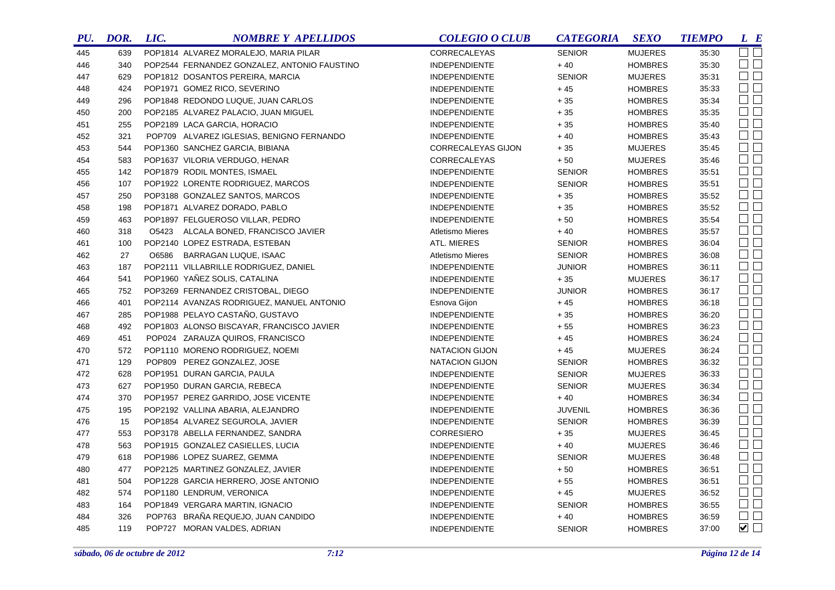| PU. | DOR. | LIC. | <b>NOMBRE Y APELLIDOS</b>                    | <b>COLEGIO O CLUB</b>   | <b>CATEGORIA</b> | <b>SEXO</b>    | <b>TIEMPO</b> | $L$ $B$                |
|-----|------|------|----------------------------------------------|-------------------------|------------------|----------------|---------------|------------------------|
| 445 | 639  |      | POP1814 ALVAREZ MORALEJO, MARIA PILAR        | CORRECALEYAS            | <b>SENIOR</b>    | <b>MUJERES</b> | 35:30         | $\square$              |
| 446 | 340  |      | POP2544 FERNANDEZ GONZALEZ, ANTONIO FAUSTINO | <b>INDEPENDIENTE</b>    | $+40$            | <b>HOMBRES</b> | 35:30         | $\square$ $\square$    |
| 447 | 629  |      | POP1812 DOSANTOS PEREIRA, MARCIA             | <b>INDEPENDIENTE</b>    | <b>SENIOR</b>    | <b>MUJERES</b> | 35:31         | $\Box$                 |
| 448 | 424  |      | POP1971 GOMEZ RICO, SEVERINO                 | <b>INDEPENDIENTE</b>    | $+45$            | <b>HOMBRES</b> | 35:33         | $\square$ $\square$    |
| 449 | 296  |      | POP1848 REDONDO LUQUE, JUAN CARLOS           | <b>INDEPENDIENTE</b>    | $+35$            | <b>HOMBRES</b> | 35:34         | $\square$<br>$\square$ |
| 450 | 200  |      | POP2185 ALVAREZ PALACIO, JUAN MIGUEL         | INDEPENDIENTE           | $+35$            | <b>HOMBRES</b> | 35:35         | $\Box$ $\Box$          |
| 451 | 255  |      | POP2189 LACA GARCIA, HORACIO                 | <b>INDEPENDIENTE</b>    | $+35$            | <b>HOMBRES</b> | 35:40         | $\Box$ $\Box$          |
| 452 | 321  |      | POP709 ALVAREZ IGLESIAS, BENIGNO FERNANDO    | <b>INDEPENDIENTE</b>    | $+40$            | <b>HOMBRES</b> | 35:43         | $\Box$                 |
| 453 | 544  |      | POP1360 SANCHEZ GARCIA, BIBIANA              | CORRECALEYAS GIJON      | $+35$            | <b>MUJERES</b> | 35:45         | $\Box$                 |
| 454 | 583  |      | POP1637 VILORIA VERDUGO, HENAR               | CORRECALEYAS            | $+50$            | <b>MUJERES</b> | 35:46         | $\Box$ $\Box$          |
| 455 | 142  |      | POP1879 RODIL MONTES, ISMAEL                 | <b>INDEPENDIENTE</b>    | <b>SENIOR</b>    | <b>HOMBRES</b> | 35:51         | $\Box$ $\Box$          |
| 456 | 107  |      | POP1922 LORENTE RODRIGUEZ, MARCOS            | <b>INDEPENDIENTE</b>    | <b>SENIOR</b>    | <b>HOMBRES</b> | 35:51         | $\Box$                 |
| 457 | 250  |      | POP3188 GONZALEZ SANTOS, MARCOS              | <b>INDEPENDIENTE</b>    | $+35$            | <b>HOMBRES</b> | 35:52         | $\square$              |
| 458 | 198  |      | POP1871 ALVAREZ DORADO, PABLO                | <b>INDEPENDIENTE</b>    | $+35$            | <b>HOMBRES</b> | 35:52         | $\Box$                 |
| 459 | 463  |      | POP1897 FELGUEROSO VILLAR, PEDRO             | <b>INDEPENDIENTE</b>    | $+50$            | <b>HOMBRES</b> | 35:54         | $\square$ $\square$    |
| 460 | 318  |      | O5423 ALCALA BONED, FRANCISCO JAVIER         | <b>Atletismo Mieres</b> | $+40$            | <b>HOMBRES</b> | 35:57         | $\Box$                 |
| 461 | 100  |      | POP2140 LOPEZ ESTRADA, ESTEBAN               | ATL. MIERES             | <b>SENIOR</b>    | <b>HOMBRES</b> | 36:04         | $\Box$                 |
| 462 | 27   |      | O6586 BARRAGAN LUQUE, ISAAC                  | <b>Atletismo Mieres</b> | <b>SENIOR</b>    | <b>HOMBRES</b> | 36:08         | $\Box$                 |
| 463 | 187  |      | POP2111 VILLABRILLE RODRIGUEZ, DANIEL        | <b>INDEPENDIENTE</b>    | <b>JUNIOR</b>    | <b>HOMBRES</b> | 36:11         | $\Box$                 |
| 464 | 541  |      | POP1960 YAÑEZ SOLIS, CATALINA                | <b>INDEPENDIENTE</b>    | $+35$            | <b>MUJERES</b> | 36:17         | $\Box$ $\Box$          |
| 465 | 752  |      | POP3269 FERNANDEZ CRISTOBAL, DIEGO           | <b>INDEPENDIENTE</b>    | <b>JUNIOR</b>    | <b>HOMBRES</b> | 36:17         | $\Box$ $\Box$          |
| 466 | 401  |      | POP2114 AVANZAS RODRIGUEZ, MANUEL ANTONIO    | Esnova Gijon            | $+45$            | <b>HOMBRES</b> | 36:18         | $\Box$                 |
| 467 | 285  |      | POP1988 PELAYO CASTAÑO, GUSTAVO              | <b>INDEPENDIENTE</b>    | $+35$            | <b>HOMBRES</b> | 36:20         | $\Box$                 |
| 468 | 492  |      | POP1803 ALONSO BISCAYAR, FRANCISCO JAVIER    | <b>INDEPENDIENTE</b>    | $+55$            | <b>HOMBRES</b> | 36:23         | $\Box$ $\Box$          |
| 469 | 451  |      | POP024 ZARAUZA QUIROS, FRANCISCO             | INDEPENDIENTE           | $+45$            | <b>HOMBRES</b> | 36:24         | $\Box$                 |
| 470 | 572  |      | POP1110 MORENO RODRIGUEZ, NOEMI              | <b>NATACION GIJON</b>   | $+45$            | <b>MUJERES</b> | 36:24         | $\Box$ $\Box$          |
| 471 | 129  |      | POP809 PEREZ GONZALEZ, JOSE                  | <b>NATACION GIJON</b>   | <b>SENIOR</b>    | <b>HOMBRES</b> | 36:32         | $\Box$                 |
| 472 | 628  |      | POP1951 DURAN GARCIA, PAULA                  | <b>INDEPENDIENTE</b>    | <b>SENIOR</b>    | <b>MUJERES</b> | 36:33         | $\Box$ $\Box$          |
| 473 | 627  |      | POP1950 DURAN GARCIA, REBECA                 | <b>INDEPENDIENTE</b>    | <b>SENIOR</b>    | <b>MUJERES</b> | 36:34         | $\Box$ $\Box$          |
| 474 | 370  |      | POP1957 PEREZ GARRIDO, JOSE VICENTE          | <b>INDEPENDIENTE</b>    | $+40$            | <b>HOMBRES</b> | 36:34         | $\Box$ $\Box$          |
| 475 | 195  |      | POP2192 VALLINA ABARIA, ALEJANDRO            | <b>INDEPENDIENTE</b>    | <b>JUVENIL</b>   | <b>HOMBRES</b> | 36:36         | $\Box$                 |
| 476 | 15   |      | POP1854 ALVAREZ SEGUROLA, JAVIER             | <b>INDEPENDIENTE</b>    | <b>SENIOR</b>    | <b>HOMBRES</b> | 36:39         | $\Box$ $\Box$          |
| 477 | 553  |      | POP3178 ABELLA FERNANDEZ, SANDRA             | <b>CORRESIERO</b>       | $+35$            | <b>MUJERES</b> | 36:45         | $\Box$ $\Box$          |
| 478 | 563  |      | POP1915 GONZALEZ CASIELLES, LUCIA            | <b>INDEPENDIENTE</b>    | $+40$            | <b>MUJERES</b> | 36:46         | $\Box$                 |
| 479 | 618  |      | POP1986 LOPEZ SUAREZ, GEMMA                  | <b>INDEPENDIENTE</b>    | <b>SENIOR</b>    | <b>MUJERES</b> | 36:48         | $\Box$ $\Box$          |
| 480 | 477  |      | POP2125 MARTINEZ GONZALEZ, JAVIER            | <b>INDEPENDIENTE</b>    | $+50$            | <b>HOMBRES</b> | 36:51         | $\Box$ $\Box$          |
| 481 | 504  |      | POP1228 GARCIA HERRERO, JOSE ANTONIO         | <b>INDEPENDIENTE</b>    | $+55$            | <b>HOMBRES</b> | 36:51         | $\Box$ $\Box$          |
| 482 | 574  |      | POP1180 LENDRUM, VERONICA                    | <b>INDEPENDIENTE</b>    | $+45$            | <b>MUJERES</b> | 36:52         | $\Box$ $\Box$          |
| 483 | 164  |      | POP1849 VERGARA MARTIN, IGNACIO              | <b>INDEPENDIENTE</b>    | <b>SENIOR</b>    | <b>HOMBRES</b> | 36:55         | $\Box$ $\Box$          |
| 484 | 326  |      | POP763 BRAÑA REQUEJO, JUAN CANDIDO           | <b>INDEPENDIENTE</b>    | $+40$            | <b>HOMBRES</b> | 36:59         | $\Box$ $\Box$          |
| 485 | 119  |      | POP727 MORAN VALDES, ADRIAN                  | <b>INDEPENDIENTE</b>    | <b>SENIOR</b>    | <b>HOMBRES</b> | 37:00         | $\blacktriangledown$   |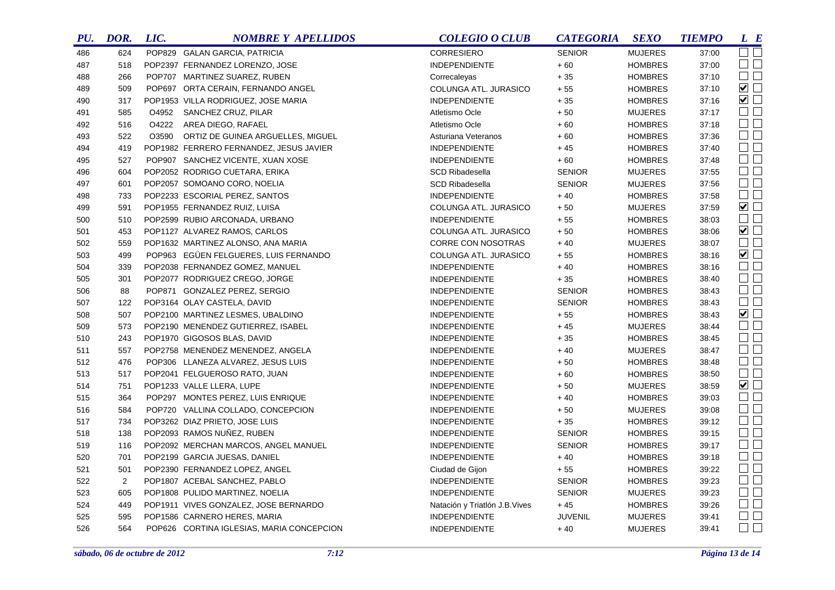| PU. | DOR. | LIC.  | <b>NOMBRE Y APELLIDOS</b>                 | <b>COLEGIO O CLUB</b>          | <b>CATEGORIA</b> | <b>SEXO</b>    | <b>TIEMPO</b> | L E                 |
|-----|------|-------|-------------------------------------------|--------------------------------|------------------|----------------|---------------|---------------------|
| 486 | 624  |       | POP829 GALAN GARCIA, PATRICIA             | <b>CORRESIERO</b>              | <b>SENIOR</b>    | <b>MUJERES</b> | 37:00         | $\Box$ $\Box$       |
| 487 | 518  |       | POP2397 FERNANDEZ LORENZO, JOSE           | <b>INDEPENDIENTE</b>           | $+60\,$          | <b>HOMBRES</b> | 37:00         | $\Box$ $\Box$       |
| 488 | 266  |       | POP707 MARTINEZ SUAREZ, RUBEN             | Correcaleyas                   | $+35$            | <b>HOMBRES</b> | 37:10         | $\Box$ $\Box$       |
| 489 | 509  |       | POP697 ORTA CERAIN, FERNANDO ANGEL        | COLUNGA ATL. JURASICO          | $+55$            | <b>HOMBRES</b> | 37:10         | $\blacksquare$      |
| 490 | 317  |       | POP1953 VILLA RODRIGUEZ, JOSE MARIA       | <b>INDEPENDIENTE</b>           | $+35$            | <b>HOMBRES</b> | 37:16         | $\blacksquare$      |
| 491 | 585  |       | O4952 SANCHEZ CRUZ, PILAR                 | Atletismo Ocle                 | $+50$            | <b>MUJERES</b> | 37:17         | $\square$           |
| 492 | 516  | O4222 | AREA DIEGO, RAFAEL                        | Atletismo Ocle                 | $+60$            | <b>HOMBRES</b> | 37:18         | $\square$ $\square$ |
| 493 | 522  | O3590 | ORTIZ DE GUINEA ARGUELLES, MIGUEL         | Asturiana Veteranos            | $+60$            | <b>HOMBRES</b> | 37:36         | $\square$           |
| 494 | 419  |       | POP1982 FERRERO FERNANDEZ, JESUS JAVIER   | <b>INDEPENDIENTE</b>           | $+45$            | <b>HOMBRES</b> | 37:40         | $\square$           |
| 495 | 527  |       | POP907 SANCHEZ VICENTE, XUAN XOSE         | <b>INDEPENDIENTE</b>           | $+60$            | <b>HOMBRES</b> | 37:48         | $\square$ $\square$ |
| 496 | 604  |       | POP2052 RODRIGO CUETARA, ERIKA            | <b>SCD Ribadesella</b>         | <b>SENIOR</b>    | <b>MUJERES</b> | 37:55         | $\square$ $\square$ |
| 497 | 601  |       | POP2057 SOMOANO CORO, NOELIA              | <b>SCD Ribadesella</b>         | <b>SENIOR</b>    | <b>MUJERES</b> | 37:56         | $\square$ $\square$ |
| 498 | 733  |       | POP2233 ESCORIAL PEREZ, SANTOS            | <b>INDEPENDIENTE</b>           | $+40$            | <b>HOMBRES</b> | 37:58         | $\Box$              |
| 499 | 591  |       | POP1955 FERNANDEZ RUIZ, LUISA             | COLUNGA ATL. JURASICO          | $+50$            | <b>MUJERES</b> | 37:59         | $\blacksquare$      |
| 500 | 510  |       | POP2599 RUBIO ARCONADA, URBANO            | <b>INDEPENDIENTE</b>           | $+55$            | <b>HOMBRES</b> | 38:03         | $\Box$              |
| 501 | 453  |       | POP1127 ALVAREZ RAMOS, CARLOS             | COLUNGA ATL. JURASICO          | $+50$            | <b>HOMBRES</b> | 38:06         | $\blacksquare$      |
| 502 | 559  |       | POP1632 MARTINEZ ALONSO, ANA MARIA        | <b>CORRE CON NOSOTRAS</b>      | $+40$            | <b>MUJERES</b> | 38:07         | $\Box$              |
| 503 | 499  |       | POP963 EGÜEN FELGUERES, LUIS FERNANDO     | COLUNGA ATL. JURASICO          | $+55$            | <b>HOMBRES</b> | 38:16         | $\blacksquare$      |
| 504 | 339  |       | POP2038 FERNANDEZ GOMEZ, MANUEL           | <b>INDEPENDIENTE</b>           | $+40$            | <b>HOMBRES</b> | 38:16         | $\square$           |
| 505 | 301  |       | POP2077 RODRIGUEZ CREGO, JORGE            | <b>INDEPENDIENTE</b>           | $+35$            | <b>HOMBRES</b> | 38:40         | $\Box$              |
| 506 | 88   |       | POP871 GONZALEZ PEREZ, SERGIO             | <b>INDEPENDIENTE</b>           | <b>SENIOR</b>    | <b>HOMBRES</b> | 38:43         | $\Box$              |
| 507 | 122  |       | POP3164 OLAY CASTELA, DAVID               | <b>INDEPENDIENTE</b>           | <b>SENIOR</b>    | <b>HOMBRES</b> | 38:43         | $\Box$ $\Box$       |
| 508 | 507  |       | POP2100 MARTINEZ LESMES, UBALDINO         | <b>INDEPENDIENTE</b>           | $+55$            | <b>HOMBRES</b> | 38:43         | $\blacksquare$      |
| 509 | 573  |       | POP2190 MENENDEZ GUTIERREZ, ISABEL        | <b>INDEPENDIENTE</b>           | $+45$            | <b>MUJERES</b> | 38:44         | $\Box$              |
| 510 | 243  |       | POP1970 GIGOSOS BLAS, DAVID               | <b>INDEPENDIENTE</b>           | $+35$            | <b>HOMBRES</b> | 38:45         | $\Box$              |
| 511 | 557  |       | POP2758 MENENDEZ MENENDEZ, ANGELA         | <b>INDEPENDIENTE</b>           | $+40$            | <b>MUJERES</b> | 38:47         | $\Box$              |
| 512 | 476  |       | POP306 LLANEZA ALVAREZ, JESUS LUIS        | <b>INDEPENDIENTE</b>           | $+50$            | <b>HOMBRES</b> | 38:48         | $\Box$              |
| 513 | 517  |       | POP2041 FELGUEROSO RATO, JUAN             | <b>INDEPENDIENTE</b>           | $+60$            | <b>HOMBRES</b> | 38:50         | $\Box$              |
| 514 | 751  |       | POP1233 VALLE LLERA, LUPE                 | <b>INDEPENDIENTE</b>           | $+50$            | <b>MUJERES</b> | 38:59         | $\overline{\smile}$ |
| 515 | 364  |       | POP297 MONTES PEREZ, LUIS ENRIQUE         | <b>INDEPENDIENTE</b>           | $+40$            | <b>HOMBRES</b> | 39:03         | $\Box$ $\Box$       |
| 516 | 584  |       | POP720 VALLINA COLLADO, CONCEPCION        | <b>INDEPENDIENTE</b>           | $+50$            | <b>MUJERES</b> | 39:08         | $\Box$              |
| 517 | 734  |       | POP3262 DIAZ PRIETO, JOSE LUIS            | <b>INDEPENDIENTE</b>           | $+35$            | <b>HOMBRES</b> | 39:12         | $\Box$              |
| 518 | 138  |       | POP2093 RAMOS NUÑEZ, RUBEN                | <b>INDEPENDIENTE</b>           | <b>SENIOR</b>    | <b>HOMBRES</b> | 39:15         | $\Box$ $\Box$       |
| 519 | 116  |       | POP2092 MERCHAN MARCOS, ANGEL MANUEL      | <b>INDEPENDIENTE</b>           | <b>SENIOR</b>    | <b>HOMBRES</b> | 39:17         | $\Box$              |
| 520 | 701  |       | POP2199 GARCIA JUESAS, DANIEL             | <b>INDEPENDIENTE</b>           | $+40$            | <b>HOMBRES</b> | 39:18         | $\Box$              |
| 521 | 501  |       | POP2390 FERNANDEZ LOPEZ, ANGEL            | Ciudad de Gijon                | $+55$            | <b>HOMBRES</b> | 39:22         | $\Box$ $\Box$       |
| 522 | 2    |       | POP1807 ACEBAL SANCHEZ, PABLO             | <b>INDEPENDIENTE</b>           | <b>SENIOR</b>    | <b>HOMBRES</b> | 39:23         | $\Box$              |
| 523 | 605  |       | POP1808 PULIDO MARTINEZ, NOELIA           | <b>INDEPENDIENTE</b>           | <b>SENIOR</b>    | <b>MUJERES</b> | 39:23         | $\Box$ $\Box$       |
| 524 | 449  |       | POP1911 VIVES GONZALEZ, JOSE BERNARDO     | Natación y Triatlón J.B. Vives | $+45$            | <b>HOMBRES</b> | 39:26         | $\Box$ $\Box$       |
| 525 | 595  |       | POP1586 CARNERO HERES, MARIA              | <b>INDEPENDIENTE</b>           | <b>JUVENIL</b>   | <b>MUJERES</b> | 39:41         | $\Box$              |
| 526 | 564  |       | POP626 CORTINA IGLESIAS, MARIA CONCEPCION | <b>INDEPENDIENTE</b>           | $+40$            | <b>MUJERES</b> | 39:41         | $\Box$              |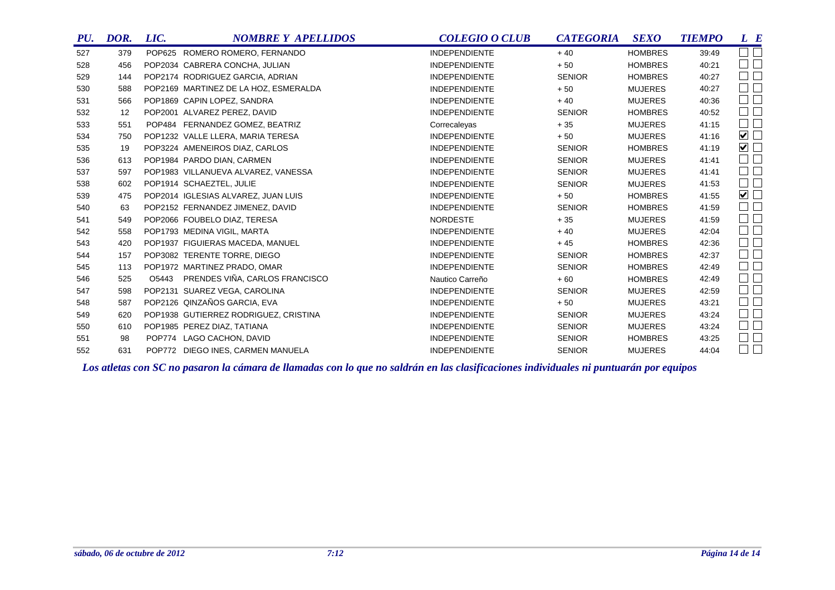| PU. | DOR. | LIC. | <b>NOMBRE Y APELLIDOS</b>             | <b>COLEGIO O CLUB</b> | <b>CATEGORIA</b> | <b>SEXO</b>    | <b>TIEMPO</b> | L E                         |
|-----|------|------|---------------------------------------|-----------------------|------------------|----------------|---------------|-----------------------------|
| 527 | 379  |      | POP625 ROMERO ROMERO, FERNANDO        | <b>INDEPENDIENTE</b>  | $+40$            | <b>HOMBRES</b> | 39.49         | $\Box$ $\Box$               |
| 528 | 456  |      | POP2034 CABRERA CONCHA, JULIAN        | <b>INDEPENDIENTE</b>  | $+50$            | <b>HOMBRES</b> | 40:21         | $\square$ $\square$         |
| 529 | 144  |      | POP2174 RODRIGUEZ GARCIA, ADRIAN      | <b>INDEPENDIENTE</b>  | <b>SENIOR</b>    | <b>HOMBRES</b> | 40:27         | $\square$ $\square$         |
| 530 | 588  |      | POP2169 MARTINEZ DE LA HOZ, ESMERALDA | <b>INDEPENDIENTE</b>  | $+50$            | <b>MUJERES</b> | 40:27         | $\square$                   |
| 531 | 566  |      | POP1869 CAPIN LOPEZ, SANDRA           | <b>INDEPENDIENTE</b>  | $+40$            | <b>MUJERES</b> | 40:36         | $\square$                   |
| 532 | 12   |      | POP2001 ALVAREZ PEREZ, DAVID          | <b>INDEPENDIENTE</b>  | <b>SENIOR</b>    | <b>HOMBRES</b> | 40:52         | $\Box$ $\Box$               |
| 533 | 551  |      | POP484 FERNANDEZ GOMEZ, BEATRIZ       | Correcaleyas          | $+35$            | <b>MUJERES</b> | 41:15         | $\Box$ $\Box$               |
| 534 | 750  |      | POP1232 VALLE LLERA, MARIA TERESA     | <b>INDEPENDIENTE</b>  | $+50$            | <b>MUJERES</b> | 41:16         | $\blacktriangledown$ $\Box$ |
| 535 | 19   |      | POP3224 AMENEIROS DIAZ, CARLOS        | <b>INDEPENDIENTE</b>  | <b>SENIOR</b>    | <b>HOMBRES</b> | 41:19         | ☑□                          |
| 536 | 613  |      | POP1984 PARDO DIAN, CARMEN            | <b>INDEPENDIENTE</b>  | <b>SENIOR</b>    | <b>MUJERES</b> | 41:41         | $\square$ $\square$         |
| 537 | 597  |      | POP1983 VILLANUEVA ALVAREZ, VANESSA   | <b>INDEPENDIENTE</b>  | <b>SENIOR</b>    | <b>MUJERES</b> | 41:41         | $\Box$                      |
| 538 | 602  |      | POP1914 SCHAEZTEL, JULIE              | <b>INDEPENDIENTE</b>  | <b>SENIOR</b>    | <b>MUJERES</b> | 41:53         | $\square$ $\square$         |
| 539 | 475  |      | POP2014 IGLESIAS ALVAREZ, JUAN LUIS   | <b>INDEPENDIENTE</b>  | $+50$            | <b>HOMBRES</b> | 41:55         | ✔□                          |
| 540 | 63   |      | POP2152 FERNANDEZ JIMENEZ, DAVID      | <b>INDEPENDIENTE</b>  | <b>SENIOR</b>    | <b>HOMBRES</b> | 41:59         | $\square$                   |
| 541 | 549  |      | POP2066 FOUBELO DIAZ, TERESA          | <b>NORDESTE</b>       | $+35$            | <b>MUJERES</b> | 41:59         | $\square$                   |
| 542 | 558  |      | POP1793 MEDINA VIGIL, MARTA           | <b>INDEPENDIENTE</b>  | $+40$            | <b>MUJERES</b> | 42:04         | $\square$                   |
| 543 | 420  |      | POP1937 FIGUIERAS MACEDA, MANUEL      | <b>INDEPENDIENTE</b>  | $+45$            | <b>HOMBRES</b> | 42:36         | $\square$                   |
| 544 | 157  |      | POP3082 TERENTE TORRE, DIEGO          | <b>INDEPENDIENTE</b>  | <b>SENIOR</b>    | <b>HOMBRES</b> | 42:37         | $\Box$ $\Box$               |
| 545 | 113  |      | POP1972 MARTINEZ PRADO, OMAR          | <b>INDEPENDIENTE</b>  | <b>SENIOR</b>    | <b>HOMBRES</b> | 42:49         | $\Box$                      |
| 546 | 525  |      | 05443 PRENDES VIÑA, CARLOS FRANCISCO  | Nautico Carreño       | $+60$            | <b>HOMBRES</b> | 42:49         | $\Box$ $\Box$               |
| 547 | 598  |      | POP2131 SUAREZ VEGA, CAROLINA         | <b>INDEPENDIENTE</b>  | <b>SENIOR</b>    | <b>MUJERES</b> | 42:59         | $\square$ $\square$         |
| 548 | 587  |      | POP2126 QINZAÑOS GARCIA, EVA          | <b>INDEPENDIENTE</b>  | $+50$            | <b>MUJERES</b> | 43:21         | $\square$ $\square$         |
| 549 | 620  |      | POP1938 GUTIERREZ RODRIGUEZ, CRISTINA | <b>INDEPENDIENTE</b>  | <b>SENIOR</b>    | <b>MUJERES</b> | 43:24         | $\square$                   |
| 550 | 610  |      | POP1985 PEREZ DIAZ, TATIANA           | <b>INDEPENDIENTE</b>  | <b>SENIOR</b>    | <b>MUJERES</b> | 43.24         | $\Box$ $\Box$               |
| 551 | 98   |      | POP774 LAGO CACHON, DAVID             | <b>INDEPENDIENTE</b>  | <b>SENIOR</b>    | <b>HOMBRES</b> | 43:25         | $\Box$ $\Box$               |
| 552 | 631  |      | POP772 DIEGO INES, CARMEN MANUELA     | <b>INDEPENDIENTE</b>  | <b>SENIOR</b>    | <b>MUJERES</b> | 44:04         | $\Box$<br>┐                 |

*Los atletas con SC no pasaron la cámara de llamadas con lo que no saldrán en las clasificaciones individuales ni puntuarán por equipos*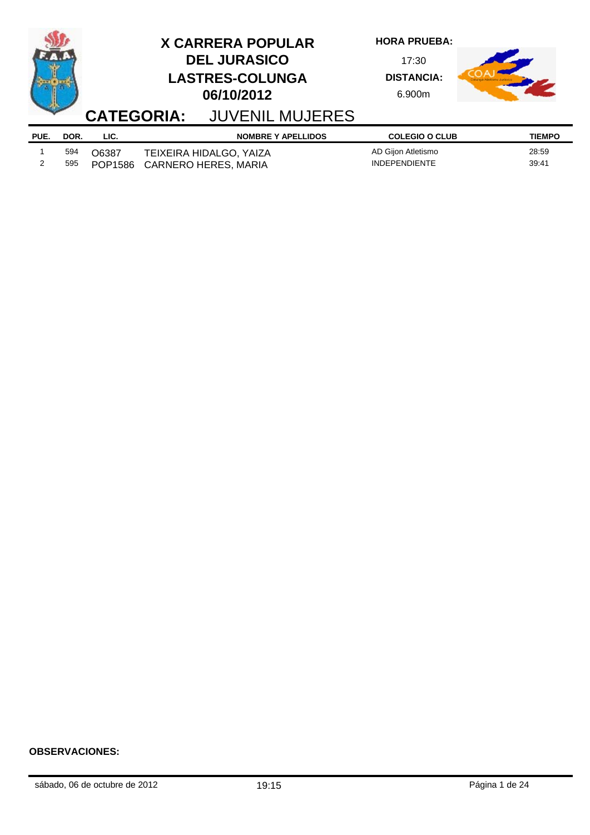|      |      |         | <b>X CARRERA POPULAR</b><br><b>DEL JURASICO</b><br><b>LASTRES-COLUNGA</b><br>06/10/2012<br><b>CATEGORIA: JUVENIL MUJERES</b> | <b>HORA PRUEBA:</b><br>17:30<br><b>DISTANCIA:</b><br>6.900m |               |
|------|------|---------|------------------------------------------------------------------------------------------------------------------------------|-------------------------------------------------------------|---------------|
| PUE. | DOR. | LIC.    | <b>NOMBRE Y APELLIDOS</b>                                                                                                    | <b>COLEGIO O CLUB</b>                                       | <b>TIEMPO</b> |
|      | 594  | O6387   | TEIXEIRA HIDALGO, YAIZA                                                                                                      | AD Gijon Atletismo                                          | 28:59         |
|      | 595  | POP1586 | <b>CARNERO HERES, MARIA</b>                                                                                                  | <b>INDEPENDIENTE</b>                                        | 39:41         |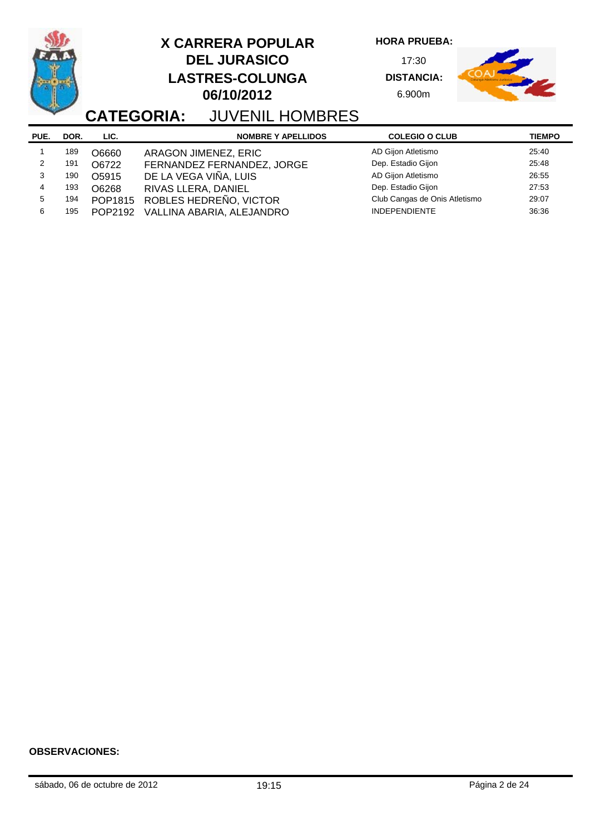|               |      | <b>CATEGORIA:</b> | <b>X CARRERA POPULAR</b><br><b>DEL JURASICO</b><br><b>LASTRES-COLUNGA</b><br>06/10/2012<br><b>JUVENIL HOMBRES</b> | <b>HORA PRUEBA:</b><br>17:30<br><b>DISTANCIA:</b><br>6.900m |               |
|---------------|------|-------------------|-------------------------------------------------------------------------------------------------------------------|-------------------------------------------------------------|---------------|
|               |      |                   |                                                                                                                   |                                                             |               |
| PUE.          | DOR. | LIC.              | <b>NOMBRE Y APELLIDOS</b>                                                                                         | <b>COLEGIO O CLUB</b>                                       | <b>TIEMPO</b> |
|               | 189  |                   |                                                                                                                   | AD Gijon Atletismo                                          | 25:40         |
| $\mathcal{P}$ | 191  | O6660<br>O6722    | ARAGON JIMENEZ, ERIC                                                                                              | Dep. Estadio Gijon                                          | 25:48         |
| 3             | 190  | O5915             | FERNANDEZ FERNANDEZ, JORGE                                                                                        | AD Gijon Atletismo                                          | 26:55         |
| 4             | 193  | O6268             | DE LA VEGA VIÑA, LUIS<br>RIVAS LLERA, DANIEL                                                                      | Dep. Estadio Gijon                                          | 27:53         |
| 5             | 194  | POP1815           | ROBLES HEDREÑO, VICTOR                                                                                            | Club Cangas de Onis Atletismo                               | 29:07         |

o.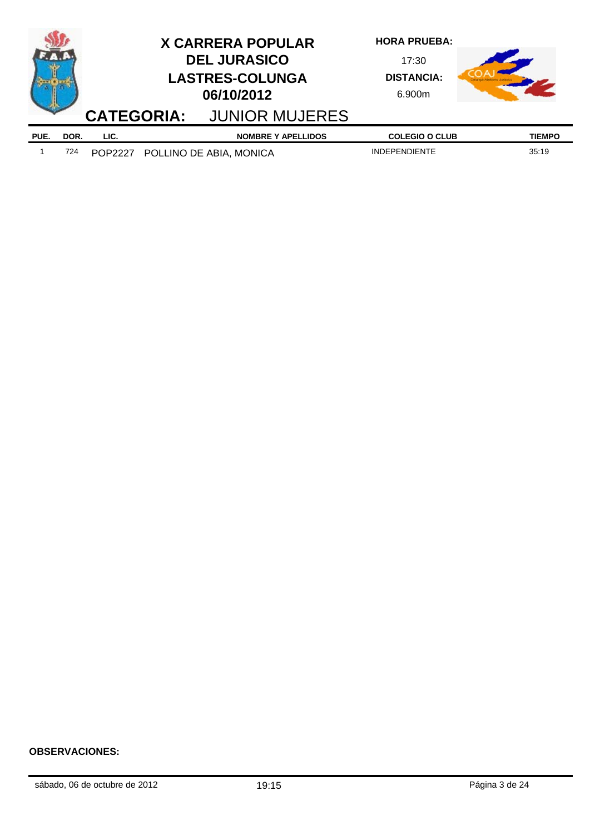|      |      |         | <b>X CARRERA POPULAR</b><br><b>DEL JURASICO</b><br><b>LASTRES-COLUNGA</b><br>06/10/2012<br><b>CATEGORIA: JUNIOR MUJERES</b> | <b>HORA PRUEBA:</b><br>17:30<br><b>DISTANCIA:</b><br>6.900m |               |
|------|------|---------|-----------------------------------------------------------------------------------------------------------------------------|-------------------------------------------------------------|---------------|
|      |      |         |                                                                                                                             |                                                             |               |
| PUE. | DOR. | LIC.    | <b>NOMBRE Y APELLIDOS</b>                                                                                                   | <b>COLEGIO O CLUB</b>                                       | <b>TIEMPO</b> |
|      | 724  | POP2227 | POLLINO DE ABIA, MONICA                                                                                                     | <b>INDEPENDIENTE</b>                                        | 35:19         |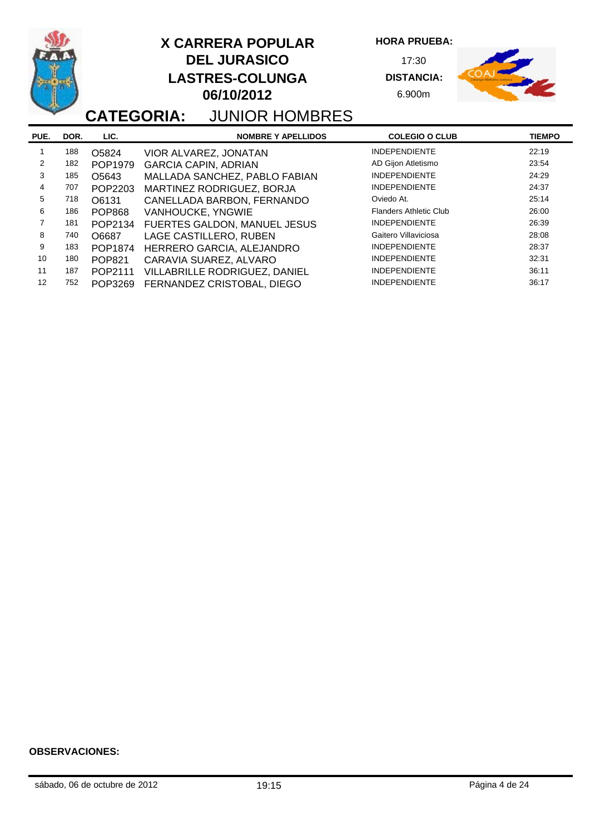|                |      |               | <b>X CARRERA POPULAR</b><br><b>DEL JURASICO</b><br><b>LASTRES-COLUNGA</b><br>06/10/2012<br><b>CATEGORIA: JUNIOR HOMBRES</b> | <b>HORA PRUEBA:</b><br>17:30<br><b>DISTANCIA:</b><br>6.900m |               |
|----------------|------|---------------|-----------------------------------------------------------------------------------------------------------------------------|-------------------------------------------------------------|---------------|
| PUE.           | DOR. | LIC.          | <b>NOMBRE Y APELLIDOS</b>                                                                                                   | <b>COLEGIO O CLUB</b>                                       | <b>TIEMPO</b> |
|                | 188  | O5824         | VIOR ALVAREZ, JONATAN                                                                                                       | <b>INDEPENDIENTE</b>                                        | 22:19         |
| 2              | 182  | POP1979       | <b>GARCIA CAPIN, ADRIAN</b>                                                                                                 | AD Gijon Atletismo                                          | 23:54         |
| 3              | 185  | O5643         | MALLADA SANCHEZ, PABLO FABIAN                                                                                               | <b>INDEPENDIENTE</b>                                        | 24:29         |
| 4              | 707  | POP2203       | MARTINEZ RODRIGUEZ, BORJA                                                                                                   | <b>INDEPENDIENTE</b>                                        | 24:37         |
| 5              | 718  | O6131         | CANELLADA BARBON, FERNANDO                                                                                                  | Oviedo At.                                                  | 25:14         |
| 6              | 186  | <b>POP868</b> | VANHOUCKE, YNGWIE                                                                                                           | <b>Flanders Athletic Club</b>                               | 26:00         |
| $\overline{7}$ | 181  | POP2134       | FUERTES GALDON, MANUEL JESUS                                                                                                | <b>INDEPENDIENTE</b>                                        | 26:39         |
| 8              | 740  | O6687         | LAGE CASTILLERO, RUBEN                                                                                                      | Gaitero Villaviciosa                                        | 28:08         |
| 9              | 183  | POP1874       | HERRERO GARCIA, ALEJANDRO                                                                                                   | <b>INDEPENDIENTE</b>                                        | 28:37         |
| 10             | 180  | <b>POP821</b> | CARAVIA SUAREZ, ALVARO                                                                                                      | <b>INDEPENDIENTE</b>                                        | 32:31         |
| 11             | 187  | POP2111       | VILLABRILLE RODRIGUEZ, DANIEL                                                                                               | <b>INDEPENDIENTE</b>                                        | 36:11         |
| 12             | 752  | POP3269       | FERNANDEZ CRISTOBAL, DIEGO                                                                                                  | <b>INDEPENDIENTE</b>                                        | 36:17         |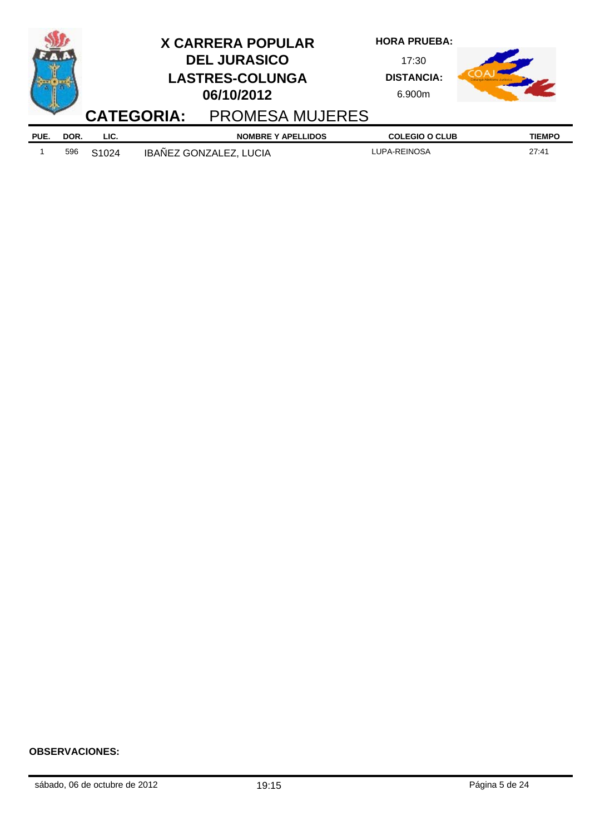|      |      |                   | <b>CATEGORIA:</b> | <b>X CARRERA POPULAR</b><br><b>DEL JURASICO</b><br><b>LASTRES-COLUNGA</b><br>06/10/2012<br><b>PROMESA MUJERES</b> | <b>HORA PRUEBA:</b><br>17:30<br><b>DISTANCIA:</b><br>6.900m |               |
|------|------|-------------------|-------------------|-------------------------------------------------------------------------------------------------------------------|-------------------------------------------------------------|---------------|
|      |      |                   |                   |                                                                                                                   |                                                             |               |
| PUE. | DOR. | LIC.              |                   | <b>NOMBRE Y APELLIDOS</b>                                                                                         | <b>COLEGIO O CLUB</b>                                       | <b>TIEMPO</b> |
|      | 596  | S <sub>1024</sub> |                   | IBAÑEZ GONZALEZ, LUCIA                                                                                            | LUPA-REINOSA                                                | 27:41         |

j,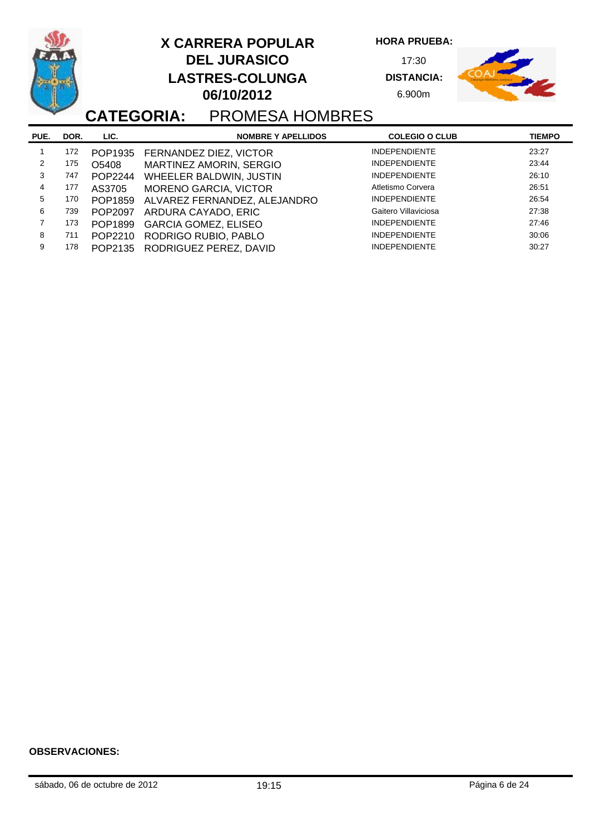**PUE. NOMBRE Y APELLIDOS COLEGIO O CLUB DOR. LIC. TIEMPO CATEGORIA:** PROMESA HOMBRES **HORA PRUEBA:** 17:30 **DISTANCIA:** 6.900m **DEL JURASICO LASTRES-COLUNGA 06/10/2012 X CARRERA POPULAR** 1 172 POP1935 FERNANDEZ DIEZ, VICTOR INDEPENDIENTE 2 175 O5408 MARTINEZ AMORIN, SERGIO INDEPENDIENTE 23:44 3 747 POP2244 WHEELER BALDWIN, JUSTIN INDEPENDIENTE 26:10<br>26:10 177 AS3705 MORENO GARCIA VICTOR 20:51 4 177 AS3705 MORENO GARCIA, VICTOR Atletismo Corvera 26:51 5 170 POP1859 ALVAREZ FERNANDEZ, ALEJANDRO INDEPENDIENTE 26:54 6 739 POP2097 ARDURA CAYADO, ERIC Gaitero Villaviciosa and 27:38<br>173 POP1899 GARCIA GOMEZ ELISEO GAINERENDIENTE 27:46 7 173 POP1899 GARCIA GOMEZ, ELISEO INDEPENDIENTE 27:46 8 711 POP2210 RODRIGO RUBIO, PABLO 9 178 POP2135 RODRIGUEZ PEREZ, DAVID INDEPENDIENTE 30:27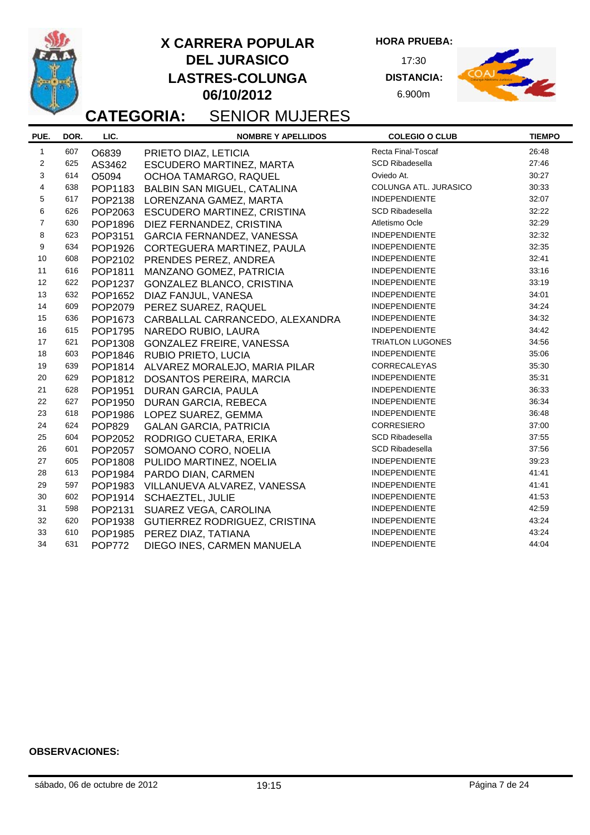

**HORA PRUEBA:**

17:30 **DISTANCIA:** 6.900m



# **CATEGORIA:** SENIOR MUJERES

| PUE.                    | DOR. | LIC.           | <b>NOMBRE Y APELLIDOS</b>             | <b>COLEGIO O CLUB</b>   | <b>TIEMPO</b> |
|-------------------------|------|----------------|---------------------------------------|-------------------------|---------------|
| $\mathbf{1}$            | 607  | O6839          | PRIETO DIAZ, LETICIA                  | Recta Final-Toscaf      | 26:48         |
| $\mathbf{2}$            | 625  | AS3462         | ESCUDERO MARTINEZ, MARTA              | <b>SCD Ribadesella</b>  | 27:46         |
| 3                       | 614  | O5094          | OCHOA TAMARGO, RAQUEL                 | Oviedo At.              | 30:27         |
| $\overline{\mathbf{4}}$ | 638  | POP1183        | <b>BALBIN SAN MIGUEL, CATALINA</b>    | COLUNGA ATL. JURASICO   | 30:33         |
| 5                       | 617  | POP2138        | LORENZANA GAMEZ, MARTA                | <b>INDEPENDIENTE</b>    | 32:07         |
| 6                       | 626  | POP2063        | ESCUDERO MARTINEZ, CRISTINA           | <b>SCD Ribadesella</b>  | 32:22         |
| $\overline{7}$          | 630  | POP1896        | DIEZ FERNANDEZ, CRISTINA              | Atletismo Ocle          | 32:29         |
| 8                       | 623  | POP3151        | GARCIA FERNANDEZ, VANESSA             | <b>INDEPENDIENTE</b>    | 32:32         |
| 9                       | 634  | POP1926        | CORTEGUERA MARTINEZ, PAULA            | <b>INDEPENDIENTE</b>    | 32:35         |
| 10                      | 608  | POP2102        | PRENDES PEREZ, ANDREA                 | <b>INDEPENDIENTE</b>    | 32:41         |
| 11                      | 616  | POP1811        | MANZANO GOMEZ, PATRICIA               | <b>INDEPENDIENTE</b>    | 33:16         |
| 12                      | 622  | POP1237        | GONZALEZ BLANCO, CRISTINA             | <b>INDEPENDIENTE</b>    | 33:19         |
| 13                      | 632  | POP1652        | DIAZ FANJUL, VANESA                   | <b>INDEPENDIENTE</b>    | 34:01         |
| 14                      | 609  | POP2079        | PEREZ SUAREZ, RAQUEL                  | <b>INDEPENDIENTE</b>    | 34:24         |
| 15                      | 636  | POP1673        | CARBALLAL CARRANCEDO, ALEXANDRA       | <b>INDEPENDIENTE</b>    | 34:32         |
| 16                      | 615  | POP1795        | NAREDO RUBIO, LAURA                   | <b>INDEPENDIENTE</b>    | 34:42         |
| 17                      | 621  | POP1308        | GONZALEZ FREIRE, VANESSA              | <b>TRIATLON LUGONES</b> | 34:56         |
| 18                      | 603  | POP1846        | <b>RUBIO PRIETO, LUCIA</b>            | <b>INDEPENDIENTE</b>    | 35:06         |
| 19                      | 639  |                | POP1814 ALVAREZ MORALEJO, MARIA PILAR | <b>CORRECALEYAS</b>     | 35:30         |
| 20                      | 629  | POP1812        | <b>DOSANTOS PEREIRA, MARCIA</b>       | <b>INDEPENDIENTE</b>    | 35:31         |
| 21                      | 628  | POP1951        | DURAN GARCIA, PAULA                   | <b>INDEPENDIENTE</b>    | 36:33         |
| 22                      | 627  | POP1950        | DURAN GARCIA, REBECA                  | <b>INDEPENDIENTE</b>    | 36:34         |
| 23                      | 618  | POP1986        | LOPEZ SUAREZ, GEMMA                   | <b>INDEPENDIENTE</b>    | 36:48         |
| 24                      | 624  | <b>POP829</b>  | <b>GALAN GARCIA, PATRICIA</b>         | <b>CORRESIERO</b>       | 37:00         |
| 25                      | 604  | POP2052        | RODRIGO CUETARA, ERIKA                | <b>SCD Ribadesella</b>  | 37:55         |
| 26                      | 601  | POP2057        | SOMOANO CORO, NOELIA                  | <b>SCD Ribadesella</b>  | 37:56         |
| 27                      | 605  | POP1808        | PULIDO MARTINEZ, NOELIA               | <b>INDEPENDIENTE</b>    | 39:23         |
| 28                      | 613  | POP1984        | PARDO DIAN, CARMEN                    | <b>INDEPENDIENTE</b>    | 41:41         |
| 29                      | 597  | POP1983        | VILLANUEVA ALVAREZ, VANESSA           | <b>INDEPENDIENTE</b>    | 41:41         |
| 30                      | 602  | POP1914        | <b>SCHAEZTEL, JULIE</b>               | <b>INDEPENDIENTE</b>    | 41:53         |
| 31                      | 598  | POP2131        | SUAREZ VEGA, CAROLINA                 | <b>INDEPENDIENTE</b>    | 42:59         |
| 32                      | 620  | POP1938        | GUTIERREZ RODRIGUEZ, CRISTINA         | <b>INDEPENDIENTE</b>    | 43:24         |
| 33                      | 610  | <b>POP1985</b> | PEREZ DIAZ, TATIANA                   | <b>INDEPENDIENTE</b>    | 43:24         |
| 34                      | 631  | <b>POP772</b>  | DIEGO INES, CARMEN MANUELA            | <b>INDEPENDIENTE</b>    | 44:04         |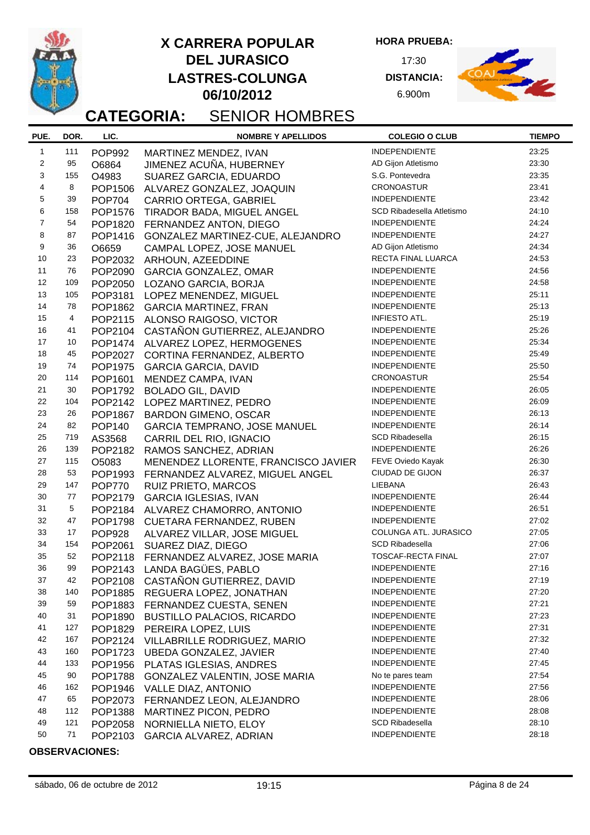**HORA PRUEBA:**

17:30 **DISTANCIA:** 6.900m



# **CATEGORIA:** SENIOR HOMBRES

| PUE.           | DOR. | LIC.           | <b>NOMBRE Y APELLIDOS</b>            | <b>COLEGIO O CLUB</b>            | <b>TIEMPO</b> |
|----------------|------|----------------|--------------------------------------|----------------------------------|---------------|
| $\mathbf{1}$   | 111  | POP992         | MARTINEZ MENDEZ, IVAN                | <b>INDEPENDIENTE</b>             | 23:25         |
| 2              | 95   | O6864          | JIMENEZ ACUÑA, HUBERNEY              | AD Gijon Atletismo               | 23:30         |
| 3              | 155  | O4983          | SUAREZ GARCIA, EDUARDO               | S.G. Pontevedra                  | 23:35         |
| 4              | 8    | POP1506        | ALVAREZ GONZALEZ, JOAQUIN            | <b>CRONOASTUR</b>                | 23:41         |
| 5              | 39   | <b>POP704</b>  | CARRIO ORTEGA, GABRIEL               | <b>INDEPENDIENTE</b>             | 23:42         |
| 6              | 158  | POP1576        | TIRADOR BADA, MIGUEL ANGEL           | <b>SCD Ribadesella Atletismo</b> | 24:10         |
| $\overline{7}$ | 54   | POP1820        | FERNANDEZ ANTON, DIEGO               | <b>INDEPENDIENTE</b>             | 24:24         |
| 8              | 87   | POP1416        | GONZALEZ MARTINEZ-CUE, ALEJANDRO     | <b>INDEPENDIENTE</b>             | 24:27         |
| 9              | 36   | O6659          | CAMPAL LOPEZ, JOSE MANUEL            | AD Gijon Atletismo               | 24:34         |
| 10             | 23   | POP2032        | ARHOUN, AZEEDDINE                    | RECTA FINAL LUARCA               | 24:53         |
| 11             | 76   | POP2090        | <b>GARCIA GONZALEZ, OMAR</b>         | <b>INDEPENDIENTE</b>             | 24:56         |
| 12             | 109  | POP2050        | LOZANO GARCIA, BORJA                 | <b>INDEPENDIENTE</b>             | 24:58         |
| 13             | 105  | POP3181        | LOPEZ MENENDEZ, MIGUEL               | <b>INDEPENDIENTE</b>             | 25:11         |
| 14             | 78   | POP1862        | <b>GARCIA MARTINEZ, FRAN</b>         | <b>INDEPENDIENTE</b>             | 25:13         |
| 15             | 4    |                | POP2115 ALONSO RAIGOSO, VICTOR       | INFIESTO ATL.                    | 25:19         |
| 16             | 41   | POP2104        | CASTAÑON GUTIERREZ, ALEJANDRO        | <b>INDEPENDIENTE</b>             | 25:26         |
| 17             | 10   |                | POP1474 ALVAREZ LOPEZ, HERMOGENES    | INDEPENDIENTE                    | 25:34         |
| 18             | 45   | POP2027        | CORTINA FERNANDEZ, ALBERTO           | INDEPENDIENTE                    | 25:49         |
| 19             | 74   | POP1975        | <b>GARCIA GARCIA, DAVID</b>          | <b>INDEPENDIENTE</b>             | 25:50         |
| 20             | 114  | POP1601        | MENDEZ CAMPA, IVAN                   | <b>CRONOASTUR</b>                | 25:54         |
| 21             | 30   | POP1792        | <b>BOLADO GIL, DAVID</b>             | <b>INDEPENDIENTE</b>             | 26:05         |
| 22             | 104  | POP2142        | LOPEZ MARTINEZ, PEDRO                | <b>INDEPENDIENTE</b>             | 26:09         |
| 23             | 26   | <b>POP1867</b> | <b>BARDON GIMENO, OSCAR</b>          | <b>INDEPENDIENTE</b>             | 26:13         |
| 24             | 82   | <b>POP140</b>  | <b>GARCIA TEMPRANO, JOSE MANUEL</b>  | <b>INDEPENDIENTE</b>             | 26:14         |
| 25             | 719  | AS3568         | CARRIL DEL RIO, IGNACIO              | <b>SCD Ribadesella</b>           | 26:15         |
| 26             | 139  | POP2182        | RAMOS SANCHEZ, ADRIAN                | <b>INDEPENDIENTE</b>             | 26:26         |
| 27             | 115  | O5083          | MENENDEZ LLORENTE, FRANCISCO JAVIER  | FEVE Oviedo Kayak                | 26:30         |
| 28             | 53   | POP1993        | FERNANDEZ ALVAREZ, MIGUEL ANGEL      | CIUDAD DE GIJON                  | 26:37         |
| 29             | 147  | <b>POP770</b>  | RUIZ PRIETO, MARCOS                  | LIEBANA                          | 26:43         |
| 30             | 77   | POP2179        | <b>GARCIA IGLESIAS, IVAN</b>         | <b>INDEPENDIENTE</b>             | 26:44         |
| 31             | 5    | POP2184        | ALVAREZ CHAMORRO, ANTONIO            | INDEPENDIENTE                    | 26:51         |
| 32             | 47   | <b>POP1798</b> | CUETARA FERNANDEZ, RUBEN             | <b>INDEPENDIENTE</b>             | 27:02         |
| 33             | 17   | <b>POP928</b>  | ALVAREZ VILLAR, JOSE MIGUEL          | COLUNGA ATL. JURASICO            | 27:05         |
| 34             | 154  | POP2061        | SUAREZ DIAZ, DIEGO                   | <b>SCD Ribadesella</b>           | 27:06         |
| 35             | 52   | POP2118        | FERNANDEZ ALVAREZ, JOSE MARIA        | TOSCAF-RECTA FINAL               | 27:07         |
| 36             | 99   | POP2143        | LANDA BAGÜES, PABLO                  | <b>INDEPENDIENTE</b>             | 27:16         |
| 37             | 42   | POP2108        | CASTAÑON GUTIERREZ, DAVID            | <b>INDEPENDIENTE</b>             | 27:19         |
| 38             | 140  | <b>POP1885</b> | REGUERA LOPEZ, JONATHAN              | <b>INDEPENDIENTE</b>             | 27:20         |
| 39             | 59   | POP1883        | FERNANDEZ CUESTA, SENEN              | <b>INDEPENDIENTE</b>             | 27:21         |
| 40             | 31   | POP1890        | <b>BUSTILLO PALACIOS, RICARDO</b>    | <b>INDEPENDIENTE</b>             | 27:23         |
| 41             | 127  | POP1829        | PEREIRA LOPEZ, LUIS                  | <b>INDEPENDIENTE</b>             | 27:31         |
| 42             | 167  | POP2124        | VILLABRILLE RODRIGUEZ, MARIO         | <b>INDEPENDIENTE</b>             | 27:32         |
| 43             | 160  | POP1723        | <b>UBEDA GONZALEZ, JAVIER</b>        | <b>INDEPENDIENTE</b>             | 27:40         |
| 44             | 133  | POP1956        | PLATAS IGLESIAS, ANDRES              | <b>INDEPENDIENTE</b>             | 27:45         |
| 45             | 90   | <b>POP1788</b> | <b>GONZALEZ VALENTIN, JOSE MARIA</b> | No te pares team                 | 27:54         |
| 46             | 162  | POP1946        | VALLE DIAZ, ANTONIO                  | <b>INDEPENDIENTE</b>             | 27:56         |
| 47             | 65   | POP2073        | FERNANDEZ LEON, ALEJANDRO            | <b>INDEPENDIENTE</b>             | 28:06         |
| 48             | 112  | POP1388        | MARTINEZ PICON, PEDRO                | <b>INDEPENDIENTE</b>             | 28:08         |
| 49             | 121  | POP2058        | NORNIELLA NIETO, ELOY                | <b>SCD Ribadesella</b>           | 28:10         |
| 50             | 71   | POP2103        | GARCIA ALVAREZ, ADRIAN               | <b>INDEPENDIENTE</b>             | 28:18         |
|                |      |                |                                      |                                  |               |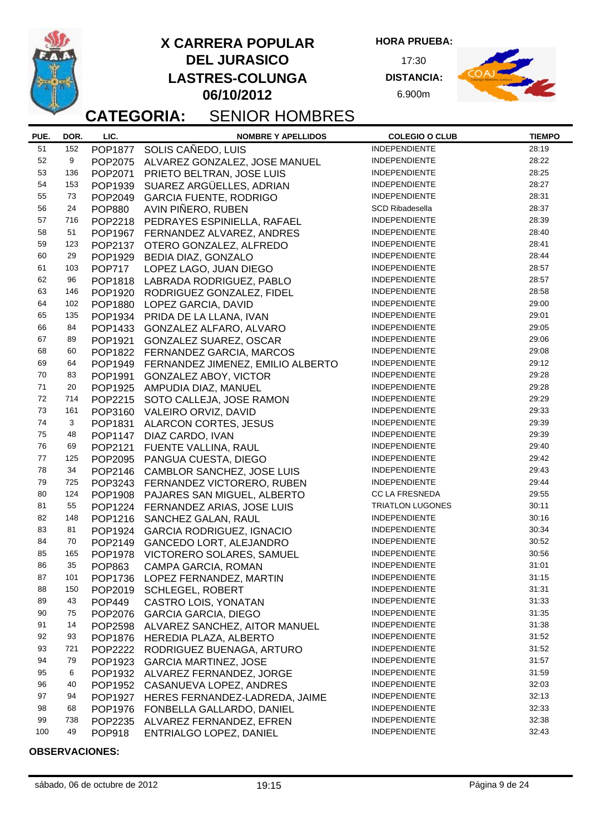

**HORA PRUEBA:**

17:30 **DISTANCIA:** 6.900m



# **CATEGORIA:** SENIOR HOMBRES

| PUE. | DOR. | LIC.           | <b>NOMBRE Y APELLIDOS</b>                                          | <b>COLEGIO O CLUB</b>   | <b>TIEMPO</b> |
|------|------|----------------|--------------------------------------------------------------------|-------------------------|---------------|
| 51   | 152  |                | POP1877 SOLIS CAÑEDO, LUIS                                         | <b>INDEPENDIENTE</b>    | 28:19         |
| 52   | 9    |                | POP2075 ALVAREZ GONZALEZ, JOSE MANUEL                              | <b>INDEPENDIENTE</b>    | 28:22         |
| 53   | 136  | POP2071        | PRIETO BELTRAN, JOSE LUIS                                          | <b>INDEPENDIENTE</b>    | 28:25         |
| 54   | 153  | POP1939        | SUAREZ ARGÜELLES, ADRIAN                                           | <b>INDEPENDIENTE</b>    | 28:27         |
| 55   | 73   | POP2049        | <b>GARCIA FUENTE, RODRIGO</b>                                      | <b>INDEPENDIENTE</b>    | 28:31         |
| 56   | 24   | <b>POP880</b>  | AVIN PIÑERO, RUBEN                                                 | <b>SCD Ribadesella</b>  | 28:37         |
| 57   | 716  |                | POP2218 PEDRAYES ESPINIELLA, RAFAEL                                | <b>INDEPENDIENTE</b>    | 28:39         |
| 58   | 51   | POP1967        | FERNANDEZ ALVAREZ, ANDRES                                          | <b>INDEPENDIENTE</b>    | 28:40         |
| 59   | 123  | POP2137        | OTERO GONZALEZ, ALFREDO                                            | <b>INDEPENDIENTE</b>    | 28:41         |
| 60   | 29   | POP1929        | BEDIA DIAZ, GONZALO                                                | <b>INDEPENDIENTE</b>    | 28:44         |
| 61   | 103  | <b>POP717</b>  | LOPEZ LAGO, JUAN DIEGO                                             | <b>INDEPENDIENTE</b>    | 28:57         |
| 62   | 96   | POP1818        | LABRADA RODRIGUEZ, PABLO                                           | <b>INDEPENDIENTE</b>    | 28:57         |
| 63   | 146  | POP1920        | RODRIGUEZ GONZALEZ, FIDEL                                          | <b>INDEPENDIENTE</b>    | 28:58         |
| 64   | 102  | <b>POP1880</b> | LOPEZ GARCIA, DAVID                                                | <b>INDEPENDIENTE</b>    | 29:00         |
| 65   | 135  | POP1934        | PRIDA DE LA LLANA, IVAN                                            | <b>INDEPENDIENTE</b>    | 29:01         |
| 66   | 84   | POP1433        | GONZALEZ ALFARO, ALVARO                                            | <b>INDEPENDIENTE</b>    | 29:05         |
| 67   | 89   | POP1921        | GONZALEZ SUAREZ, OSCAR                                             | <b>INDEPENDIENTE</b>    | 29:06         |
| 68   | 60   | POP1822        | FERNANDEZ GARCIA, MARCOS                                           | <b>INDEPENDIENTE</b>    | 29:08         |
| 69   | 64   | POP1949        | FERNANDEZ JIMENEZ, EMILIO ALBERTO                                  | <b>INDEPENDIENTE</b>    | 29:12         |
| 70   | 83   | POP1991        | <b>GONZALEZ ABOY, VICTOR</b>                                       | <b>INDEPENDIENTE</b>    | 29:28         |
| 71   | 20   |                | POP1925 AMPUDIA DIAZ, MANUEL                                       | <b>INDEPENDIENTE</b>    | 29:28         |
| 72   | 714  | POP2215        | SOTO CALLEJA, JOSE RAMON                                           | <b>INDEPENDIENTE</b>    | 29:29         |
| 73   | 161  |                | POP3160 VALEIRO ORVIZ, DAVID                                       | <b>INDEPENDIENTE</b>    | 29:33         |
| 74   | 3    | POP1831        | ALARCON CORTES, JESUS                                              | <b>INDEPENDIENTE</b>    | 29:39         |
| 75   | 48   | POP1147        | DIAZ CARDO, IVAN                                                   | <b>INDEPENDIENTE</b>    | 29:39         |
| 76   | 69   | POP2121        | FUENTE VALLINA, RAUL                                               | <b>INDEPENDIENTE</b>    | 29:40         |
| 77   | 125  | POP2095        | PANGUA CUESTA, DIEGO                                               | <b>INDEPENDIENTE</b>    | 29:42         |
| 78   | 34   | POP2146        | CAMBLOR SANCHEZ, JOSE LUIS                                         | <b>INDEPENDIENTE</b>    | 29:43         |
| 79   | 725  | POP3243        | FERNANDEZ VICTORERO, RUBEN                                         | <b>INDEPENDIENTE</b>    | 29:44         |
| 80   | 124  | POP1908        | PAJARES SAN MIGUEL, ALBERTO                                        | <b>CC LA FRESNEDA</b>   | 29:55         |
| 81   | 55   | POP1224        | FERNANDEZ ARIAS, JOSE LUIS                                         | <b>TRIATLON LUGONES</b> | 30:11         |
| 82   | 148  | POP1216        | SANCHEZ GALAN, RAUL                                                | <b>INDEPENDIENTE</b>    | 30:16         |
| 83   | 81   | POP1924        | <b>GARCIA RODRIGUEZ, IGNACIO</b>                                   | <b>INDEPENDIENTE</b>    | 30:34         |
| 84   | 70   | POP2149        | <b>GANCEDO LORT, ALEJANDRO</b>                                     | <b>INDEPENDIENTE</b>    | 30:52         |
| 85   | 165  | POP1978        | VICTORERO SOLARES, SAMUEL                                          | <b>INDEPENDIENTE</b>    | 30:56         |
| 86   | 35   | POP863         | CAMPA GARCIA, ROMAN                                                | <b>INDEPENDIENTE</b>    | 31:01         |
| 87   | 101  |                | POP1736 LOPEZ FERNANDEZ, MARTIN                                    | INDEPENDIENTE           | 31:15         |
| 88   | 150  |                | POP2019 SCHLEGEL, ROBERT                                           | <b>INDEPENDIENTE</b>    | 31:31         |
| 89   | 43   | <b>POP449</b>  | <b>CASTRO LOIS, YONATAN</b>                                        | <b>INDEPENDIENTE</b>    | 31:33         |
| 90   | 75   |                | POP2076 GARCIA GARCIA, DIEGO                                       | <b>INDEPENDIENTE</b>    | 31:35         |
| 91   | 14   |                |                                                                    | <b>INDEPENDIENTE</b>    | 31:38         |
| 92   | 93   |                | POP2598 ALVAREZ SANCHEZ, AITOR MANUEL                              | <b>INDEPENDIENTE</b>    | 31:52         |
| 93   | 721  |                | POP1876 HEREDIA PLAZA, ALBERTO                                     | <b>INDEPENDIENTE</b>    | 31:52         |
| 94   | 79   |                | POP2222 RODRIGUEZ BUENAGA, ARTURO<br>POP1923 GARCIA MARTINEZ, JOSE | <b>INDEPENDIENTE</b>    | 31:57         |
| 95   | 6    |                |                                                                    | <b>INDEPENDIENTE</b>    | 31:59         |
| 96   | 40   |                | POP1932 ALVAREZ FERNANDEZ, JORGE                                   | <b>INDEPENDIENTE</b>    | 32:03         |
| 97   | 94   |                | POP1952 CASANUEVA LOPEZ, ANDRES                                    | <b>INDEPENDIENTE</b>    | 32:13         |
| 98   | 68   |                | POP1927 HERES FERNANDEZ-LADREDA, JAIME                             | <b>INDEPENDIENTE</b>    | 32:33         |
| 99   | 738  |                | POP1976 FONBELLA GALLARDO, DANIEL                                  | <b>INDEPENDIENTE</b>    | 32:38         |
| 100  | 49   |                | POP2235 ALVAREZ FERNANDEZ, EFREN                                   | <b>INDEPENDIENTE</b>    | 32:43         |
|      |      | POP918         | ENTRIALGO LOPEZ, DANIEL                                            |                         |               |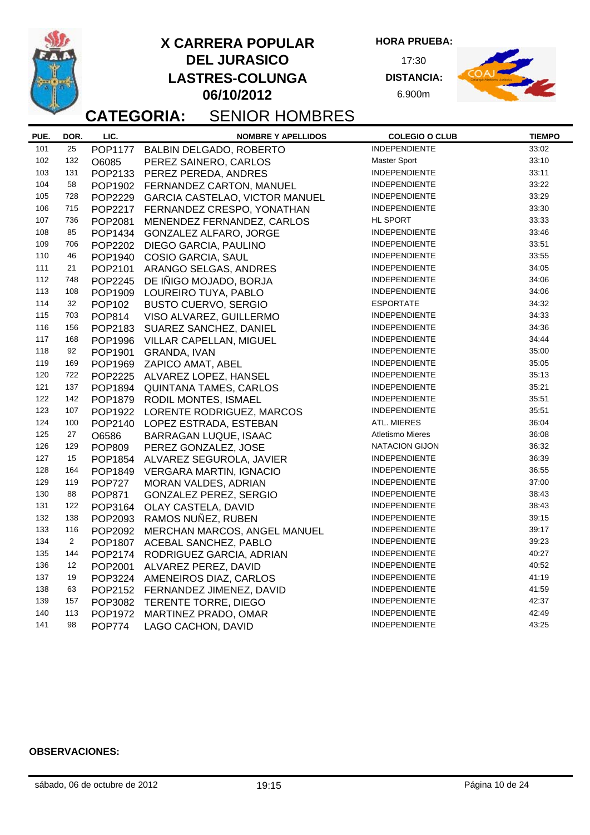**DEL JURASICO LASTRES-COLUNGA X CARRERA POPULAR**

**06/10/2012**

**HORA PRUEBA:**

17:30 **DISTANCIA:** 6.900m



## **CATEGORIA:** SENIOR HOMBRES

| PUE. | DOR.           | LIC.           | <b>NOMBRE Y APELLIDOS</b>        | <b>COLEGIO O CLUB</b>   | <b>TIEMPO</b> |
|------|----------------|----------------|----------------------------------|-------------------------|---------------|
| 101  | 25             | <b>POP1177</b> | <b>BALBIN DELGADO, ROBERTO</b>   | <b>INDEPENDIENTE</b>    | 33:02         |
| 102  | 132            | O6085          | PEREZ SAINERO, CARLOS            | Master Sport            | 33:10         |
| 103  | 131            | POP2133        | PEREZ PEREDA, ANDRES             | <b>INDEPENDIENTE</b>    | 33:11         |
| 104  | 58             | POP1902        | FERNANDEZ CARTON, MANUEL         | <b>INDEPENDIENTE</b>    | 33:22         |
| 105  | 728            | POP2229        | GARCIA CASTELAO, VICTOR MANUEL   | <b>INDEPENDIENTE</b>    | 33:29         |
| 106  | 715            | POP2217        | FERNANDEZ CRESPO, YONATHAN       | <b>INDEPENDIENTE</b>    | 33:30         |
| 107  | 736            | POP2081        | MENENDEZ FERNANDEZ, CARLOS       | HL SPORT                | 33:33         |
| 108  | 85             | POP1434        | <b>GONZALEZ ALFARO, JORGE</b>    | <b>INDEPENDIENTE</b>    | 33:46         |
| 109  | 706            | POP2202        | DIEGO GARCIA, PAULINO            | <b>INDEPENDIENTE</b>    | 33:51         |
| 110  | 46             | POP1940        | COSIO GARCIA, SAUL               | INDEPENDIENTE           | 33:55         |
| 111  | 21             | POP2101        | ARANGO SELGAS, ANDRES            | INDEPENDIENTE           | 34:05         |
| 112  | 748            | POP2245        | DE IÑIGO MOJADO, BORJA           | INDEPENDIENTE           | 34:06         |
| 113  | 108            | POP1909        | LOUREIRO TUYA, PABLO             | INDEPENDIENTE           | 34:06         |
| 114  | 32             | POP102         | <b>BUSTO CUERVO, SERGIO</b>      | <b>ESPORTATE</b>        | 34:32         |
| 115  | 703            | POP814         | VISO ALVAREZ, GUILLERMO          | <b>INDEPENDIENTE</b>    | 34:33         |
| 116  | 156            | POP2183        | SUAREZ SANCHEZ, DANIEL           | <b>INDEPENDIENTE</b>    | 34:36         |
| 117  | 168            | POP1996        | VILLAR CAPELLAN, MIGUEL          | <b>INDEPENDIENTE</b>    | 34:44         |
| 118  | 92             | POP1901        | GRANDA, IVAN                     | <b>INDEPENDIENTE</b>    | 35:00         |
| 119  | 169            | POP1969        | ZAPICO AMAT, ABEL                | <b>INDEPENDIENTE</b>    | 35:05         |
| 120  | 722            |                | POP2225 ALVAREZ LOPEZ, HANSEL    | <b>INDEPENDIENTE</b>    | 35:13         |
| 121  | 137            | POP1894        | <b>QUINTANA TAMES, CARLOS</b>    | <b>INDEPENDIENTE</b>    | 35:21         |
| 122  | 142            | POP1879        | RODIL MONTES, ISMAEL             | <b>INDEPENDIENTE</b>    | 35:51         |
| 123  | 107            | POP1922        | LORENTE RODRIGUEZ, MARCOS        | <b>INDEPENDIENTE</b>    | 35:51         |
| 124  | 100            | POP2140        | LOPEZ ESTRADA, ESTEBAN           | ATL. MIERES             | 36:04         |
| 125  | 27             | O6586          | <b>BARRAGAN LUQUE, ISAAC</b>     | <b>Atletismo Mieres</b> | 36:08         |
| 126  | 129            | <b>POP809</b>  | PEREZ GONZALEZ, JOSE             | <b>NATACION GIJON</b>   | 36:32         |
| 127  | 15             | POP1854        | ALVAREZ SEGUROLA, JAVIER         | <b>INDEPENDIENTE</b>    | 36:39         |
| 128  | 164            | POP1849        | <b>VERGARA MARTIN, IGNACIO</b>   | <b>INDEPENDIENTE</b>    | 36:55         |
| 129  | 119            | <b>POP727</b>  | MORAN VALDES, ADRIAN             | <b>INDEPENDIENTE</b>    | 37:00         |
| 130  | 88             | <b>POP871</b>  | GONZALEZ PEREZ, SERGIO           | <b>INDEPENDIENTE</b>    | 38:43         |
| 131  | 122            | POP3164        | OLAY CASTELA, DAVID              | <b>INDEPENDIENTE</b>    | 38:43         |
| 132  | 138            | POP2093        | RAMOS NUÑEZ, RUBEN               | <b>INDEPENDIENTE</b>    | 39:15         |
| 133  | 116            | POP2092        | MERCHAN MARCOS, ANGEL MANUEL     | <b>INDEPENDIENTE</b>    | 39:17         |
| 134  | $\overline{a}$ | POP1807        | ACEBAL SANCHEZ, PABLO            | <b>INDEPENDIENTE</b>    | 39:23         |
| 135  | 144            | POP2174        | RODRIGUEZ GARCIA, ADRIAN         | <b>INDEPENDIENTE</b>    | 40:27         |
| 136  | 12             | POP2001        | ALVAREZ PEREZ, DAVID             | <b>INDEPENDIENTE</b>    | 40:52         |
| 137  | 19             |                | POP3224 AMENEIROS DIAZ, CARLOS   | <b>INDEPENDIENTE</b>    | 41:19         |
| 138  | 63             |                | POP2152 FERNANDEZ JIMENEZ, DAVID | <b>INDEPENDIENTE</b>    | 41:59         |
| 139  | 157            |                | POP3082 TERENTE TORRE, DIEGO     | <b>INDEPENDIENTE</b>    | 42:37         |
| 140  | 113            | POP1972        | MARTINEZ PRADO, OMAR             | <b>INDEPENDIENTE</b>    | 42:49         |
| 141  | 98             | <b>POP774</b>  | LAGO CACHON, DAVID               | <b>INDEPENDIENTE</b>    | 43:25         |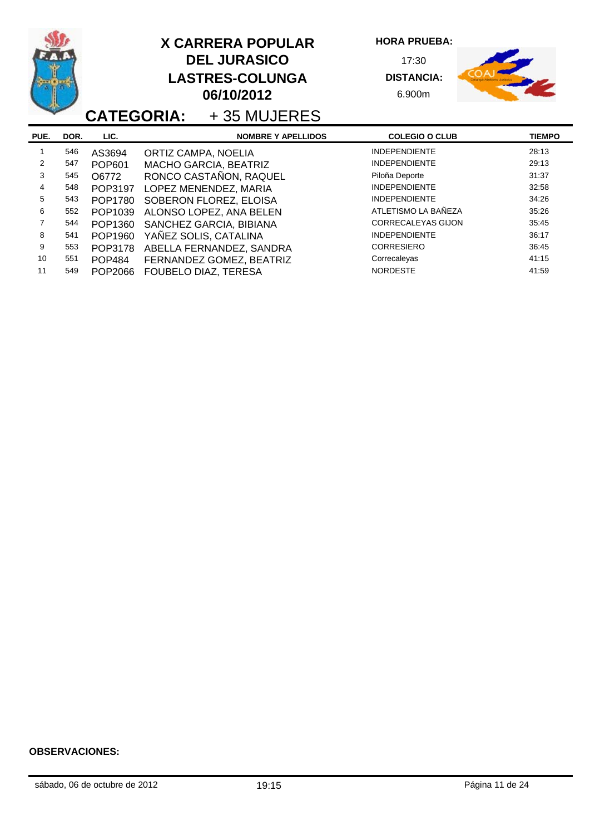|      |      |               | <b>X CARRERA POPULAR</b><br><b>DEL JURASICO</b><br><b>LASTRES-COLUNGA</b><br>06/10/2012<br><b>CATEGORIA:</b> +35 MUJERES | <b>HORA PRUEBA:</b><br>17:30<br><b>DISTANCIA:</b><br>6.900m |               |
|------|------|---------------|--------------------------------------------------------------------------------------------------------------------------|-------------------------------------------------------------|---------------|
| PUE. | DOR. | LIC.          | <b>NOMBRE Y APELLIDOS</b>                                                                                                | <b>COLEGIO O CLUB</b>                                       | <b>TIEMPO</b> |
|      | 546  | AS3694        | ORTIZ CAMPA, NOELIA                                                                                                      | <b>INDEPENDIENTE</b>                                        | 28:13         |
| 2    | 547  | POP601        | MACHO GARCIA, BEATRIZ                                                                                                    | <b>INDEPENDIENTE</b>                                        | 29:13         |
| 3    | 545  | O6772         | RONCO CASTAÑON, RAQUEL                                                                                                   | Piloña Deporte                                              | 31:37         |
| 4    | 548  | POP3197       | LOPEZ MENENDEZ, MARIA                                                                                                    | <b>INDEPENDIENTE</b>                                        | 32:58         |
| 5    | 543  | POP1780       | SOBERON FLOREZ, ELOISA                                                                                                   | <b>INDEPENDIENTE</b>                                        | 34:26         |
| 6    | 552  | POP1039       | ALONSO LOPEZ, ANA BELEN                                                                                                  | ATLETISMO LA BAÑEZA                                         | 35:26         |
| 7    | 544  | POP1360       | SANCHEZ GARCIA, BIBIANA                                                                                                  | <b>CORRECALEYAS GIJON</b>                                   | 35:45         |
| 8    | 541  | POP1960       | YAÑEZ SOLIS, CATALINA                                                                                                    | <b>INDEPENDIENTE</b>                                        | 36:17         |
| 9    | 553  | POP3178       | ABELLA FERNANDEZ, SANDRA                                                                                                 | <b>CORRESIERO</b>                                           | 36:45         |
| 10   | 551  | <b>POP484</b> | FERNANDEZ GOMEZ, BEATRIZ                                                                                                 | Correcaleyas                                                | 41:15         |
| 11   | 549  | POP2066       | FOUBELO DIAZ, TERESA                                                                                                     | <b>NORDESTE</b>                                             | 41:59         |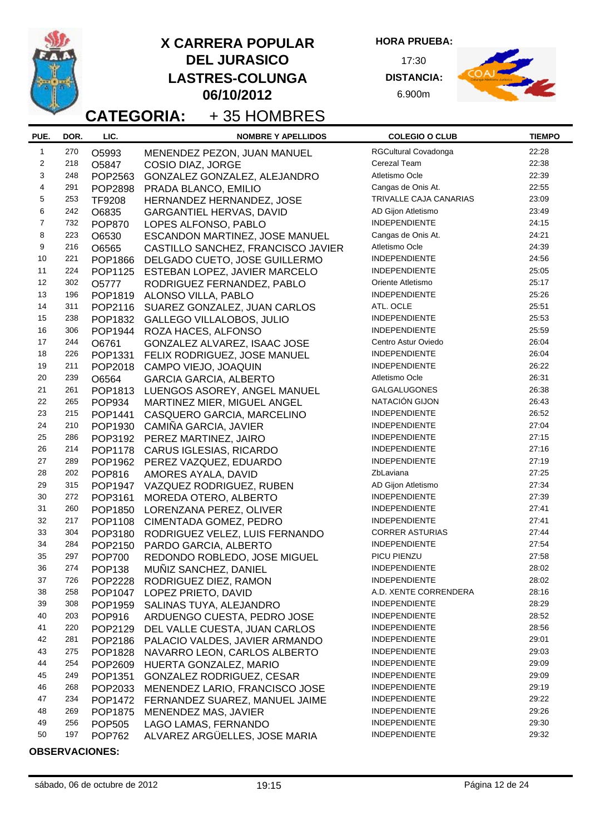**HORA PRUEBA:**

17:30 **DISTANCIA:** 6.900m



## **CATEGORIA:** + 35 HOMBRES

| PUE.           | DOR. | LIC.          | <b>NOMBRE Y APELLIDOS</b>          | <b>COLEGIO O CLUB</b>  | <b>TIEMPO</b> |
|----------------|------|---------------|------------------------------------|------------------------|---------------|
| $\mathbf{1}$   | 270  | O5993         | MENENDEZ PEZON, JUAN MANUEL        | RGCultural Covadonga   | 22:28         |
| $\overline{c}$ | 218  | O5847         | COSIO DIAZ, JORGE                  | Cerezal Team           | 22:38         |
| 3              | 248  | POP2563       | GONZALEZ GONZALEZ, ALEJANDRO       | Atletismo Ocle         | 22:39         |
| 4              | 291  | POP2898       | PRADA BLANCO, EMILIO               | Cangas de Onis At.     | 22:55         |
| 5              | 253  | <b>TF9208</b> | HERNANDEZ HERNANDEZ, JOSE          | TRIVALLE CAJA CANARIAS | 23:09         |
| 6              | 242  | O6835         | <b>GARGANTIEL HERVAS, DAVID</b>    | AD Gijon Atletismo     | 23:49         |
| $\overline{7}$ | 732  | <b>POP870</b> | LOPES ALFONSO, PABLO               | <b>INDEPENDIENTE</b>   | 24:15         |
| 8              | 223  | O6530         | ESCANDON MARTINEZ, JOSE MANUEL     | Cangas de Onis At.     | 24:21         |
| 9              | 216  | O6565         | CASTILLO SANCHEZ, FRANCISCO JAVIER | Atletismo Ocle         | 24:39         |
| 10             | 221  | POP1866       | DELGADO CUETO, JOSE GUILLERMO      | <b>INDEPENDIENTE</b>   | 24:56         |
| 11             | 224  | POP1125       | ESTEBAN LOPEZ, JAVIER MARCELO      | <b>INDEPENDIENTE</b>   | 25:05         |
| 12             | 302  | O5777         | RODRIGUEZ FERNANDEZ, PABLO         | Oriente Atletismo      | 25:17         |
| 13             | 196  | POP1819       | ALONSO VILLA, PABLO                | <b>INDEPENDIENTE</b>   | 25:26         |
| 14             | 311  | POP2116       | SUAREZ GONZALEZ, JUAN CARLOS       | ATL. OCLE              | 25:51         |
| 15             | 238  | POP1832       | <b>GALLEGO VILLALOBOS, JULIO</b>   | <b>INDEPENDIENTE</b>   | 25:53         |
| 16             | 306  | POP1944       | ROZA HACES, ALFONSO                | <b>INDEPENDIENTE</b>   | 25:59         |
| 17             | 244  | O6761         | GONZALEZ ALVAREZ, ISAAC JOSE       | Centro Astur Oviedo    | 26:04         |
| 18             | 226  | POP1331       | FELIX RODRIGUEZ, JOSE MANUEL       | <b>INDEPENDIENTE</b>   | 26:04         |
| 19             | 211  | POP2018       | CAMPO VIEJO, JOAQUIN               | <b>INDEPENDIENTE</b>   | 26:22         |
| 20             | 239  | O6564         | <b>GARCIA GARCIA, ALBERTO</b>      | Atletismo Ocle         | 26:31         |
| 21             | 261  | POP1813       | LUENGOS ASOREY, ANGEL MANUEL       | <b>GALGALUGONES</b>    | 26:38         |
| 22             | 265  | <b>POP934</b> | MARTINEZ MIER, MIGUEL ANGEL        | NATACIÓN GIJON         | 26:43         |
| 23             | 215  | POP1441       | CASQUERO GARCIA, MARCELINO         | <b>INDEPENDIENTE</b>   | 26:52         |
| 24             | 210  | POP1930       | CAMIÑA GARCIA, JAVIER              | <b>INDEPENDIENTE</b>   | 27:04         |
| 25             | 286  | POP3192       | PEREZ MARTINEZ, JAIRO              | INDEPENDIENTE          | 27:15         |
| 26             | 214  | POP1178       | CARUS IGLESIAS, RICARDO            | <b>INDEPENDIENTE</b>   | 27:16         |
| 27             | 289  | POP1962       | PEREZ VAZQUEZ, EDUARDO             | <b>INDEPENDIENTE</b>   | 27:19         |
| 28             | 202  | POP816        | AMORES AYALA, DAVID                | ZbLaviana              | 27:25         |
| 29             | 315  | POP1947       | VAZQUEZ RODRIGUEZ, RUBEN           | AD Gijon Atletismo     | 27:34         |
| 30             | 272  | POP3161       | MOREDA OTERO, ALBERTO              | <b>INDEPENDIENTE</b>   | 27:39         |
| 31             | 260  | POP1850       | LORENZANA PEREZ, OLIVER            | <b>INDEPENDIENTE</b>   | 27:41         |
| 32             | 217  | POP1108       | CIMENTADA GOMEZ, PEDRO             | <b>INDEPENDIENTE</b>   | 27:41         |
| 33             | 304  | POP3180       | RODRIGUEZ VELEZ, LUIS FERNANDO     | <b>CORRER ASTURIAS</b> | 27:44         |
| 34             | 284  | POP2150       | PARDO GARCIA, ALBERTO              | <b>INDEPENDIENTE</b>   | 27:54         |
| 35             | 297  | <b>POP700</b> | REDONDO ROBLEDO, JOSE MIGUEL       | PICU PIENZU            | 27:58         |
| 36             | 274  | <b>POP138</b> | MUÑIZ SANCHEZ, DANIEL              | <b>INDEPENDIENTE</b>   | 28:02         |
| 37             | 726  | POP2228       | RODRIGUEZ DIEZ, RAMON              | <b>INDEPENDIENTE</b>   | 28:02         |
| 38             | 258  | POP1047       | LOPEZ PRIETO, DAVID                | A.D. XENTE CORRENDERA  | 28:16         |
| 39             | 308  | POP1959       | SALINAS TUYA, ALEJANDRO            | <b>INDEPENDIENTE</b>   | 28:29         |
| 40             | 203  | POP916        | ARDUENGO CUESTA, PEDRO JOSE        | <b>INDEPENDIENTE</b>   | 28:52         |
| 41             | 220  | POP2129       | DEL VALLE CUESTA, JUAN CARLOS      | <b>INDEPENDIENTE</b>   | 28:56         |
| 42             | 281  | POP2186       | PALACIO VALDES, JAVIER ARMANDO     | <b>INDEPENDIENTE</b>   | 29:01         |
| 43             | 275  | POP1828       | NAVARRO LEON, CARLOS ALBERTO       | <b>INDEPENDIENTE</b>   | 29:03         |
| 44             | 254  | POP2609       | HUERTA GONZALEZ, MARIO             | <b>INDEPENDIENTE</b>   | 29:09         |
| 45             | 249  | POP1351       | <b>GONZALEZ RODRIGUEZ, CESAR</b>   | <b>INDEPENDIENTE</b>   | 29:09         |
| 46             | 268  | POP2033       | MENENDEZ LARIO, FRANCISCO JOSE     | <b>INDEPENDIENTE</b>   | 29:19         |
| 47             | 234  | POP1472       | FERNANDEZ SUAREZ, MANUEL JAIME     | <b>INDEPENDIENTE</b>   | 29:22         |
| 48             | 269  | POP1875       | MENENDEZ MAS, JAVIER               | <b>INDEPENDIENTE</b>   | 29:26         |
| 49             | 256  | <b>POP505</b> | LAGO LAMAS, FERNANDO               | <b>INDEPENDIENTE</b>   | 29:30         |
| 50             | 197  | <b>POP762</b> | ALVAREZ ARGÜELLES, JOSE MARIA      | <b>INDEPENDIENTE</b>   | 29:32         |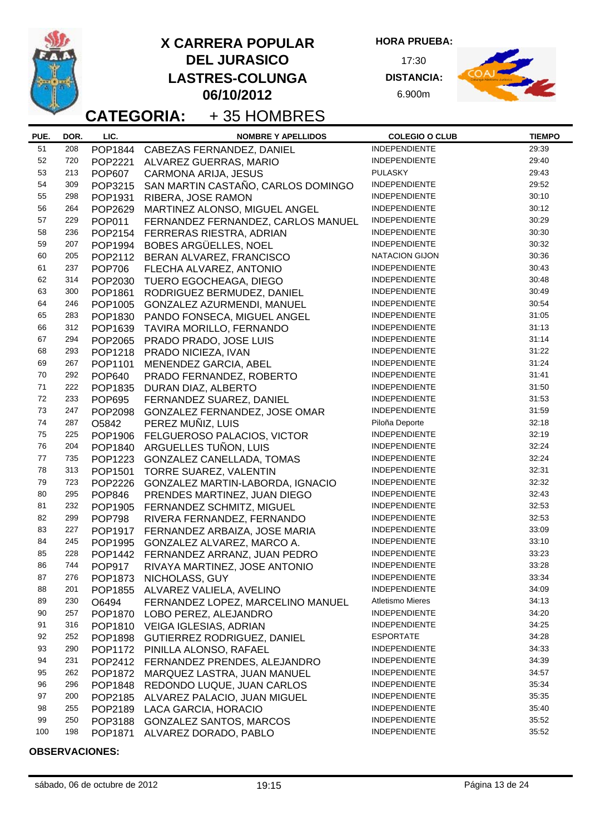**HORA PRUEBA:**

17:30 **DISTANCIA:** 6.900m



**CATEGORIA:** + 35 HOMBRES

| PUE. | DOR. | LIC.               | <b>NOMBRE Y APELLIDOS</b>                                   | <b>COLEGIO O CLUB</b>   | <b>TIEMPO</b> |
|------|------|--------------------|-------------------------------------------------------------|-------------------------|---------------|
| 51   | 208  |                    | POP1844 CABEZAS FERNANDEZ, DANIEL                           | <b>INDEPENDIENTE</b>    | 29:39         |
| 52   | 720  | POP2221            | ALVAREZ GUERRAS, MARIO                                      | <b>INDEPENDIENTE</b>    | 29:40         |
| 53   | 213  | <b>POP607</b>      | CARMONA ARIJA, JESUS                                        | <b>PULASKY</b>          | 29:43         |
| 54   | 309  | POP3215            | SAN MARTIN CASTAÑO, CARLOS DOMINGO                          | <b>INDEPENDIENTE</b>    | 29:52         |
| 55   | 298  | POP1931            | RIBERA, JOSE RAMON                                          | <b>INDEPENDIENTE</b>    | 30:10         |
| 56   | 264  | POP2629            | MARTINEZ ALONSO, MIGUEL ANGEL                               | <b>INDEPENDIENTE</b>    | 30:12         |
| 57   | 229  | POP011             | FERNANDEZ FERNANDEZ, CARLOS MANUEL                          | <b>INDEPENDIENTE</b>    | 30:29         |
| 58   | 236  | POP2154            | FERRERAS RIESTRA, ADRIAN                                    | <b>INDEPENDIENTE</b>    | 30:30         |
| 59   | 207  | POP1994            | BOBES ARGÜELLES, NOEL                                       | <b>INDEPENDIENTE</b>    | 30:32         |
| 60   | 205  | POP2112            | BERAN ALVAREZ, FRANCISCO                                    | <b>NATACION GIJON</b>   | 30:36         |
| 61   | 237  | <b>POP706</b>      | FLECHA ALVAREZ, ANTONIO                                     | <b>INDEPENDIENTE</b>    | 30:43         |
| 62   | 314  | POP2030            | TUERO EGOCHEAGA, DIEGO                                      | <b>INDEPENDIENTE</b>    | 30:48         |
| 63   | 300  | POP1861            | RODRIGUEZ BERMUDEZ, DANIEL                                  | <b>INDEPENDIENTE</b>    | 30:49         |
| 64   | 246  | POP1005            | GONZALEZ AZURMENDI, MANUEL                                  | <b>INDEPENDIENTE</b>    | 30:54         |
| 65   | 283  | POP1830            | PANDO FONSECA, MIGUEL ANGEL                                 | <b>INDEPENDIENTE</b>    | 31:05         |
| 66   | 312  | POP1639            | TAVIRA MORILLO, FERNANDO                                    | <b>INDEPENDIENTE</b>    | 31:13         |
| 67   | 294  | POP2065            | PRADO PRADO, JOSE LUIS                                      | <b>INDEPENDIENTE</b>    | 31:14         |
| 68   | 293  | POP1218            | PRADO NICIEZA, IVAN                                         | <b>INDEPENDIENTE</b>    | 31:22         |
| 69   | 267  | POP1101            | MENENDEZ GARCIA, ABEL                                       | <b>INDEPENDIENTE</b>    | 31:24         |
| 70   | 292  | <b>POP640</b>      | PRADO FERNANDEZ, ROBERTO                                    | <b>INDEPENDIENTE</b>    | 31:41         |
| 71   | 222  | POP1835            | DURAN DIAZ, ALBERTO                                         | <b>INDEPENDIENTE</b>    | 31:50         |
| 72   | 233  | <b>POP695</b>      | FERNANDEZ SUAREZ, DANIEL                                    | <b>INDEPENDIENTE</b>    | 31:53         |
| 73   | 247  | POP2098            | GONZALEZ FERNANDEZ, JOSE OMAR                               | <b>INDEPENDIENTE</b>    | 31:59         |
| 74   | 287  | O5842              | PEREZ MUÑIZ, LUIS                                           | Piloña Deporte          | 32:18         |
| 75   | 225  | POP1906            | FELGUEROSO PALACIOS, VICTOR                                 | <b>INDEPENDIENTE</b>    | 32:19         |
| 76   | 204  | POP1840            | ARGUELLES TUÑON, LUIS                                       | <b>INDEPENDIENTE</b>    | 32:24         |
| 77   | 735  | POP1223            | GONZALEZ CANELLADA, TOMAS                                   | <b>INDEPENDIENTE</b>    | 32:24         |
| 78   | 313  | POP1501            | TORRE SUAREZ, VALENTIN                                      | <b>INDEPENDIENTE</b>    | 32:31         |
| 79   | 723  | POP2226            |                                                             | <b>INDEPENDIENTE</b>    | 32:32         |
| 80   | 295  | <b>POP846</b>      | GONZALEZ MARTIN-LABORDA, IGNACIO                            | <b>INDEPENDIENTE</b>    | 32:43         |
| 81   | 232  |                    | PRENDES MARTINEZ, JUAN DIEGO                                | <b>INDEPENDIENTE</b>    | 32:53         |
| 82   | 299  | POP1905            | FERNANDEZ SCHMITZ, MIGUEL                                   | <b>INDEPENDIENTE</b>    | 32:53         |
| 83   | 227  | <b>POP798</b>      | RIVERA FERNANDEZ, FERNANDO<br>FERNANDEZ ARBAIZA, JOSE MARIA | <b>INDEPENDIENTE</b>    | 33:09         |
| 84   | 245  | POP1917<br>POP1995 | GONZALEZ ALVAREZ, MARCO A.                                  | <b>INDEPENDIENTE</b>    | 33:10         |
| 85   | 228  |                    |                                                             | <b>INDEPENDIENTE</b>    | 33:23         |
| 86   | 744  | <b>POP917</b>      | POP1442 FERNANDEZ ARRANZ, JUAN PEDRO                        | <b>INDEPENDIENTE</b>    | 33:28         |
| 87   | 276  |                    | RIVAYA MARTINEZ, JOSE ANTONIO                               | <b>INDEPENDIENTE</b>    | 33:34         |
| 88   | 201  |                    | POP1873 NICHOLASS, GUY                                      | <b>INDEPENDIENTE</b>    | 34:09         |
| 89   | 230  |                    | POP1855 ALVAREZ VALIELA, AVELINO                            | <b>Atletismo Mieres</b> | 34:13         |
| 90   | 257  | O6494              | FERNANDEZ LOPEZ, MARCELINO MANUEL                           | <b>INDEPENDIENTE</b>    | 34:20         |
| 91   | 316  | POP1870            | LOBO PEREZ, ALEJANDRO                                       | <b>INDEPENDIENTE</b>    | 34:25         |
| 92   | 252  |                    | POP1810 VEIGA IGLESIAS, ADRIAN                              | <b>ESPORTATE</b>        | 34:28         |
| 93   | 290  |                    | POP1898 GUTIERREZ RODRIGUEZ, DANIEL                         | <b>INDEPENDIENTE</b>    | 34:33         |
| 94   | 231  |                    | POP1172 PINILLA ALONSO, RAFAEL                              | <b>INDEPENDIENTE</b>    | 34:39         |
| 95   | 262  |                    | POP2412 FERNANDEZ PRENDES, ALEJANDRO                        | <b>INDEPENDIENTE</b>    | 34:57         |
| 96   | 296  | POP1872            | MARQUEZ LASTRA, JUAN MANUEL                                 | <b>INDEPENDIENTE</b>    | 35:34         |
| 97   | 200  | POP1848            | REDONDO LUQUE, JUAN CARLOS                                  | <b>INDEPENDIENTE</b>    | 35:35         |
| 98   | 255  |                    | POP2185 ALVAREZ PALACIO, JUAN MIGUEL                        | <b>INDEPENDIENTE</b>    | 35:40         |
| 99   | 250  |                    | POP2189 LACA GARCIA, HORACIO                                | <b>INDEPENDIENTE</b>    | 35:52         |
| 100  |      |                    | POP3188 GONZALEZ SANTOS, MARCOS                             | <b>INDEPENDIENTE</b>    |               |
|      | 198  | POP1871            | ALVAREZ DORADO, PABLO                                       |                         | 35:52         |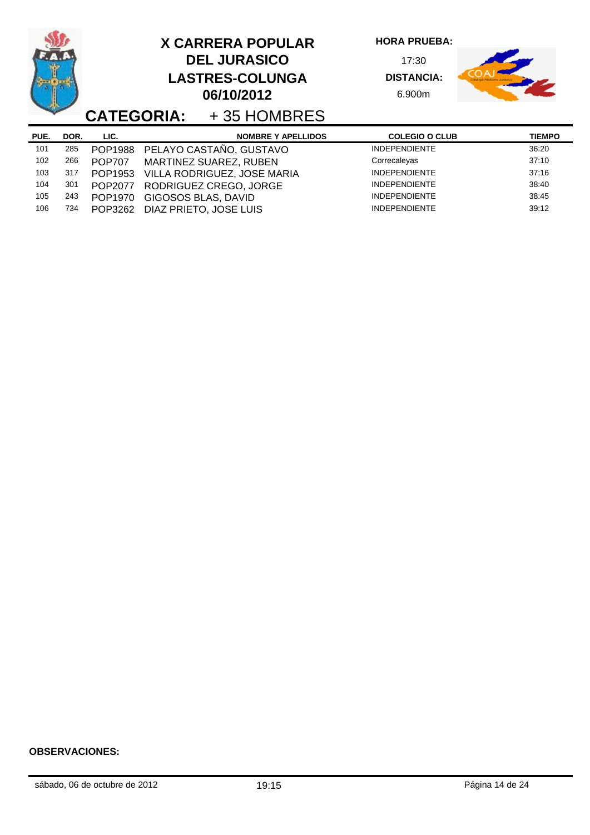|      |      | <b>CATEGORIA:</b> | <b>X CARRERA POPULAR</b><br><b>DEL JURASICO</b><br><b>LASTRES-COLUNGA</b><br>06/10/2012<br>+35 HOMBRES | <b>HORA PRUEBA:</b><br>17:30<br><b>DISTANCIA:</b><br>6.900m |               |
|------|------|-------------------|--------------------------------------------------------------------------------------------------------|-------------------------------------------------------------|---------------|
| PUE. | DOR. | LIC.              | <b>NOMBRE Y APELLIDOS</b>                                                                              | <b>COLEGIO O CLUB</b>                                       | <b>TIEMPO</b> |
| 101  | 285  | POP1988           | PELAYO CASTAÑO, GUSTAVO                                                                                | <b>INDEPENDIENTE</b>                                        | 36:20         |
| 102  | 266  | <b>POP707</b>     | MARTINEZ SUAREZ, RUBEN                                                                                 | Correcaleyas                                                | 37:10         |
| 103  | 317  | POP1953           | VILLA RODRIGUEZ, JOSE MARIA                                                                            | <b>INDEPENDIENTE</b>                                        | 37:16         |
| 104  | 301  | POP2077           | RODRIGUEZ CREGO, JORGE                                                                                 | <b>INDEPENDIENTE</b>                                        | 38:40         |
| 105  | 243  | POP1970           | GIGOSOS BLAS, DAVID                                                                                    | <b>INDEPENDIENTE</b>                                        | 38:45         |
| 106  | 734  | POP3262           | DIAZ PRIETO, JOSE LUIS                                                                                 | <b>INDEPENDIENTE</b>                                        | 39:12         |

-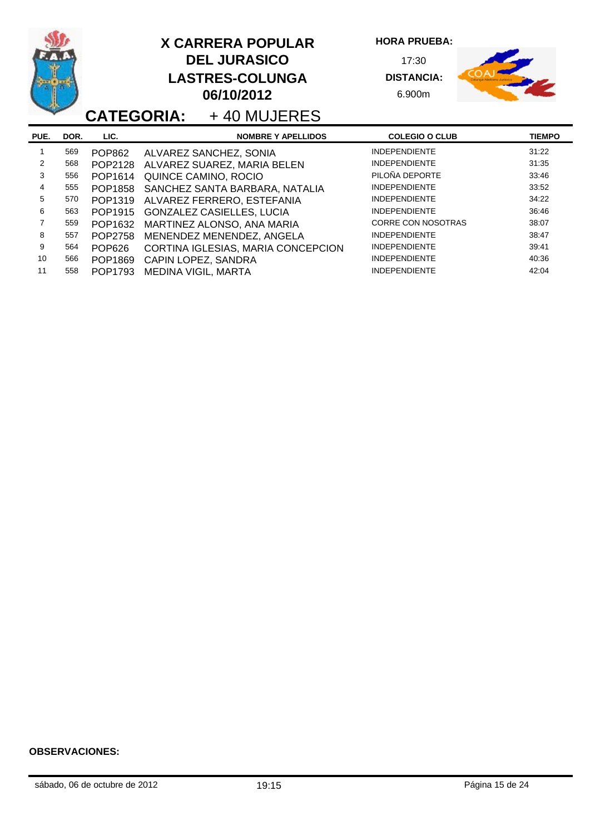|                |      |                | <b>X CARRERA POPULAR</b><br><b>DEL JURASICO</b><br><b>LASTRES-COLUNGA</b><br>06/10/2012<br><b>CATEGORIA:</b> +40 MUJERES | <b>HORA PRUEBA:</b><br>17:30<br><b>DISTANCIA:</b><br>6.900m |               |
|----------------|------|----------------|--------------------------------------------------------------------------------------------------------------------------|-------------------------------------------------------------|---------------|
| PUE.           | DOR. | LIC.           | <b>NOMBRE Y APELLIDOS</b>                                                                                                | <b>COLEGIO O CLUB</b>                                       | <b>TIEMPO</b> |
| 1              | 569  | <b>POP862</b>  | ALVAREZ SANCHEZ, SONIA                                                                                                   | <b>INDEPENDIENTE</b>                                        | 31:22         |
| $\overline{2}$ | 568  | POP2128        | ALVAREZ SUAREZ, MARIA BELEN                                                                                              | <b>INDEPENDIENTE</b>                                        | 31:35         |
| $\mathcal{R}$  | 556  | POP1614        | QUINCE CAMINO, ROCIO                                                                                                     | PILOÑA DEPORTE                                              | 33:46         |
| 4              | 555  | POP1858        | SANCHEZ SANTA BARBARA, NATALIA                                                                                           | <b>INDEPENDIENTE</b>                                        | 33:52         |
| 5              | 570  | POP1319        | ALVAREZ FERRERO, ESTEFANIA                                                                                               | <b>INDEPENDIENTE</b>                                        | 34:22         |
| 6              | 563  | POP1915        | <b>GONZALEZ CASIELLES, LUCIA</b>                                                                                         | <b>INDEPENDIENTE</b>                                        | 36:46         |
| $\overline{7}$ | 559  | POP1632        | MARTINEZ ALONSO, ANA MARIA                                                                                               | <b>CORRE CON NOSOTRAS</b>                                   | 38:07         |
| 8              | 557  | POP2758        | MENENDEZ MENENDEZ, ANGELA                                                                                                | <b>INDEPENDIENTE</b>                                        | 38:47         |
| 9              | 564  | <b>POP626</b>  | CORTINA IGLESIAS, MARIA CONCEPCION                                                                                       | <b>INDEPENDIENTE</b>                                        | 39:41         |
| 10             | 566  | <b>POP1869</b> | CAPIN LOPEZ, SANDRA                                                                                                      | <b>INDEPENDIENTE</b>                                        | 40:36         |
| 11             | 558  | POP1793        | MEDINA VIGIL, MARTA                                                                                                      | <b>INDEPENDIENTE</b>                                        | 42:04         |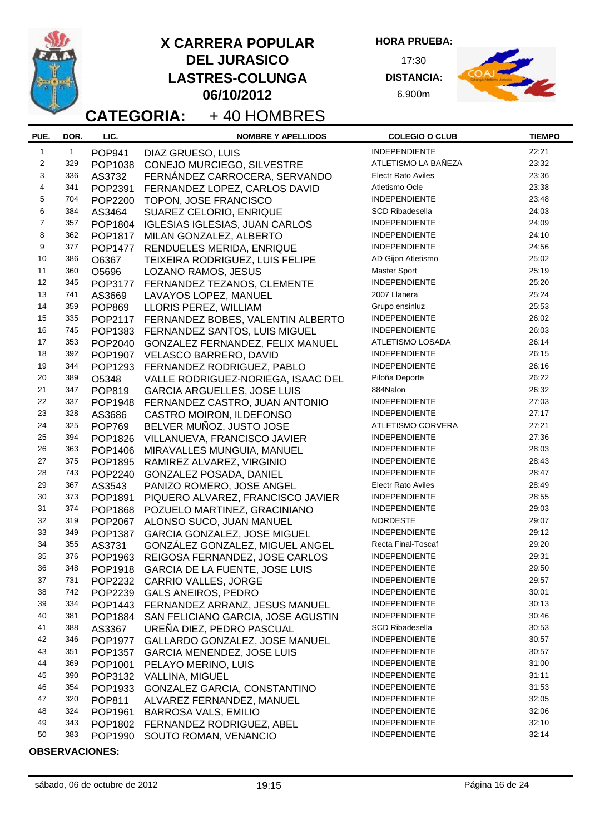

**HORA PRUEBA:**

17:30 **DISTANCIA:** 6.900m



# **CATEGORIA:** + 40 HOMBRES

| PUE.                    | DOR.         | LIC.          | <b>NOMBRE Y APELLIDOS</b>             | <b>COLEGIO O CLUB</b>     | <b>TIEMPO</b> |
|-------------------------|--------------|---------------|---------------------------------------|---------------------------|---------------|
| $\mathbf{1}$            | $\mathbf{1}$ | <b>POP941</b> | DIAZ GRUESO, LUIS                     | <b>INDEPENDIENTE</b>      | 22:21         |
| $\overline{\mathbf{c}}$ | 329          | POP1038       | CONEJO MURCIEGO, SILVESTRE            | ATLETISMO LA BAÑEZA       | 23:32         |
| 3                       | 336          | AS3732        | FERNÁNDEZ CARROCERA, SERVANDO         | <b>Electr Rato Aviles</b> | 23:36         |
| $\overline{\mathbf{4}}$ | 341          | POP2391       | FERNANDEZ LOPEZ, CARLOS DAVID         | Atletismo Ocle            | 23:38         |
| $\mathbf 5$             | 704          | POP2200       | TOPON, JOSE FRANCISCO                 | INDEPENDIENTE             | 23:48         |
| 6                       | 384          | AS3464        | SUAREZ CELORIO, ENRIQUE               | <b>SCD Ribadesella</b>    | 24:03         |
| $\overline{7}$          | 357          | POP1804       | <b>IGLESIAS IGLESIAS, JUAN CARLOS</b> | <b>INDEPENDIENTE</b>      | 24:09         |
| 8                       | 362          | POP1817       | MILAN GONZALEZ, ALBERTO               | <b>INDEPENDIENTE</b>      | 24:10         |
| 9                       | 377          | POP1477       | RENDUELES MERIDA, ENRIQUE             | <b>INDEPENDIENTE</b>      | 24:56         |
| 10                      | 386          | O6367         | TEIXEIRA RODRIGUEZ, LUIS FELIPE       | AD Gijon Atletismo        | 25:02         |
| 11                      | 360          | O5696         | LOZANO RAMOS, JESUS                   | <b>Master Sport</b>       | 25:19         |
| 12                      | 345          | POP3177       | FERNANDEZ TEZANOS, CLEMENTE           | <b>INDEPENDIENTE</b>      | 25:20         |
| 13                      | 741          | AS3669        |                                       | 2007 Llanera              | 25:24         |
| 14                      | 359          |               | LAVAYOS LOPEZ, MANUEL                 | Grupo ensinluz            | 25:53         |
| 15                      | 335          | <b>POP869</b> | LLORIS PEREZ, WILLIAM                 | <b>INDEPENDIENTE</b>      | 26:02         |
| 16                      | 745          | POP2117       | FERNANDEZ BOBES, VALENTIN ALBERTO     | INDEPENDIENTE             | 26:03         |
| 17                      | 353          | POP1383       | FERNANDEZ SANTOS, LUIS MIGUEL         | ATLETISMO LOSADA          | 26:14         |
| 18                      | 392          | POP2040       | GONZALEZ FERNANDEZ, FELIX MANUEL      | <b>INDEPENDIENTE</b>      | 26:15         |
|                         |              | POP1907       | VELASCO BARRERO, DAVID                | <b>INDEPENDIENTE</b>      | 26:16         |
| 19                      | 344          | POP1293       | FERNANDEZ RODRIGUEZ, PABLO            |                           | 26:22         |
| 20                      | 389          | O5348         | VALLE RODRIGUEZ-NORIEGA, ISAAC DEL    | Piloña Deporte            |               |
| 21                      | 347          | POP819        | <b>GARCIA ARGUELLES, JOSE LUIS</b>    | 884Nalon                  | 26:32         |
| 22                      | 337          | POP1948       | FERNANDEZ CASTRO, JUAN ANTONIO        | INDEPENDIENTE             | 27:03         |
| 23                      | 328          | AS3686        | CASTRO MOIRON, ILDEFONSO              | INDEPENDIENTE             | 27:17         |
| 24                      | 325          | <b>POP769</b> | BELVER MUÑOZ, JUSTO JOSE              | ATLETISMO CORVERA         | 27:21         |
| 25                      | 394          | POP1826       | VILLANUEVA, FRANCISCO JAVIER          | <b>INDEPENDIENTE</b>      | 27:36         |
| 26                      | 363          | POP1406       | MIRAVALLES MUNGUIA, MANUEL            | INDEPENDIENTE             | 28:03         |
| 27                      | 375          | POP1895       | RAMIREZ ALVAREZ, VIRGINIO             | <b>INDEPENDIENTE</b>      | 28:43         |
| 28                      | 743          | POP2240       | GONZALEZ POSADA, DANIEL               | <b>INDEPENDIENTE</b>      | 28:47         |
| 29                      | 367          | AS3543        | PANIZO ROMERO, JOSE ANGEL             | <b>Electr Rato Aviles</b> | 28:49         |
| 30                      | 373          | POP1891       | PIQUERO ALVAREZ, FRANCISCO JAVIER     | INDEPENDIENTE             | 28:55         |
| 31                      | 374          | POP1868       | POZUELO MARTINEZ, GRACINIANO          | INDEPENDIENTE             | 29:03         |
| 32                      | 319          | POP2067       | ALONSO SUCO, JUAN MANUEL              | <b>NORDESTE</b>           | 29:07         |
| 33                      | 349          | POP1387       | GARCIA GONZALEZ, JOSE MIGUEL          | <b>INDEPENDIENTE</b>      | 29:12         |
| 34                      | 355          | AS3731        | GONZÁLEZ GONZALEZ, MIGUEL ANGEL       | Recta Final-Toscaf        | 29:20         |
| 35                      | 376          | POP1963       | REIGOSA FERNANDEZ, JOSE CARLOS        | INDEPENDIENTE             | 29:31         |
| 36                      | 348          | POP1918       | <b>GARCIA DE LA FUENTE, JOSE LUIS</b> | INDEPENDIENTE             | 29:50         |
| 37                      | 731          |               | POP2232 CARRIO VALLES, JORGE          | INDEPENDIENTE             | 29:57         |
| 38                      | 742          | POP2239       | <b>GALS ANEIROS, PEDRO</b>            | <b>INDEPENDIENTE</b>      | 30:01         |
| 39                      | 334          | POP1443       | FERNANDEZ ARRANZ, JESUS MANUEL        | INDEPENDIENTE             | 30:13         |
| 40                      | 381          | POP1884       | SAN FELICIANO GARCIA, JOSE AGUSTIN    | <b>INDEPENDIENTE</b>      | 30:46         |
| 41                      | 388          | AS3367        | UREÑA DIEZ, PEDRO PASCUAL             | <b>SCD Ribadesella</b>    | 30:53         |
| 42                      | 346          | POP1977       | GALLARDO GONZALEZ, JOSE MANUEL        | INDEPENDIENTE             | 30:57         |
| 43                      | 351          | POP1357       | <b>GARCIA MENENDEZ, JOSE LUIS</b>     | <b>INDEPENDIENTE</b>      | 30:57         |
| 44                      | 369          | POP1001       | PELAYO MERINO, LUIS                   | <b>INDEPENDIENTE</b>      | 31:00         |
| 45                      | 390          | POP3132       | VALLINA, MIGUEL                       | <b>INDEPENDIENTE</b>      | 31:11         |
| 46                      | 354          | POP1933       | GONZALEZ GARCIA, CONSTANTINO          | <b>INDEPENDIENTE</b>      | 31:53         |
| 47                      | 320          | POP811        | ALVAREZ FERNANDEZ, MANUEL             | <b>INDEPENDIENTE</b>      | 32:05         |
| 48                      | 324          | POP1961       | <b>BARROSA VALS, EMILIO</b>           | <b>INDEPENDIENTE</b>      | 32:06         |
| 49                      | 343          | POP1802       | FERNANDEZ RODRIGUEZ, ABEL             | <b>INDEPENDIENTE</b>      | 32:10         |
| 50                      | 383          | POP1990       | SOUTO ROMAN, VENANCIO                 | INDEPENDIENTE             | 32:14         |
|                         |              |               |                                       |                           |               |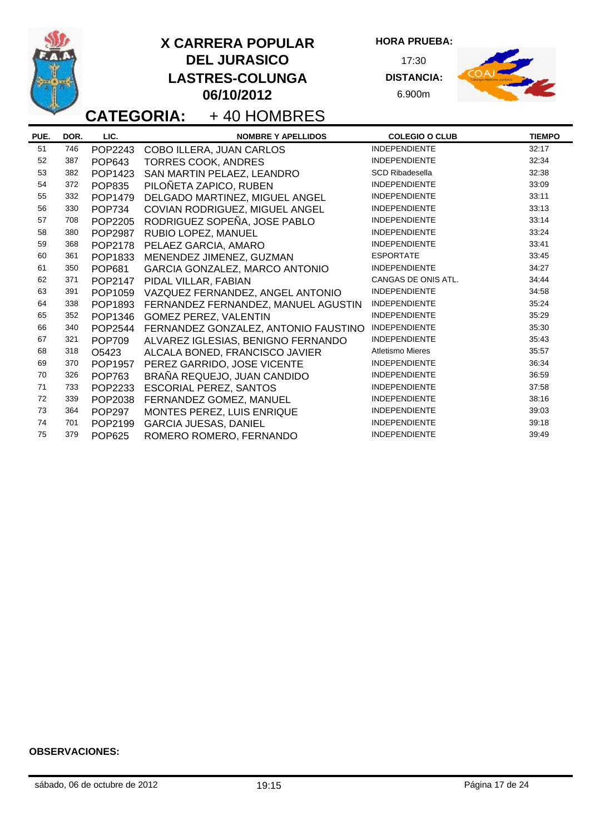

**HORA PRUEBA:**

17:30 **DISTANCIA:** 6.900m



# **CATEGORIA:** + 40 HOMBRES

| PUE. | DOR. | LIC.          | <b>NOMBRE Y APELLIDOS</b>            | <b>COLEGIO O CLUB</b>   | <b>TIEMPO</b> |
|------|------|---------------|--------------------------------------|-------------------------|---------------|
| 51   | 746  | POP2243       | COBO ILLERA, JUAN CARLOS             | <b>INDEPENDIENTE</b>    | 32:17         |
| 52   | 387  | <b>POP643</b> | <b>TORRES COOK, ANDRES</b>           | <b>INDEPENDIENTE</b>    | 32:34         |
| 53   | 382  | POP1423       | SAN MARTIN PELAEZ, LEANDRO           | <b>SCD Ribadesella</b>  | 32:38         |
| 54   | 372  | <b>POP835</b> | PILOÑETA ZAPICO, RUBEN               | <b>INDEPENDIENTE</b>    | 33:09         |
| 55   | 332  | POP1479       | DELGADO MARTINEZ, MIGUEL ANGEL       | <b>INDEPENDIENTE</b>    | 33:11         |
| 56   | 330  | <b>POP734</b> | COVIAN RODRIGUEZ, MIGUEL ANGEL       | <b>INDEPENDIENTE</b>    | 33:13         |
| 57   | 708  | POP2205       | RODRIGUEZ SOPEÑA, JOSE PABLO         | <b>INDEPENDIENTE</b>    | 33:14         |
| 58   | 380  | POP2987       | RUBIO LOPEZ, MANUEL                  | <b>INDEPENDIENTE</b>    | 33:24         |
| 59   | 368  | POP2178       | PELAEZ GARCIA, AMARO                 | <b>INDEPENDIENTE</b>    | 33:41         |
| 60   | 361  | POP1833       | MENENDEZ JIMENEZ, GUZMAN             | <b>ESPORTATE</b>        | 33:45         |
| 61   | 350  | <b>POP681</b> | GARCIA GONZALEZ, MARCO ANTONIO       | <b>INDEPENDIENTE</b>    | 34:27         |
| 62   | 371  | POP2147       | PIDAL VILLAR, FABIAN                 | CANGAS DE ONIS ATL.     | 34:44         |
| 63   | 391  | POP1059       | VAZQUEZ FERNANDEZ, ANGEL ANTONIO     | <b>INDEPENDIENTE</b>    | 34:58         |
| 64   | 338  | POP1893       | FERNANDEZ FERNANDEZ, MANUEL AGUSTIN  | <b>INDEPENDIENTE</b>    | 35:24         |
| 65   | 352  | POP1346       | GOMEZ PEREZ, VALENTIN                | <b>INDEPENDIENTE</b>    | 35:29         |
| 66   | 340  | POP2544       | FERNANDEZ GONZALEZ, ANTONIO FAUSTINO | <b>INDEPENDIENTE</b>    | 35:30         |
| 67   | 321  | <b>POP709</b> | ALVAREZ IGLESIAS, BENIGNO FERNANDO   | <b>INDEPENDIENTE</b>    | 35:43         |
| 68   | 318  | O5423         | ALCALA BONED, FRANCISCO JAVIER       | <b>Atletismo Mieres</b> | 35:57         |
| 69   | 370  | POP1957       | PEREZ GARRIDO, JOSE VICENTE          | <b>INDEPENDIENTE</b>    | 36:34         |
| 70   | 326  | <b>POP763</b> | BRAÑA REQUEJO, JUAN CANDIDO          | <b>INDEPENDIENTE</b>    | 36:59         |
| 71   | 733  | POP2233       | <b>ESCORIAL PEREZ, SANTOS</b>        | <b>INDEPENDIENTE</b>    | 37:58         |
| 72   | 339  | POP2038       | FERNANDEZ GOMEZ, MANUEL              | <b>INDEPENDIENTE</b>    | 38:16         |
| 73   | 364  | <b>POP297</b> | MONTES PEREZ, LUIS ENRIQUE           | <b>INDEPENDIENTE</b>    | 39:03         |
| 74   | 701  | POP2199       | <b>GARCIA JUESAS, DANIEL</b>         | <b>INDEPENDIENTE</b>    | 39:18         |
| 75   | 379  | <b>POP625</b> | ROMERO ROMERO, FERNANDO              | <b>INDEPENDIENTE</b>    | 39:49         |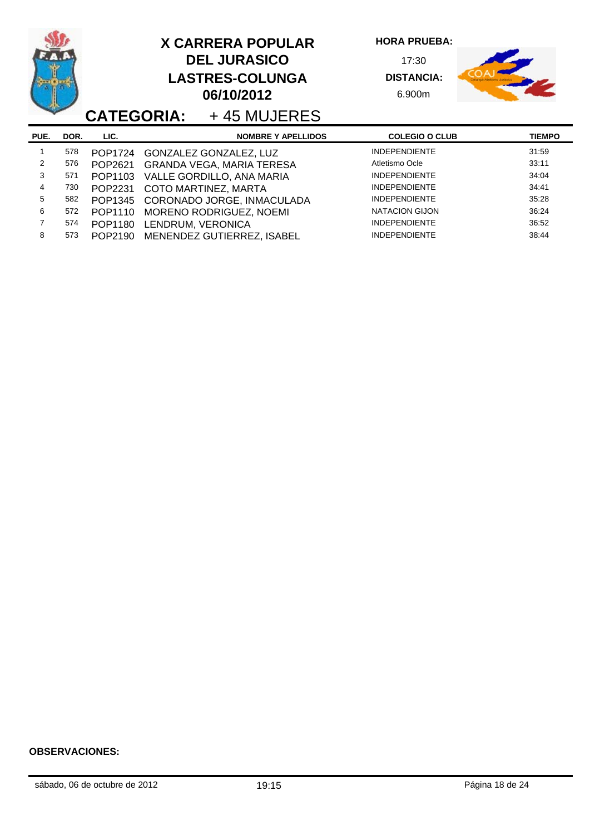|                |      | <b>CATEGORIA:</b> |                   | <b>X CARRERA POPULAR</b><br><b>DEL JURASICO</b><br><b>LASTRES-COLUNGA</b><br>06/10/2012<br>+45 MUJERES | <b>HORA PRUEBA:</b><br>17:30<br><b>DISTANCIA:</b><br>6.900m |               |
|----------------|------|-------------------|-------------------|--------------------------------------------------------------------------------------------------------|-------------------------------------------------------------|---------------|
| PUE.           | DOR. | LIC.              |                   | <b>NOMBRE Y APELLIDOS</b>                                                                              | <b>COLEGIO O CLUB</b>                                       | <b>TIEMPO</b> |
|                | 578  | POP1724           |                   | GONZALEZ GONZALEZ, LUZ                                                                                 | <b>INDEPENDIENTE</b>                                        | 31:59         |
| $\overline{2}$ | 576  | POP2621           |                   | <b>GRANDA VEGA, MARIA TERESA</b>                                                                       | Atletismo Ocle                                              | 33:11         |
| 3              | 571  | POP1103           |                   | VALLE GORDILLO, ANA MARIA                                                                              | <b>INDEPENDIENTE</b>                                        | 34:04         |
| 4              | 730  | POP2231           |                   | COTO MARTINEZ, MARTA                                                                                   | <b>INDEPENDIENTE</b>                                        | 34:41         |
| 5              | 582  | POP1345           |                   | CORONADO JORGE, INMACULADA                                                                             | <b>INDEPENDIENTE</b>                                        | 35:28         |
| 6              | 572  | POP1110           |                   | MORENO RODRIGUEZ, NOEMI                                                                                | <b>NATACION GIJON</b>                                       | 36:24         |
| $\overline{7}$ | 574  | POP1180           | LENDRUM, VERONICA |                                                                                                        | <b>INDEPENDIENTE</b>                                        | 36:52         |
| 8              | 573  | POP2190           |                   | MENENDEZ GUTIERREZ, ISABEL                                                                             | <b>INDEPENDIENTE</b>                                        | 38:44         |

o.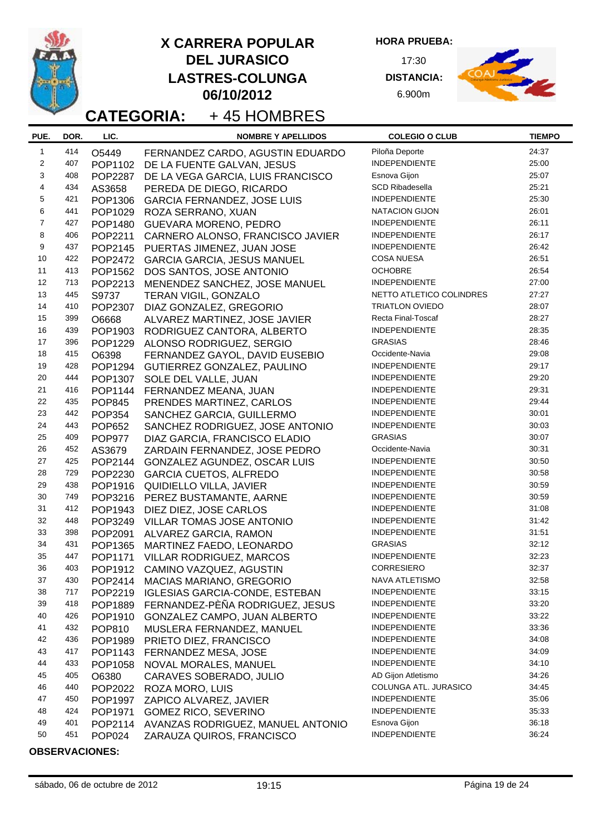|                         |            |                    | <b>CATEGORIA:</b>           | <b>X CARRERA POPULAR</b><br><b>DEL JURASICO</b><br><b>LASTRES-COLUNGA</b><br>06/10/2012<br>+45 HOMBRES | <b>HORA PRUEBA:</b><br>17:30<br><b>DISTANCIA:</b><br>6.900m |                |
|-------------------------|------------|--------------------|-----------------------------|--------------------------------------------------------------------------------------------------------|-------------------------------------------------------------|----------------|
| PUE.                    | DOR.       | LIC.               |                             | <b>NOMBRE Y APELLIDOS</b>                                                                              | <b>COLEGIO O CLUB</b>                                       | <b>TIEMPO</b>  |
| $\mathbf{1}$            | 414        | O5449              |                             | FERNANDEZ CARDO, AGUSTIN EDUARDO                                                                       | Piloña Deporte                                              | 24:37          |
| 2                       | 407        | POP1102            |                             | DE LA FUENTE GALVAN, JESUS                                                                             | <b>INDEPENDIENTE</b>                                        | 25:00          |
| 3                       | 408        | POP2287            |                             | DE LA VEGA GARCIA, LUIS FRANCISCO                                                                      | Esnova Gijon                                                | 25:07          |
| $\overline{\mathbf{4}}$ | 434        | AS3658             |                             | PEREDA DE DIEGO, RICARDO                                                                               | <b>SCD Ribadesella</b>                                      | 25:21          |
| 5<br>6                  | 421<br>441 | POP1306            |                             | <b>GARCIA FERNANDEZ, JOSE LUIS</b>                                                                     | <b>INDEPENDIENTE</b><br><b>NATACION GIJON</b>               | 25:30<br>26:01 |
| $\overline{7}$          | 427        | POP1029            | ROZA SERRANO, XUAN          |                                                                                                        | <b>INDEPENDIENTE</b>                                        | 26:11          |
| 8                       | 406        | POP1480<br>POP2211 |                             | <b>GUEVARA MORENO, PEDRO</b><br>CARNERO ALONSO, FRANCISCO JAVIER                                       | <b>INDEPENDIENTE</b>                                        | 26:17          |
| 9                       | 437        | POP2145            |                             | PUERTAS JIMENEZ, JUAN JOSE                                                                             | <b>INDEPENDIENTE</b>                                        | 26:42          |
| 10                      | 422        | POP2472            |                             | <b>GARCIA GARCIA, JESUS MANUEL</b>                                                                     | <b>COSA NUESA</b>                                           | 26:51          |
| 11                      | 413        | POP1562            |                             | DOS SANTOS, JOSE ANTONIO                                                                               | <b>OCHOBRE</b>                                              | 26:54          |
| 12                      | 713        | POP2213            |                             | MENENDEZ SANCHEZ, JOSE MANUEL                                                                          | INDEPENDIENTE                                               | 27:00          |
| 13                      | 445        | S9737              | <b>TERAN VIGIL, GONZALO</b> |                                                                                                        | NETTO ATLETICO COLINDRES                                    | 27:27          |
| 14                      | 410        | POP2307            |                             | DIAZ GONZALEZ, GREGORIO                                                                                | <b>TRIATLON OVIEDO</b>                                      | 28:07          |
| 15                      | 399        | O6668              |                             | ALVAREZ MARTINEZ, JOSE JAVIER                                                                          | Recta Final-Toscaf                                          | 28:27          |
| 16                      | 439        | POP1903            |                             | RODRIGUEZ CANTORA, ALBERTO                                                                             | <b>INDEPENDIENTE</b>                                        | 28:35          |
| 17                      | 396        | POP1229            |                             | ALONSO RODRIGUEZ, SERGIO                                                                               | <b>GRASIAS</b>                                              | 28:46          |
| 18                      | 415        | O6398              |                             | FERNANDEZ GAYOL, DAVID EUSEBIO                                                                         | Occidente-Navia                                             | 29:08          |
| 19                      | 428        | POP1294            |                             | GUTIERREZ GONZALEZ, PAULINO                                                                            | INDEPENDIENTE                                               | 29:17          |
| 20                      | 444        | POP1307            | SOLE DEL VALLE, JUAN        |                                                                                                        | <b>INDEPENDIENTE</b>                                        | 29:20          |
| 21                      | 416        | POP1144            |                             | FERNANDEZ MEANA, JUAN                                                                                  | <b>INDEPENDIENTE</b>                                        | 29:31          |
| 22                      | 435        | <b>POP845</b>      |                             | PRENDES MARTINEZ, CARLOS                                                                               | <b>INDEPENDIENTE</b>                                        | 29:44          |
| 23                      | 442        | <b>POP354</b>      |                             | SANCHEZ GARCIA, GUILLERMO                                                                              | <b>INDEPENDIENTE</b>                                        | 30:01          |
| 24                      | 443        | <b>POP652</b>      |                             | SANCHEZ RODRIGUEZ, JOSE ANTONIO                                                                        | <b>INDEPENDIENTE</b>                                        | 30:03          |
| 25                      | 409        | <b>POP977</b>      |                             | DIAZ GARCIA, FRANCISCO ELADIO                                                                          | <b>GRASIAS</b>                                              | 30:07          |
| 26                      | 452        | AS3679             |                             | ZARDAIN FERNANDEZ, JOSE PEDRO                                                                          | Occidente-Navia                                             | 30:31          |
| 27                      | 425        | POP2144            |                             | GONZALEZ AGUNDEZ, OSCAR LUIS                                                                           | INDEPENDIENTE                                               | 30:50          |
| 28                      | 729        | POP2230            |                             | <b>GARCIA CUETOS, ALFREDO</b>                                                                          | <b>INDEPENDIENTE</b>                                        | 30:58          |
| 29                      | 438        | POP1916            |                             | QUIDIELLO VILLA, JAVIER                                                                                | <b>INDEPENDIENTE</b>                                        | 30:59          |
| 30                      | 749        | POP3216            |                             | PEREZ BUSTAMANTE, AARNE                                                                                | <b>INDEPENDIENTE</b>                                        | 30:59<br>31:08 |
| 31<br>32                | 412<br>448 | POP1943            |                             | DIEZ DIEZ, JOSE CARLOS                                                                                 | INDEPENDIENTE<br>INDEPENDIENTE                              | 31:42          |
| 33                      | 398        | POP3249            |                             | VILLAR TOMAS JOSE ANTONIO                                                                              | <b>INDEPENDIENTE</b>                                        | 31:51          |
| 34                      | 431        | POP2091<br>POP1365 |                             | ALVAREZ GARCIA, RAMON<br>MARTINEZ FAEDO, LEONARDO                                                      | <b>GRASIAS</b>                                              | 32:12          |
| 35                      | 447        | POP1171            |                             | VILLAR RODRIGUEZ, MARCOS                                                                               | INDEPENDIENTE                                               | 32:23          |
| 36                      | 403        | POP1912            |                             | CAMINO VAZQUEZ, AGUSTIN                                                                                | <b>CORRESIERO</b>                                           | 32:37          |
| 37                      | 430        | POP2414            |                             | <b>MACIAS MARIANO, GREGORIO</b>                                                                        | NAVA ATLETISMO                                              | 32:58          |
| 38                      | 717        | POP2219            |                             | <b>IGLESIAS GARCIA-CONDE, ESTEBAN</b>                                                                  | <b>INDEPENDIENTE</b>                                        | 33:15          |
| 39                      | 418        | POP1889            |                             | FERNANDEZ-PÈÑA RODRIGUEZ, JESUS                                                                        | <b>INDEPENDIENTE</b>                                        | 33:20          |
| 40                      | 426        | POP1910            |                             | GONZALEZ CAMPO, JUAN ALBERTO                                                                           | <b>INDEPENDIENTE</b>                                        | 33:22          |
| 41                      | 432        | <b>POP810</b>      |                             | MUSLERA FERNANDEZ, MANUEL                                                                              | <b>INDEPENDIENTE</b>                                        | 33:36          |
| 42                      | 436        | POP1989            |                             | PRIETO DIEZ, FRANCISCO                                                                                 | <b>INDEPENDIENTE</b>                                        | 34:08          |
| 43                      | 417        | POP1143            |                             | FERNANDEZ MESA, JOSE                                                                                   | <b>INDEPENDIENTE</b>                                        | 34:09          |
| 44                      | 433        | POP1058            |                             | NOVAL MORALES, MANUEL                                                                                  | <b>INDEPENDIENTE</b>                                        | 34:10          |
| 45                      | 405        | O6380              |                             | CARAVES SOBERADO, JULIO                                                                                | AD Gijon Atletismo                                          | 34:26          |
| 46                      | 440        | POP2022            | ROZA MORO, LUIS             |                                                                                                        | COLUNGA ATL. JURASICO                                       | 34:45          |
| 47                      | 450        | POP1997            |                             | ZAPICO ALVAREZ, JAVIER                                                                                 | INDEPENDIENTE                                               | 35:06          |
| 48                      | 424        | POP1971            |                             | <b>GOMEZ RICO, SEVERINO</b>                                                                            | <b>INDEPENDIENTE</b>                                        | 35:33          |
| 49                      | 401        | POP2114            |                             | AVANZAS RODRIGUEZ, MANUEL ANTONIO                                                                      | Esnova Gijon                                                | 36:18          |
| 50                      | 451        | <b>POP024</b>      |                             | ZARAUZA QUIROS, FRANCISCO                                                                              | INDEPENDIENTE                                               | 36:24          |

-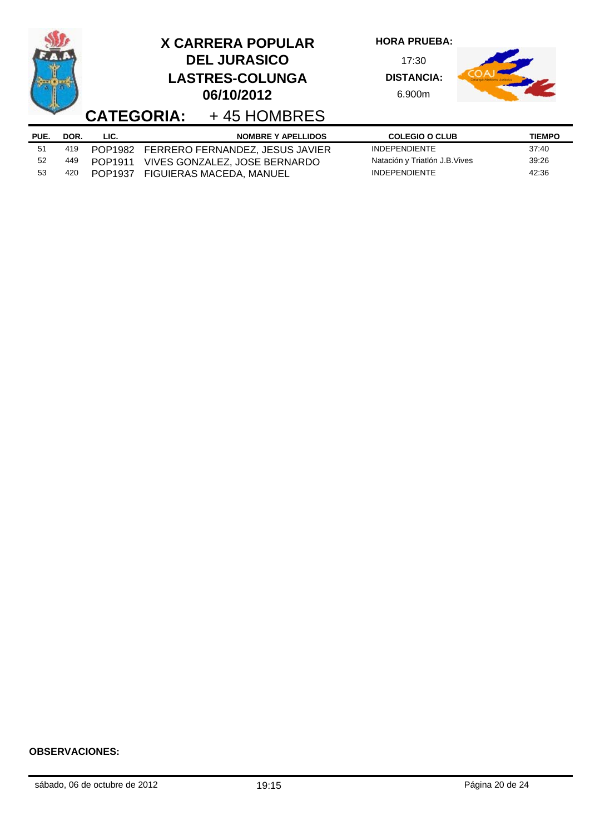|      |      | <b>CATEGORIA:</b> | <b>X CARRERA POPULAR</b><br><b>DEL JURASICO</b><br><b>LASTRES-COLUNGA</b><br>06/10/2012<br>+45 HOMBRES | <b>HORA PRUEBA:</b><br>17:30<br><b>DISTANCIA:</b><br>6.900m |               |
|------|------|-------------------|--------------------------------------------------------------------------------------------------------|-------------------------------------------------------------|---------------|
| PUE. | DOR. | LIC.              | <b>NOMBRE Y APELLIDOS</b>                                                                              | <b>COLEGIO O CLUB</b>                                       | <b>TIEMPO</b> |
| 51   | 419  | POP1982           | FERRERO FERNANDEZ, JESUS JAVIER                                                                        | <b>INDEPENDIENTE</b>                                        | 37:40         |
| 52   | 449  | POP1911           | VIVES GONZALEZ, JOSE BERNARDO                                                                          | Natación y Triatlón J.B. Vives                              | 39:26         |
| 53   | 420  | POP1937           | FIGUIERAS MACEDA, MANUEL                                                                               | <b>INDEPENDIENTE</b>                                        | 42:36         |

L,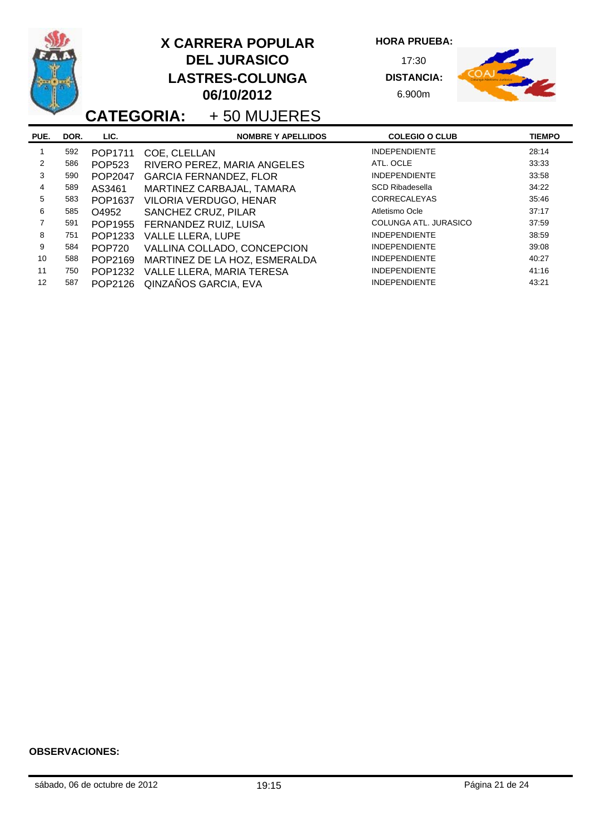|                |      |               | <b>X CARRERA POPULAR</b><br><b>DEL JURASICO</b><br><b>LASTRES-COLUNGA</b><br>06/10/2012<br>+50 MUJERES<br><b>CATEGORIA:</b> | <b>HORA PRUEBA:</b><br>17:30<br><b>DISTANCIA:</b><br>6.900m |               |
|----------------|------|---------------|-----------------------------------------------------------------------------------------------------------------------------|-------------------------------------------------------------|---------------|
| PUE.           | DOR. | LIC.          | <b>NOMBRE Y APELLIDOS</b>                                                                                                   | <b>COLEGIO O CLUB</b>                                       | <b>TIEMPO</b> |
| 1              | 592  | POP1711       | COE, CLELLAN                                                                                                                | <b>INDEPENDIENTE</b>                                        | 28:14         |
| 2              | 586  | <b>POP523</b> | RIVERO PEREZ, MARIA ANGELES                                                                                                 | ATL. OCLE                                                   | 33:33         |
| 3              | 590  | POP2047       | <b>GARCIA FERNANDEZ, FLOR</b>                                                                                               | <b>INDEPENDIENTE</b>                                        | 33:58         |
| 4              | 589  | AS3461        | MARTINEZ CARBAJAL, TAMARA                                                                                                   | <b>SCD Ribadesella</b>                                      | 34:22         |
| 5              | 583  | POP1637       | VILORIA VERDUGO, HENAR                                                                                                      | <b>CORRECALEYAS</b>                                         | 35:46         |
| 6              | 585  | O4952         | SANCHEZ CRUZ, PILAR                                                                                                         | Atletismo Ocle                                              | 37:17         |
| $\overline{7}$ | 591  | POP1955       | FERNANDEZ RUIZ, LUISA                                                                                                       | COLUNGA ATL. JURASICO                                       | 37:59         |
| 8              | 751  | POP1233       | VALLE LLERA, LUPE                                                                                                           | <b>INDEPENDIENTE</b>                                        | 38:59         |
| 9              | 584  | <b>POP720</b> | VALLINA COLLADO, CONCEPCION                                                                                                 | <b>INDEPENDIENTE</b>                                        | 39:08         |
| 10             | 588  | POP2169       | MARTINEZ DE LA HOZ, ESMERALDA                                                                                               | <b>INDEPENDIENTE</b>                                        | 40:27         |
| 11             | 750  | POP1232       | VALLE LLERA, MARIA TERESA                                                                                                   | <b>INDEPENDIENTE</b>                                        | 41:16         |
| 12             | 587  | POP2126       | QINZAÑOS GARCIA, EVA                                                                                                        | <b>INDEPENDIENTE</b>                                        | 43:21         |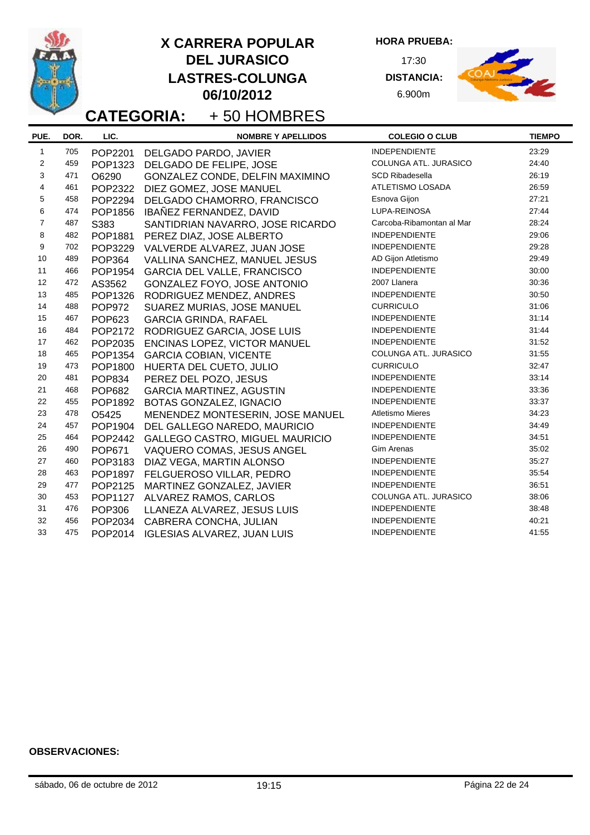**HORA PRUEBA:**

17:30 **DISTANCIA:** 6.900m



**CATEGORIA:** + 50 HOMBRES

| PUE.                    | DOR. | LIC.           | <b>NOMBRE Y APELLIDOS</b>          | <b>COLEGIO O CLUB</b>     | <b>TIEMPO</b> |
|-------------------------|------|----------------|------------------------------------|---------------------------|---------------|
| $\mathbf{1}$            | 705  | POP2201        | DELGADO PARDO, JAVIER              | <b>INDEPENDIENTE</b>      | 23:29         |
| $\overline{2}$          | 459  | POP1323        | DELGADO DE FELIPE, JOSE            | COLUNGA ATL. JURASICO     | 24:40         |
| 3                       | 471  | O6290          | GONZALEZ CONDE, DELFIN MAXIMINO    | <b>SCD Ribadesella</b>    | 26:19         |
| $\overline{\mathbf{4}}$ | 461  | POP2322        | DIEZ GOMEZ, JOSE MANUEL            | ATLETISMO LOSADA          | 26:59         |
| 5                       | 458  | POP2294        | DELGADO CHAMORRO, FRANCISCO        | Esnova Gijon              | 27:21         |
| 6                       | 474  | POP1856        | IBAÑEZ FERNANDEZ, DAVID            | LUPA-REINOSA              | 27:44         |
| $\overline{7}$          | 487  | S383           | SANTIDRIAN NAVARRO, JOSE RICARDO   | Carcoba-Ribamontan al Mar | 28:24         |
| 8                       | 482  | POP1881        | PEREZ DIAZ, JOSE ALBERTO           | <b>INDEPENDIENTE</b>      | 29:06         |
| 9                       | 702  | POP3229        | VALVERDE ALVAREZ, JUAN JOSE        | <b>INDEPENDIENTE</b>      | 29:28         |
| 10                      | 489  | <b>POP364</b>  | VALLINA SANCHEZ, MANUEL JESUS      | AD Gijon Atletismo        | 29:49         |
| 11                      | 466  | POP1954        | <b>GARCIA DEL VALLE, FRANCISCO</b> | <b>INDEPENDIENTE</b>      | 30:00         |
| 12                      | 472  | AS3562         | GONZALEZ FOYO, JOSE ANTONIO        | 2007 Llanera              | 30:36         |
| 13                      | 485  | POP1326        | RODRIGUEZ MENDEZ, ANDRES           | <b>INDEPENDIENTE</b>      | 30:50         |
| 14                      | 488  | <b>POP972</b>  | SUAREZ MURIAS, JOSE MANUEL         | <b>CURRICULO</b>          | 31:06         |
| 15                      | 467  | <b>POP623</b>  | <b>GARCIA GRINDA, RAFAEL</b>       | <b>INDEPENDIENTE</b>      | 31:14         |
| 16                      | 484  | POP2172        | RODRIGUEZ GARCIA, JOSE LUIS        | <b>INDEPENDIENTE</b>      | 31:44         |
| 17                      | 462  | POP2035        | ENCINAS LOPEZ, VICTOR MANUEL       | <b>INDEPENDIENTE</b>      | 31:52         |
| 18                      | 465  | POP1354        | <b>GARCIA COBIAN, VICENTE</b>      | COLUNGA ATL. JURASICO     | 31:55         |
| 19                      | 473  | POP1800        | HUERTA DEL CUETO, JULIO            | <b>CURRICULO</b>          | 32:47         |
| 20                      | 481  | <b>POP834</b>  | PEREZ DEL POZO, JESUS              | <b>INDEPENDIENTE</b>      | 33:14         |
| 21                      | 468  | <b>POP682</b>  | <b>GARCIA MARTINEZ, AGUSTIN</b>    | <b>INDEPENDIENTE</b>      | 33:36         |
| 22                      | 455  | POP1892        | BOTAS GONZALEZ, IGNACIO            | <b>INDEPENDIENTE</b>      | 33:37         |
| 23                      | 478  | O5425          | MENENDEZ MONTESERIN, JOSE MANUEL   | <b>Atletismo Mieres</b>   | 34:23         |
| 24                      | 457  | POP1904        | DEL GALLEGO NAREDO, MAURICIO       | <b>INDEPENDIENTE</b>      | 34:49         |
| 25                      | 464  | POP2442        | GALLEGO CASTRO, MIGUEL MAURICIO    | <b>INDEPENDIENTE</b>      | 34:51         |
| 26                      | 490  | POP671         | VAQUERO COMAS, JESUS ANGEL         | Gim Arenas                | 35:02         |
| 27                      | 460  | POP3183        | DIAZ VEGA, MARTIN ALONSO           | <b>INDEPENDIENTE</b>      | 35:27         |
| 28                      | 463  | POP1897        | FELGUEROSO VILLAR, PEDRO           | <b>INDEPENDIENTE</b>      | 35:54         |
| 29                      | 477  | POP2125        | MARTINEZ GONZALEZ, JAVIER          | <b>INDEPENDIENTE</b>      | 36:51         |
| 30                      | 453  | <b>POP1127</b> | ALVAREZ RAMOS, CARLOS              | COLUNGA ATL. JURASICO     | 38:06         |
| 31                      | 476  | POP306         | LLANEZA ALVAREZ, JESUS LUIS        | <b>INDEPENDIENTE</b>      | 38:48         |
| 32                      | 456  | POP2034        | CABRERA CONCHA, JULIAN             | <b>INDEPENDIENTE</b>      | 40:21         |
| 33                      | 475  | POP2014        | <b>IGLESIAS ALVAREZ, JUAN LUIS</b> | <b>INDEPENDIENTE</b>      | 41:55         |
|                         |      |                |                                    |                           |               |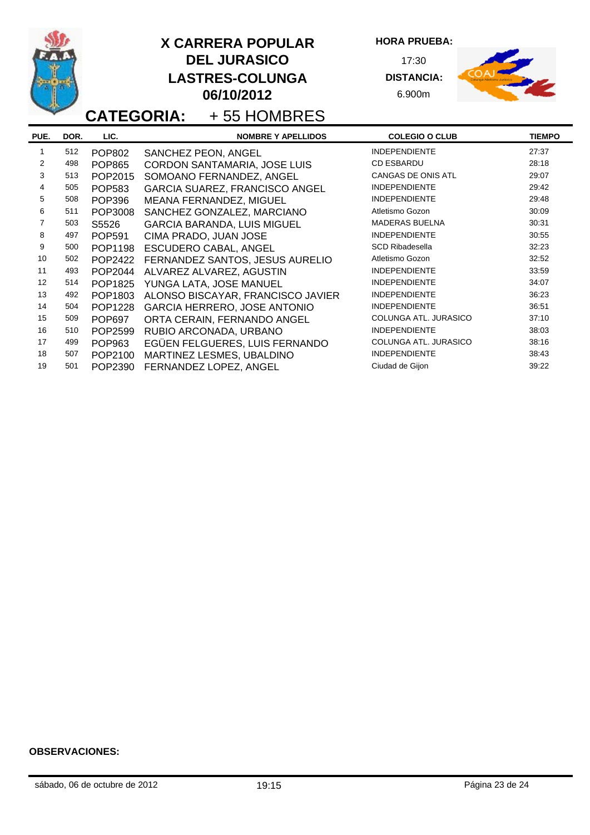

**HORA PRUEBA:**

17:30 **DISTANCIA:** 6.900m



# **CATEGORIA:** + 55 HOMBRES

| PUE. | DOR. | LIC.          | <b>NOMBRE Y APELLIDOS</b>             | <b>COLEGIO O CLUB</b>     | <b>TIEMPO</b> |
|------|------|---------------|---------------------------------------|---------------------------|---------------|
|      | 512  | <b>POP802</b> | SANCHEZ PEON, ANGEL                   | <b>INDEPENDIENTE</b>      | 27:37         |
| 2    | 498  | <b>POP865</b> | CORDON SANTAMARIA, JOSE LUIS          | <b>CD ESBARDU</b>         | 28:18         |
| 3    | 513  | POP2015       | SOMOANO FERNANDEZ, ANGEL              | <b>CANGAS DE ONIS ATL</b> | 29:07         |
| 4    | 505  | <b>POP583</b> | <b>GARCIA SUAREZ, FRANCISCO ANGEL</b> | <b>INDEPENDIENTE</b>      | 29:42         |
| 5    | 508  | <b>POP396</b> | MEANA FERNANDEZ, MIGUEL               | <b>INDEPENDIENTE</b>      | 29:48         |
| 6    | 511  | POP3008       | SANCHEZ GONZALEZ, MARCIANO            | Atletismo Gozon           | 30:09         |
|      | 503  | S5526         | <b>GARCIA BARANDA, LUIS MIGUEL</b>    | <b>MADERAS BUELNA</b>     | 30:31         |
| 8    | 497  | POP591        | CIMA PRADO, JUAN JOSE                 | <b>INDEPENDIENTE</b>      | 30:55         |
| 9    | 500  | POP1198       | ESCUDERO CABAL, ANGEL                 | <b>SCD Ribadesella</b>    | 32:23         |
| 10   | 502  | POP2422       | FERNANDEZ SANTOS, JESUS AURELIO       | Atletismo Gozon           | 32:52         |
| 11   | 493  | POP2044       | ALVAREZ ALVAREZ, AGUSTIN              | <b>INDEPENDIENTE</b>      | 33:59         |
| 12   | 514  | POP1825       | YUNGA LATA, JOSE MANUEL               | <b>INDEPENDIENTE</b>      | 34:07         |
| 13   | 492  | POP1803       | ALONSO BISCAYAR, FRANCISCO JAVIER     | <b>INDEPENDIENTE</b>      | 36:23         |
| 14   | 504  | POP1228       | GARCIA HERRERO, JOSE ANTONIO          | <b>INDEPENDIENTE</b>      | 36:51         |
| 15   | 509  | <b>POP697</b> | ORTA CERAIN, FERNANDO ANGEL           | COLUNGA ATL. JURASICO     | 37:10         |
| 16   | 510  | POP2599       | RUBIO ARCONADA, URBANO                | <b>INDEPENDIENTE</b>      | 38:03         |
| 17   | 499  | POP963        | EGÜEN FELGUERES, LUIS FERNANDO        | COLUNGA ATL. JURASICO     | 38:16         |
| 18   | 507  | POP2100       | MARTINEZ LESMES, UBALDINO             | <b>INDEPENDIENTE</b>      | 38:43         |
| 19   | 501  | POP2390       | FERNANDEZ LOPEZ, ANGEL                | Ciudad de Gijon           | 39:22         |
|      |      |               |                                       |                           |               |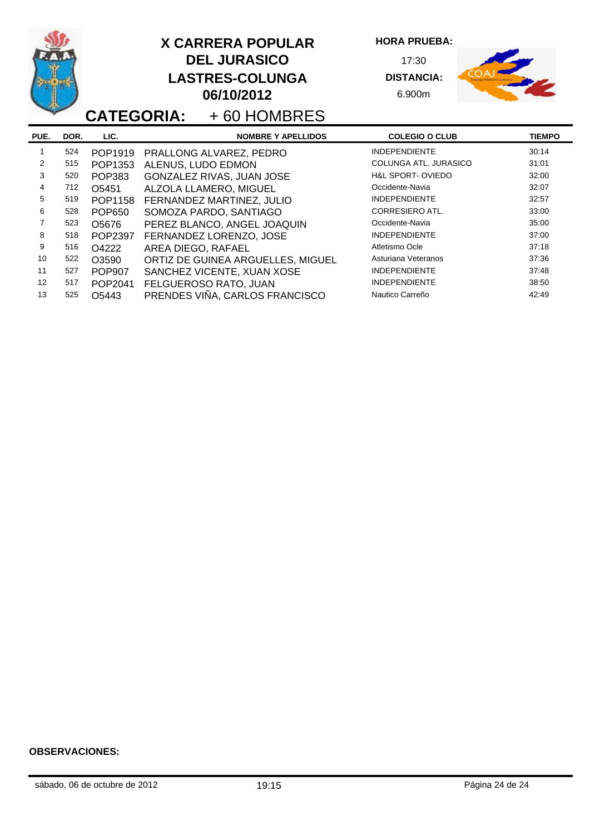|                |      |               | <b>X CARRERA POPULAR</b><br><b>DEL JURASICO</b><br><b>LASTRES-COLUNGA</b><br>06/10/2012<br><b>CATEGORIA:</b> +60 HOMBRES | <b>HORA PRUEBA:</b><br>17:30<br><b>DISTANCIA:</b><br>6.900m |               |
|----------------|------|---------------|--------------------------------------------------------------------------------------------------------------------------|-------------------------------------------------------------|---------------|
| PUE.           | DOR. | LIC.          | <b>NOMBRE Y APELLIDOS</b>                                                                                                | <b>COLEGIO O CLUB</b>                                       | <b>TIEMPO</b> |
| 1              | 524  | POP1919       | PRALLONG ALVAREZ, PEDRO                                                                                                  | <b>INDEPENDIENTE</b>                                        | 30:14         |
| 2              | 515  | POP1353       | ALENUS, LUDO EDMON                                                                                                       | COLUNGA ATL. JURASICO                                       | 31:01         |
| 3              | 520  | POP383        | GONZALEZ RIVAS, JUAN JOSE                                                                                                | <b>H&amp;L SPORT-OVIEDO</b>                                 | 32:00         |
| 4              | 712  | O5451         | ALZOLA LLAMERO, MIGUEL                                                                                                   | Occidente-Navia                                             | 32:07         |
| 5              | 519  | POP1158       | FERNANDEZ MARTINEZ, JULIO                                                                                                | <b>INDEPENDIENTE</b>                                        | 32:57         |
| 6              | 528  | <b>POP650</b> | SOMOZA PARDO, SANTIAGO                                                                                                   | <b>CORRESIERO ATL.</b>                                      | 33:00         |
| $\overline{7}$ | 523  | O5676         | PEREZ BLANCO, ANGEL JOAQUIN                                                                                              | Occidente-Navia                                             | 35:00         |
| 8              | 518  | POP2397       | FERNANDEZ LORENZO, JOSE                                                                                                  | <b>INDEPENDIENTE</b>                                        | 37:00         |
| 9              | 516  | O4222         | AREA DIEGO, RAFAEL                                                                                                       | Atletismo Ocle                                              | 37:18         |
| 10             | 522  | O3590         | ORTIZ DE GUINEA ARGUELLES, MIGUEL                                                                                        | Asturiana Veteranos                                         | 37:36         |
| 11             | 527  | <b>POP907</b> | SANCHEZ VICENTE, XUAN XOSE                                                                                               | <b>INDEPENDIENTE</b>                                        | 37:48         |
| 12             | 517  | POP2041       | FELGUEROSO RATO, JUAN                                                                                                    | <b>INDEPENDIENTE</b>                                        | 38:50         |
| 13             | 525  | O5443         | PRENDES VIÑA, CARLOS FRANCISCO                                                                                           | Nautico Carreño                                             | 42:49         |